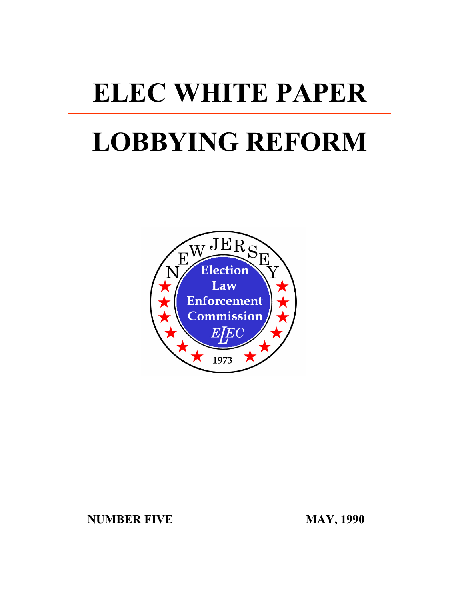# **ELEC WHITE PAPER**

# **LOBBYING REFORM**



**NUMBER FIVE MAY, 1990**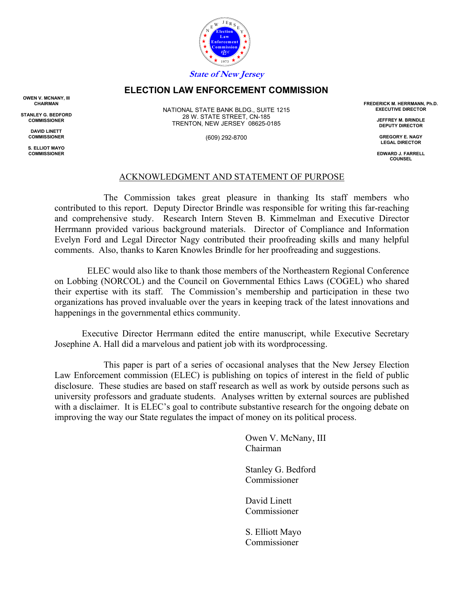

# **ELECTION LAW ENFORCEMENT COMMISSION**

**OWEN V. MCNANY, III CHAIRMAN**

**STANLEY G. BEDFORD COMMISSIONER**

> **DAVID LINETT COMMISSIONER**

**S. ELLIOT MAYO COMMISSIONER**

NATIONAL STATE BANK BLDG., SUITE 1215 28 W. STATE STREET, CN-185 TRENTON, NEW JERSEY 08625-0185

(609) 292-8700

**FREDERICK M. HERRMANN, Ph.D. EXECUTIVE DIRECTOR**

> **JEFFREY M. BRINDLE DEPUTY DIRECTOR**

**GREGORY E. NAGY LEGAL DIRECTOR**

**EDWARD J. FARRELL COUNSEL**

## ACKNOWLEDGMENT AND STATEMENT OF PURPOSE

The Commission takes great pleasure in thanking Its staff members who contributed to this report. Deputy Director Brindle was responsible for writing this far-reaching and comprehensive study. Research Intern Steven B. Kimmelman and Executive Director Herrmann provided various background materials. Director of Compliance and Information Evelyn Ford and Legal Director Nagy contributed their proofreading skills and many helpful comments. Also, thanks to Karen Knowles Brindle for her proofreading and suggestions.

ELEC would also like to thank those members of the Northeastern Regional Conference on Lobbing (NORCOL) and the Council on Governmental Ethics Laws (COGEL) who shared their expertise with its staff. The Commission's membership and participation in these two organizations has proved invaluable over the years in keeping track of the latest innovations and happenings in the governmental ethics community.

Executive Director Herrmann edited the entire manuscript, while Executive Secretary Josephine A. Hall did a marvelous and patient job with its wordprocessing.

This paper is part of a series of occasional analyses that the New Jersey Election Law Enforcement commission (ELEC) is publishing on topics of interest in the field of public disclosure. These studies are based on staff research as well as work by outside persons such as university professors and graduate students. Analyses written by external sources are published with a disclaimer. It is ELEC's goal to contribute substantive research for the ongoing debate on improving the way our State regulates the impact of money on its political process.

> Owen V. McNany, III Chairman

 Stanley G. Bedford Commissioner

 David Linett **Commissioner** 

 S. Elliott Mayo Commissioner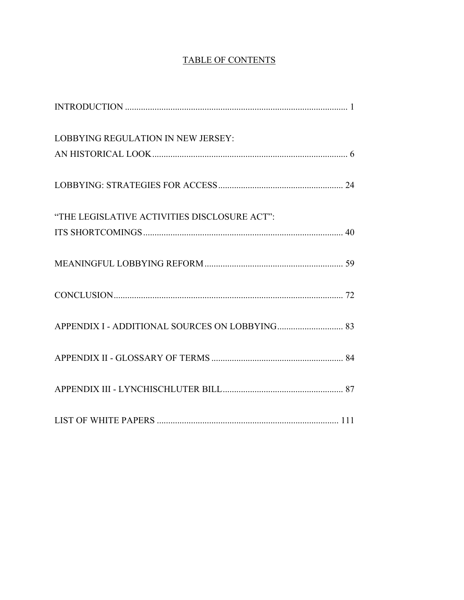# TABLE OF CONTENTS

| <b>LOBBYING REGULATION IN NEW JERSEY:</b>    |  |
|----------------------------------------------|--|
|                                              |  |
|                                              |  |
| "THE LEGISLATIVE ACTIVITIES DISCLOSURE ACT": |  |
|                                              |  |
|                                              |  |
|                                              |  |
|                                              |  |
|                                              |  |
|                                              |  |
|                                              |  |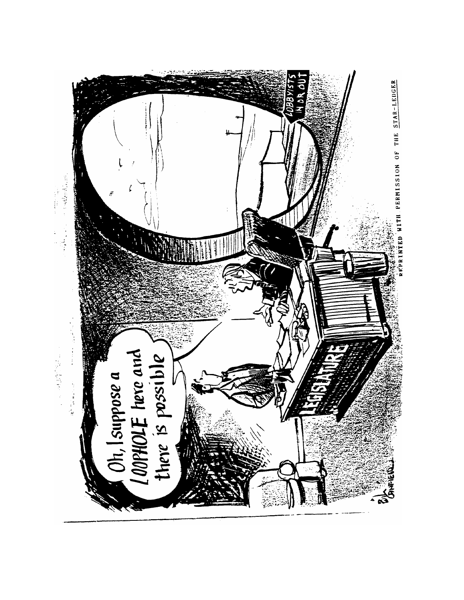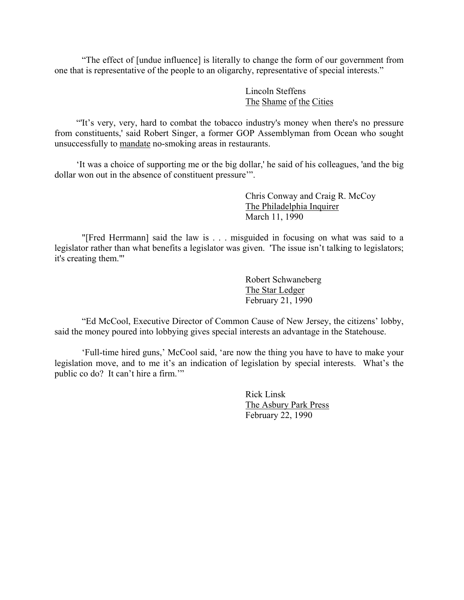"The effect of [undue influence] is literally to change the form of our government from one that is representative of the people to an oligarchy, representative of special interests."

> Lincoln Steffens The Shame of the Cities

"'It's very, very, hard to combat the tobacco industry's money when there's no pressure from constituents,' said Robert Singer, a former GOP Assemblyman from Ocean who sought unsuccessfully to mandate no-smoking areas in restaurants.

'It was a choice of supporting me or the big dollar,' he said of his colleagues, 'and the big dollar won out in the absence of constituent pressure'".

> Chris Conway and Craig R. McCoy The Philadelphia Inquirer March 11, 1990

"[Fred Herrmann] said the law is . . . misguided in focusing on what was said to a legislator rather than what benefits a legislator was given. 'The issue isn't talking to legislators; it's creating them."'

> Robert Schwaneberg The Star Ledger February 21, 1990

"Ed McCool, Executive Director of Common Cause of New Jersey, the citizens' lobby, said the money poured into lobbying gives special interests an advantage in the Statehouse.

'Full-time hired guns,' McCool said, 'are now the thing you have to have to make your legislation move, and to me it's an indication of legislation by special interests. What's the public co do? It can't hire a firm.'"

> Rick Linsk The Asbury Park Press February 22, 1990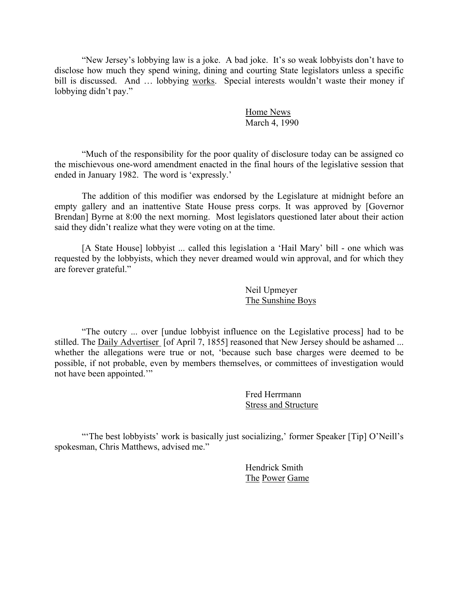"New Jersey's lobbying law is a joke. A bad joke. It's so weak lobbyists don't have to disclose how much they spend wining, dining and courting State legislators unless a specific bill is discussed. And ... lobbying works. Special interests wouldn't waste their money if lobbying didn't pay."

> Home News March 4, 1990

"Much of the responsibility for the poor quality of disclosure today can be assigned co the mischievous one-word amendment enacted in the final hours of the legislative session that ended in January 1982. The word is 'expressly.'

The addition of this modifier was endorsed by the Legislature at midnight before an empty gallery and an inattentive State House press corps. It was approved by [Governor Brendan] Byrne at 8:00 the next morning. Most legislators questioned later about their action said they didn't realize what they were voting on at the time.

[A State House] lobbyist ... called this legislation a 'Hail Mary' bill - one which was requested by the lobbyists, which they never dreamed would win approval, and for which they are forever grateful."

> Neil Upmeyer The Sunshine Boys

"The outcry ... over [undue lobbyist influence on the Legislative process] had to be stilled. The Daily Advertiser [of April 7, 1855] reasoned that New Jersey should be ashamed ... whether the allegations were true or not, 'because such base charges were deemed to be possible, if not probable, even by members themselves, or committees of investigation would not have been appointed.'"

> Fred Herrmann Stress and Structure

"The best lobbyists' work is basically just socializing,' former Speaker [Tip] O'Neill's spokesman, Chris Matthews, advised me."

> Hendrick Smith The Power Game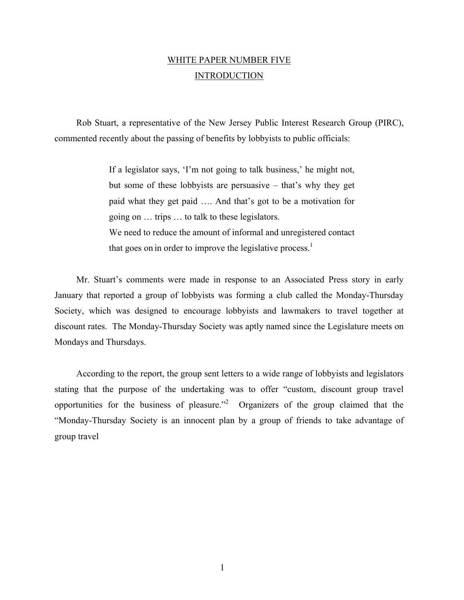# WHITE PAPER NUMBER FIVE **INTRODUCTION**

Rob Stuart, a representative of the New Jersey Public Interest Research Group (PIRC), commented recently about the passing of benefits by lobbyists to public officials:

> If a legislator says, 'I'm not going to talk business,' he might not, but some of these lobbyists are persuasive – that's why they get paid what they get paid …. And that's got to be a motivation for going on … trips … to talk to these legislators. We need to reduce the amount of informal and unregistered contact that goes on in order to improve the legislative process.<sup>1</sup>

Mr. Stuart's comments were made in response to an Associated Press story in early January that reported a group of lobbyists was forming a club called the Monday-Thursday Society, which was designed to encourage lobbyists and lawmakers to travel together at discount rates. The Monday-Thursday Society was aptly named since the Legislature meets on Mondays and Thursdays.

According to the report, the group sent letters to a wide range of lobbyists and legislators stating that the purpose of the undertaking was to offer "custom, discount group travel opportunities for the business of pleasure.<sup>22</sup> Organizers of the group claimed that the "Monday-Thursday Society is an innocent plan by a group of friends to take advantage of group travel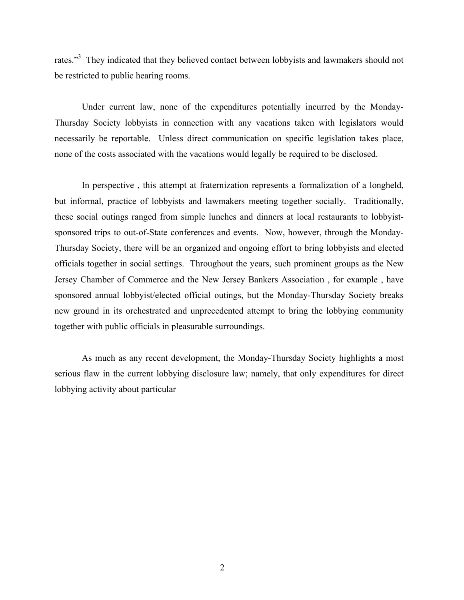rates."<sup>3</sup> They indicated that they believed contact between lobbyists and lawmakers should not be restricted to public hearing rooms.

Under current law, none of the expenditures potentially incurred by the Monday-Thursday Society lobbyists in connection with any vacations taken with legislators would necessarily be reportable. Unless direct communication on specific legislation takes place, none of the costs associated with the vacations would legally be required to be disclosed.

In perspective , this attempt at fraternization represents a formalization of a longheld, but informal, practice of lobbyists and lawmakers meeting together socially. Traditionally, these social outings ranged from simple lunches and dinners at local restaurants to lobbyistsponsored trips to out-of-State conferences and events. Now, however, through the Monday-Thursday Society, there will be an organized and ongoing effort to bring lobbyists and elected officials together in social settings. Throughout the years, such prominent groups as the New Jersey Chamber of Commerce and the New Jersey Bankers Association , for example , have sponsored annual lobbyist/elected official outings, but the Monday-Thursday Society breaks new ground in its orchestrated and unprecedented attempt to bring the lobbying community together with public officials in pleasurable surroundings.

As much as any recent development, the Monday-Thursday Society highlights a most serious flaw in the current lobbying disclosure law; namely, that only expenditures for direct lobbying activity about particular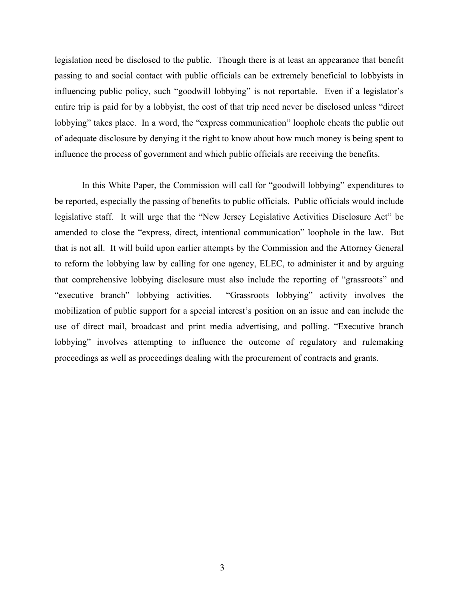legislation need be disclosed to the public. Though there is at least an appearance that benefit passing to and social contact with public officials can be extremely beneficial to lobbyists in influencing public policy, such "goodwill lobbying" is not reportable. Even if a legislator's entire trip is paid for by a lobbyist, the cost of that trip need never be disclosed unless "direct lobbying" takes place. In a word, the "express communication" loophole cheats the public out of adequate disclosure by denying it the right to know about how much money is being spent to influence the process of government and which public officials are receiving the benefits.

In this White Paper, the Commission will call for "goodwill lobbying" expenditures to be reported, especially the passing of benefits to public officials. Public officials would include legislative staff. It will urge that the "New Jersey Legislative Activities Disclosure Act" be amended to close the "express, direct, intentional communication" loophole in the law. But that is not all. It will build upon earlier attempts by the Commission and the Attorney General to reform the lobbying law by calling for one agency, ELEC, to administer it and by arguing that comprehensive lobbying disclosure must also include the reporting of "grassroots" and "executive branch" lobbying activities. "Grassroots lobbying" activity involves the mobilization of public support for a special interest's position on an issue and can include the use of direct mail, broadcast and print media advertising, and polling. "Executive branch lobbying" involves attempting to influence the outcome of regulatory and rulemaking proceedings as well as proceedings dealing with the procurement of contracts and grants.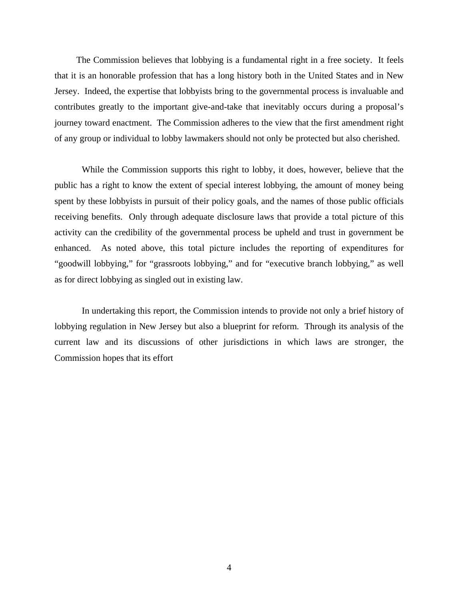The Commission believes that lobbying is a fundamental right in a free society. It feels that it is an honorable profession that has a long history both in the United States and in New Jersey. Indeed, the expertise that lobbyists bring to the governmental process is invaluable and contributes greatly to the important give-and-take that inevitably occurs during a proposal's journey toward enactment. The Commission adheres to the view that the first amendment right of any group or individual to lobby lawmakers should not only be protected but also cherished.

While the Commission supports this right to lobby, it does, however, believe that the public has a right to know the extent of special interest lobbying, the amount of money being spent by these lobbyists in pursuit of their policy goals, and the names of those public officials receiving benefits. Only through adequate disclosure laws that provide a total picture of this activity can the credibility of the governmental process be upheld and trust in government be enhanced. As noted above, this total picture includes the reporting of expenditures for "goodwill lobbying," for "grassroots lobbying," and for "executive branch lobbying," as well as for direct lobbying as singled out in existing law.

In undertaking this report, the Commission intends to provide not only a brief history of lobbying regulation in New Jersey but also a blueprint for reform. Through its analysis of the current law and its discussions of other jurisdictions in which laws are stronger, the Commission hopes that its effort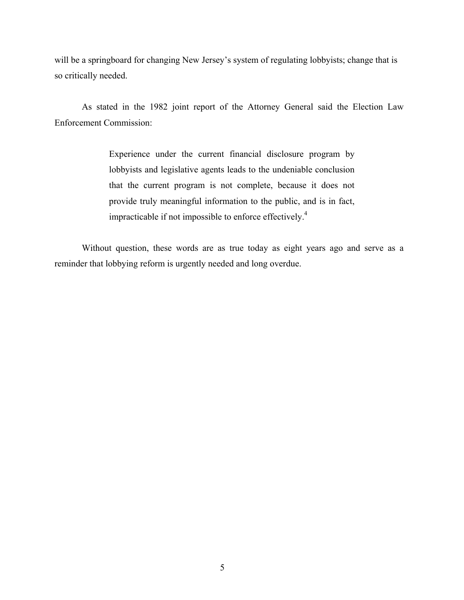will be a springboard for changing New Jersey's system of regulating lobbyists; change that is so critically needed.

As stated in the 1982 joint report of the Attorney General said the Election Law Enforcement Commission:

> Experience under the current financial disclosure program by lobbyists and legislative agents leads to the undeniable conclusion that the current program is not complete, because it does not provide truly meaningful information to the public, and is in fact, impracticable if not impossible to enforce effectively.4

Without question, these words are as true today as eight years ago and serve as a reminder that lobbying reform is urgently needed and long overdue.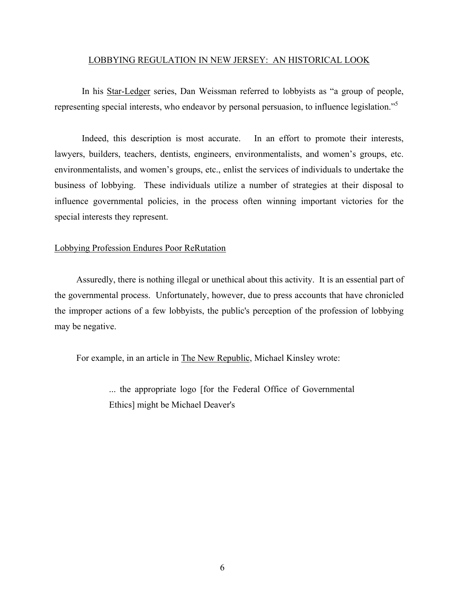#### LOBBYING REGULATION IN NEW JERSEY: AN HISTORICAL LOOK

In his Star-Ledger series, Dan Weissman referred to lobbyists as "a group of people, representing special interests, who endeavor by personal persuasion, to influence legislation."<sup>5</sup>

Indeed, this description is most accurate. In an effort to promote their interests, lawyers, builders, teachers, dentists, engineers, environmentalists, and women's groups, etc. environmentalists, and women's groups, etc., enlist the services of individuals to undertake the business of lobbying. These individuals utilize a number of strategies at their disposal to influence governmental policies, in the process often winning important victories for the special interests they represent.

## Lobbying Profession Endures Poor ReRutation

Assuredly, there is nothing illegal or unethical about this activity. It is an essential part of the governmental process. Unfortunately, however, due to press accounts that have chronicled the improper actions of a few lobbyists, the public's perception of the profession of lobbying may be negative.

For example, in an article in The New Republic, Michael Kinsley wrote:

... the appropriate logo [for the Federal Office of Governmental Ethics] might be Michael Deaver's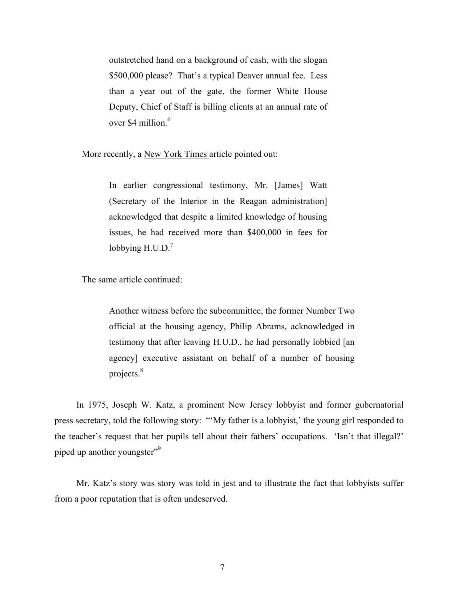outstretched hand on a background of cash, with the slogan \$500,000 please? That's a typical Deaver annual fee. Less than a year out of the gate, the former White House Deputy, Chief of Staff is billing clients at an annual rate of over \$4 million $6$ 

More recently, a New York Times article pointed out:

In earlier congressional testimony, Mr. [James] Watt (Secretary of the Interior in the Reagan administration] acknowledged that despite a limited knowledge of housing issues, he had received more than \$400,000 in fees for lobbying  $H.U.D.<sup>7</sup>$ 

The same article continued:

Another witness before the subcommittee, the former Number Two official at the housing agency, Philip Abrams, acknowledged in testimony that after leaving H.U.D., he had personally lobbied [an agency] executive assistant on behalf of a number of housing projects.8

In 1975, Joseph W. Katz, a prominent New Jersey lobbyist and former gubernatorial press secretary, told the following story: "'My father is a lobbyist,' the young girl responded to the teacher's request that her pupils tell about their fathers' occupations. 'Isn't that illegal?' piped up another youngster"<sup>9</sup>

Mr. Katz's story was story was told in jest and to illustrate the fact that lobbyists suffer from a poor reputation that is often undeserved.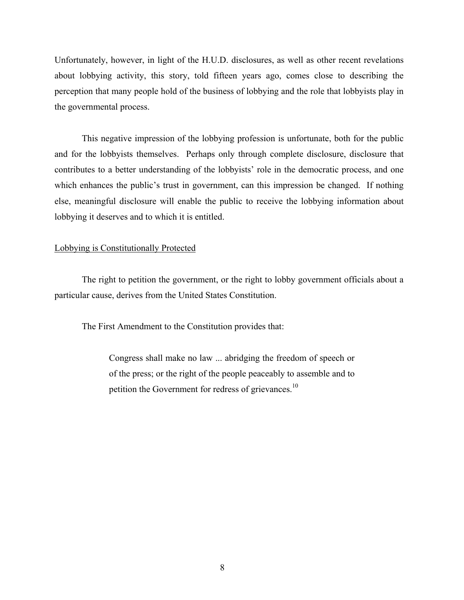Unfortunately, however, in light of the H.U.D. disclosures, as well as other recent revelations about lobbying activity, this story, told fifteen years ago, comes close to describing the perception that many people hold of the business of lobbying and the role that lobbyists play in the governmental process.

This negative impression of the lobbying profession is unfortunate, both for the public and for the lobbyists themselves. Perhaps only through complete disclosure, disclosure that contributes to a better understanding of the lobbyists' role in the democratic process, and one which enhances the public's trust in government, can this impression be changed. If nothing else, meaningful disclosure will enable the public to receive the lobbying information about lobbying it deserves and to which it is entitled.

## Lobbying is Constitutionally Protected

The right to petition the government, or the right to lobby government officials about a particular cause, derives from the United States Constitution.

The First Amendment to the Constitution provides that:

Congress shall make no law ... abridging the freedom of speech or of the press; or the right of the people peaceably to assemble and to petition the Government for redress of grievances.<sup>10</sup>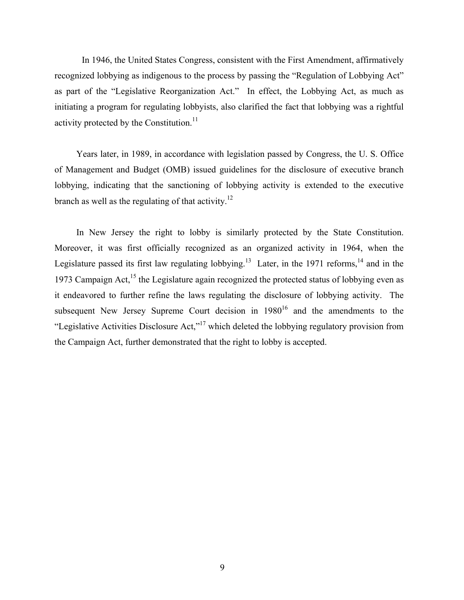In 1946, the United States Congress, consistent with the First Amendment, affirmatively recognized lobbying as indigenous to the process by passing the "Regulation of Lobbying Act" as part of the "Legislative Reorganization Act." In effect, the Lobbying Act, as much as initiating a program for regulating lobbyists, also clarified the fact that lobbying was a rightful activity protected by the Constitution. $11$ 

Years later, in 1989, in accordance with legislation passed by Congress, the U. S. Office of Management and Budget (OMB) issued guidelines for the disclosure of executive branch lobbying, indicating that the sanctioning of lobbying activity is extended to the executive branch as well as the regulating of that activity.<sup>12</sup>

In New Jersey the right to lobby is similarly protected by the State Constitution. Moreover, it was first officially recognized as an organized activity in 1964, when the Legislature passed its first law regulating lobbying.<sup>13</sup> Later, in the 1971 reforms, <sup>14</sup> and in the 1973 Campaign Act,  $^{15}$  the Legislature again recognized the protected status of lobbying even as it endeavored to further refine the laws regulating the disclosure of lobbying activity. The subsequent New Jersey Supreme Court decision in  $1980^{16}$  and the amendments to the "Legislative Activities Disclosure Act,"17 which deleted the lobbying regulatory provision from the Campaign Act, further demonstrated that the right to lobby is accepted.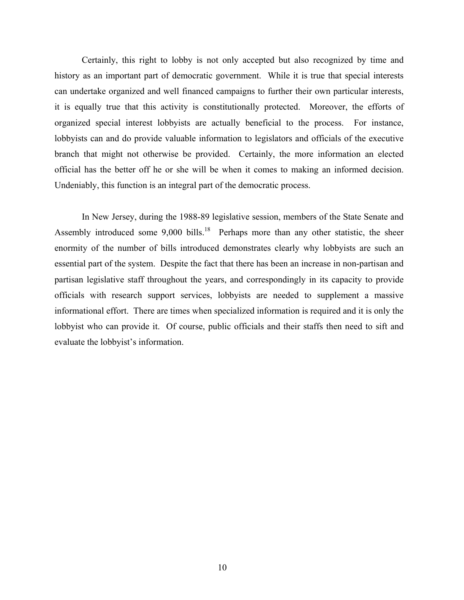Certainly, this right to lobby is not only accepted but also recognized by time and history as an important part of democratic government. While it is true that special interests can undertake organized and well financed campaigns to further their own particular interests, it is equally true that this activity is constitutionally protected. Moreover, the efforts of organized special interest lobbyists are actually beneficial to the process. For instance, lobbyists can and do provide valuable information to legislators and officials of the executive branch that might not otherwise be provided. Certainly, the more information an elected official has the better off he or she will be when it comes to making an informed decision. Undeniably, this function is an integral part of the democratic process.

In New Jersey, during the 1988-89 legislative session, members of the State Senate and Assembly introduced some  $9,000$  bills.<sup>18</sup> Perhaps more than any other statistic, the sheer enormity of the number of bills introduced demonstrates clearly why lobbyists are such an essential part of the system. Despite the fact that there has been an increase in non-partisan and partisan legislative staff throughout the years, and correspondingly in its capacity to provide officials with research support services, lobbyists are needed to supplement a massive informational effort. There are times when specialized information is required and it is only the lobbyist who can provide it. Of course, public officials and their staffs then need to sift and evaluate the lobbyist's information.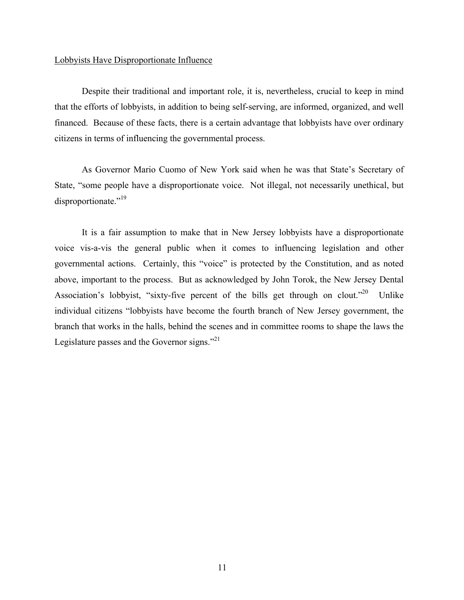## Lobbyists Have Disproportionate Influence

Despite their traditional and important role, it is, nevertheless, crucial to keep in mind that the efforts of lobbyists, in addition to being self-serving, are informed, organized, and well financed. Because of these facts, there is a certain advantage that lobbyists have over ordinary citizens in terms of influencing the governmental process.

As Governor Mario Cuomo of New York said when he was that State's Secretary of State, "some people have a disproportionate voice. Not illegal, not necessarily unethical, but disproportionate."<sup>19</sup>

It is a fair assumption to make that in New Jersey lobbyists have a disproportionate voice vis-a-vis the general public when it comes to influencing legislation and other governmental actions. Certainly, this "voice" is protected by the Constitution, and as noted above, important to the process. But as acknowledged by John Torok, the New Jersey Dental Association's lobbyist, "sixty-five percent of the bills get through on clout."20 Unlike individual citizens "lobbyists have become the fourth branch of New Jersey government, the branch that works in the halls, behind the scenes and in committee rooms to shape the laws the Legislature passes and the Governor signs. $^{221}$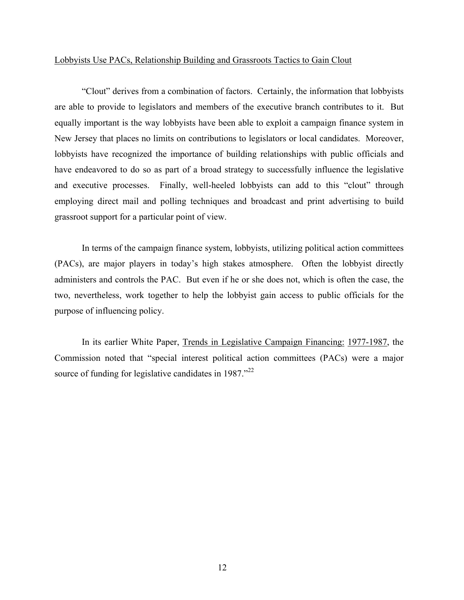#### Lobbyists Use PACs, Relationship Building and Grassroots Tactics to Gain Clout

"Clout" derives from a combination of factors. Certainly, the information that lobbyists are able to provide to legislators and members of the executive branch contributes to it. But equally important is the way lobbyists have been able to exploit a campaign finance system in New Jersey that places no limits on contributions to legislators or local candidates. Moreover, lobbyists have recognized the importance of building relationships with public officials and have endeavored to do so as part of a broad strategy to successfully influence the legislative and executive processes. Finally, well-heeled lobbyists can add to this "clout" through employing direct mail and polling techniques and broadcast and print advertising to build grassroot support for a particular point of view.

In terms of the campaign finance system, lobbyists, utilizing political action committees (PACs), are major players in today's high stakes atmosphere. Often the lobbyist directly administers and controls the PAC. But even if he or she does not, which is often the case, the two, nevertheless, work together to help the lobbyist gain access to public officials for the purpose of influencing policy.

In its earlier White Paper, Trends in Legislative Campaign Financing: 1977-1987, the Commission noted that "special interest political action committees (PACs) were a major source of funding for legislative candidates in 1987."<sup>22</sup>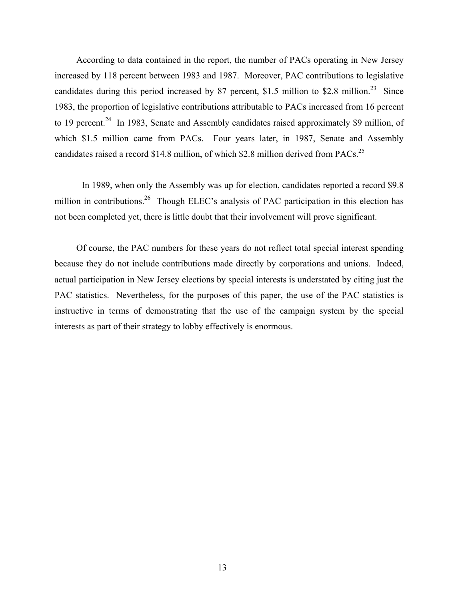According to data contained in the report, the number of PACs operating in New Jersey increased by 118 percent between 1983 and 1987. Moreover, PAC contributions to legislative candidates during this period increased by 87 percent, \$1.5 million to \$2.8 million.<sup>23</sup> Since 1983, the proportion of legislative contributions attributable to PACs increased from 16 percent to 19 percent.<sup>24</sup> In 1983, Senate and Assembly candidates raised approximately \$9 million, of which \$1.5 million came from PACs. Four years later, in 1987, Senate and Assembly candidates raised a record \$14.8 million, of which \$2.8 million derived from PACs.<sup>25</sup>

In 1989, when only the Assembly was up for election, candidates reported a record \$9.8 million in contributions.<sup>26</sup> Though ELEC's analysis of PAC participation in this election has not been completed yet, there is little doubt that their involvement will prove significant.

Of course, the PAC numbers for these years do not reflect total special interest spending because they do not include contributions made directly by corporations and unions. Indeed, actual participation in New Jersey elections by special interests is understated by citing just the PAC statistics. Nevertheless, for the purposes of this paper, the use of the PAC statistics is instructive in terms of demonstrating that the use of the campaign system by the special interests as part of their strategy to lobby effectively is enormous.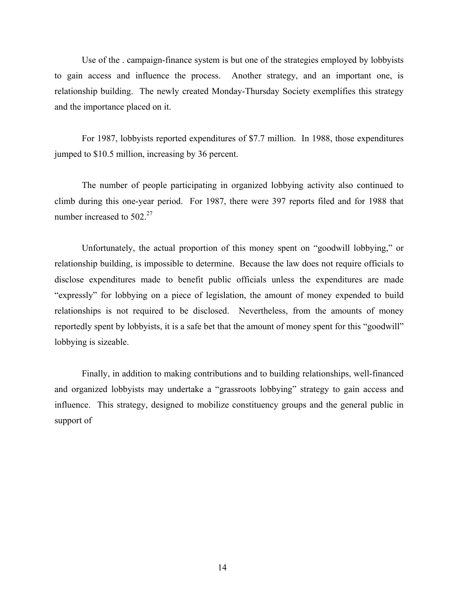Use of the . campaign-finance system is but one of the strategies employed by lobbyists to gain access and influence the process. Another strategy, and an important one, is relationship building. The newly created Monday-Thursday Society exemplifies this strategy and the importance placed on it.

For 1987, lobbyists reported expenditures of \$7.7 million. In 1988, those expenditures jumped to \$10.5 million, increasing by 36 percent.

The number of people participating in organized lobbying activity also continued to climb during this one-year period. For 1987, there were 397 reports filed and for 1988 that number increased to 502.<sup>27</sup>

Unfortunately, the actual proportion of this money spent on "goodwill lobbying," or relationship building, is impossible to determine. Because the law does not require officials to disclose expenditures made to benefit public officials unless the expenditures are made "expressly" for lobbying on a piece of legislation, the amount of money expended to build relationships is not required to be disclosed. Nevertheless, from the amounts of money reportedly spent by lobbyists, it is a safe bet that the amount of money spent for this "goodwill" lobbying is sizeable.

Finally, in addition to making contributions and to building relationships, well-financed and organized lobbyists may undertake a "grassroots lobbying" strategy to gain access and influence. This strategy, designed to mobilize constituency groups and the general public in support of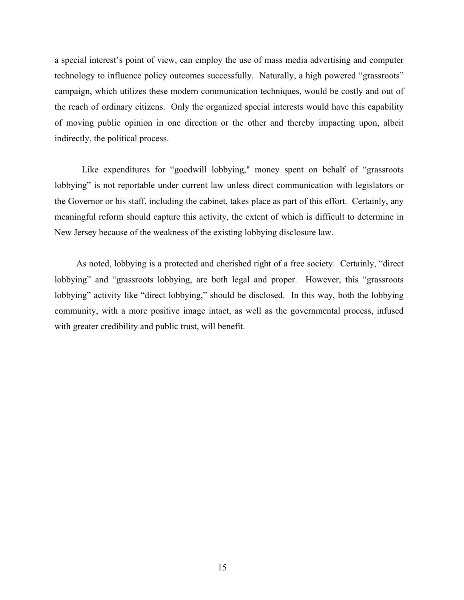a special interest's point of view, can employ the use of mass media advertising and computer technology to influence policy outcomes successfully. Naturally, a high powered "grassroots" campaign, which utilizes these modern communication techniques, would be costly and out of the reach of ordinary citizens. Only the organized special interests would have this capability of moving public opinion in one direction or the other and thereby impacting upon, albeit indirectly, the political process.

Like expenditures for "goodwill lobbying," money spent on behalf of "grassroots lobbying" is not reportable under current law unless direct communication with legislators or the Governor or his staff, including the cabinet, takes place as part of this effort. Certainly, any meaningful reform should capture this activity, the extent of which is difficult to determine in New Jersey because of the weakness of the existing lobbying disclosure law.

As noted, lobbying is a protected and cherished right of a free society. Certainly, "direct lobbying" and "grassroots lobbying, are both legal and proper. However, this "grassroots lobbying" activity like "direct lobbying," should be disclosed. In this way, both the lobbying community, with a more positive image intact, as well as the governmental process, infused with greater credibility and public trust, will benefit.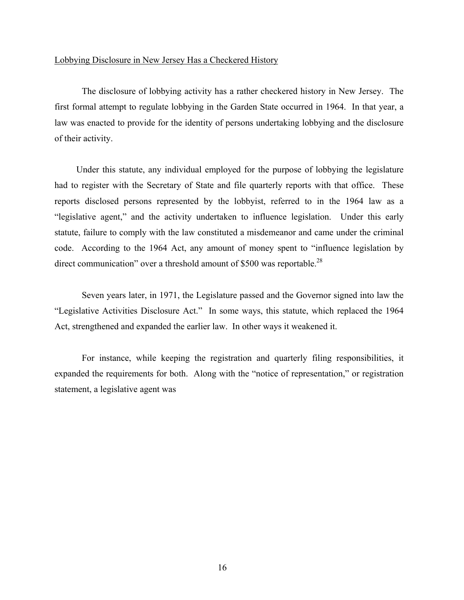#### Lobbying Disclosure in New Jersey Has a Checkered History

The disclosure of lobbying activity has a rather checkered history in New Jersey. The first formal attempt to regulate lobbying in the Garden State occurred in 1964. In that year, a law was enacted to provide for the identity of persons undertaking lobbying and the disclosure of their activity.

Under this statute, any individual employed for the purpose of lobbying the legislature had to register with the Secretary of State and file quarterly reports with that office. These reports disclosed persons represented by the lobbyist, referred to in the 1964 law as a "legislative agent," and the activity undertaken to influence legislation. Under this early statute, failure to comply with the law constituted a misdemeanor and came under the criminal code. According to the 1964 Act, any amount of money spent to "influence legislation by direct communication" over a threshold amount of \$500 was reportable.<sup>28</sup>

Seven years later, in 1971, the Legislature passed and the Governor signed into law the "Legislative Activities Disclosure Act." In some ways, this statute, which replaced the 1964 Act, strengthened and expanded the earlier law. In other ways it weakened it.

For instance, while keeping the registration and quarterly filing responsibilities, it expanded the requirements for both. Along with the "notice of representation," or registration statement, a legislative agent was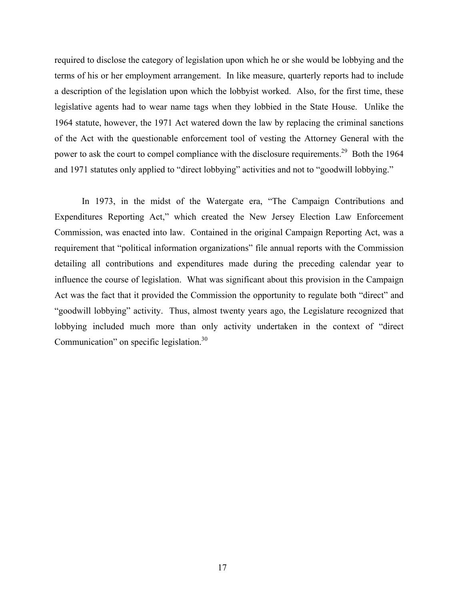required to disclose the category of legislation upon which he or she would be lobbying and the terms of his or her employment arrangement. In like measure, quarterly reports had to include a description of the legislation upon which the lobbyist worked. Also, for the first time, these legislative agents had to wear name tags when they lobbied in the State House. Unlike the 1964 statute, however, the 1971 Act watered down the law by replacing the criminal sanctions of the Act with the questionable enforcement tool of vesting the Attorney General with the power to ask the court to compel compliance with the disclosure requirements.<sup>29</sup> Both the 1964 and 1971 statutes only applied to "direct lobbying" activities and not to "goodwill lobbying."

In 1973, in the midst of the Watergate era, "The Campaign Contributions and Expenditures Reporting Act," which created the New Jersey Election Law Enforcement Commission, was enacted into law. Contained in the original Campaign Reporting Act, was a requirement that "political information organizations" file annual reports with the Commission detailing all contributions and expenditures made during the preceding calendar year to influence the course of legislation. What was significant about this provision in the Campaign Act was the fact that it provided the Commission the opportunity to regulate both "direct" and "goodwill lobbying" activity. Thus, almost twenty years ago, the Legislature recognized that lobbying included much more than only activity undertaken in the context of "direct Communication" on specific legislation.<sup>30</sup>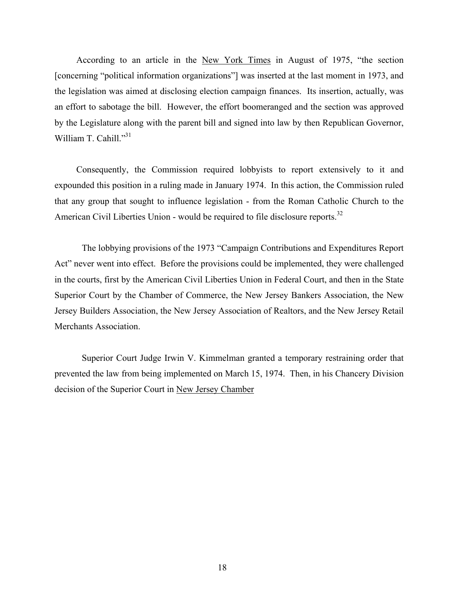According to an article in the New York Times in August of 1975, "the section [concerning "political information organizations"] was inserted at the last moment in 1973, and the legislation was aimed at disclosing election campaign finances. Its insertion, actually, was an effort to sabotage the bill. However, the effort boomeranged and the section was approved by the Legislature along with the parent bill and signed into law by then Republican Governor, William T. Cahill."31

Consequently, the Commission required lobbyists to report extensively to it and expounded this position in a ruling made in January 1974. In this action, the Commission ruled that any group that sought to influence legislation - from the Roman Catholic Church to the American Civil Liberties Union - would be required to file disclosure reports.<sup>32</sup>

The lobbying provisions of the 1973 "Campaign Contributions and Expenditures Report Act" never went into effect. Before the provisions could be implemented, they were challenged in the courts, first by the American Civil Liberties Union in Federal Court, and then in the State Superior Court by the Chamber of Commerce, the New Jersey Bankers Association, the New Jersey Builders Association, the New Jersey Association of Realtors, and the New Jersey Retail Merchants Association.

Superior Court Judge Irwin V. Kimmelman granted a temporary restraining order that prevented the law from being implemented on March 15, 1974. Then, in his Chancery Division decision of the Superior Court in New Jersey Chamber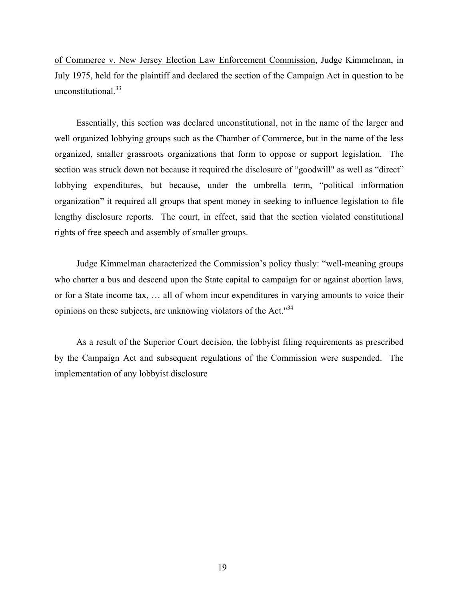of Commerce v. New Jersey Election Law Enforcement Commission, Judge Kimmelman, in July 1975, held for the plaintiff and declared the section of the Campaign Act in question to be unconstitutional.<sup>33</sup>

Essentially, this section was declared unconstitutional, not in the name of the larger and well organized lobbying groups such as the Chamber of Commerce, but in the name of the less organized, smaller grassroots organizations that form to oppose or support legislation. The section was struck down not because it required the disclosure of "goodwill" as well as "direct" lobbying expenditures, but because, under the umbrella term, "political information organization" it required all groups that spent money in seeking to influence legislation to file lengthy disclosure reports. The court, in effect, said that the section violated constitutional rights of free speech and assembly of smaller groups.

Judge Kimmelman characterized the Commission's policy thusly: "well-meaning groups who charter a bus and descend upon the State capital to campaign for or against abortion laws, or for a State income tax, … all of whom incur expenditures in varying amounts to voice their opinions on these subjects, are unknowing violators of the Act."34

As a result of the Superior Court decision, the lobbyist filing requirements as prescribed by the Campaign Act and subsequent regulations of the Commission were suspended. The implementation of any lobbyist disclosure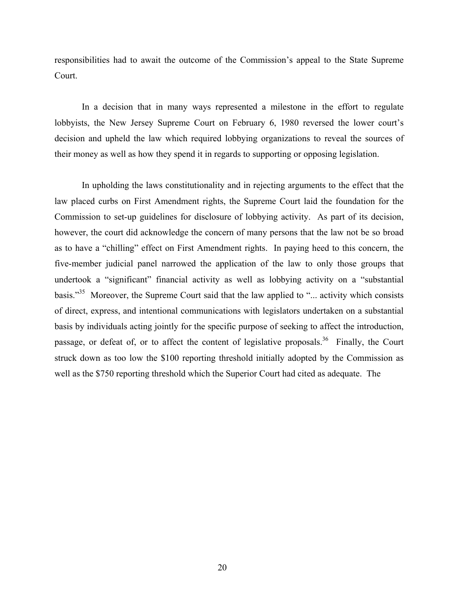responsibilities had to await the outcome of the Commission's appeal to the State Supreme Court.

In a decision that in many ways represented a milestone in the effort to regulate lobbyists, the New Jersey Supreme Court on February 6, 1980 reversed the lower court's decision and upheld the law which required lobbying organizations to reveal the sources of their money as well as how they spend it in regards to supporting or opposing legislation.

In upholding the laws constitutionality and in rejecting arguments to the effect that the law placed curbs on First Amendment rights, the Supreme Court laid the foundation for the Commission to set-up guidelines for disclosure of lobbying activity. As part of its decision, however, the court did acknowledge the concern of many persons that the law not be so broad as to have a "chilling" effect on First Amendment rights. In paying heed to this concern, the five-member judicial panel narrowed the application of the law to only those groups that undertook a "significant" financial activity as well as lobbying activity on a "substantial basis."<sup>35</sup> Moreover, the Supreme Court said that the law applied to "... activity which consists of direct, express, and intentional communications with legislators undertaken on a substantial basis by individuals acting jointly for the specific purpose of seeking to affect the introduction, passage, or defeat of, or to affect the content of legislative proposals.<sup>36</sup> Finally, the Court struck down as too low the \$100 reporting threshold initially adopted by the Commission as well as the \$750 reporting threshold which the Superior Court had cited as adequate. The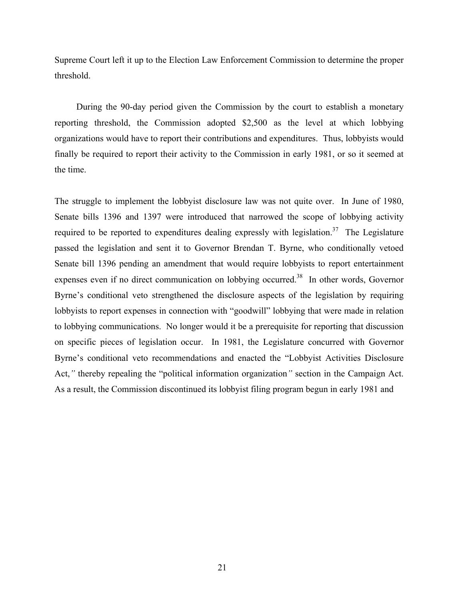Supreme Court left it up to the Election Law Enforcement Commission to determine the proper threshold.

During the 90-day period given the Commission by the court to establish a monetary reporting threshold, the Commission adopted \$2,500 as the level at which lobbying organizations would have to report their contributions and expenditures. Thus, lobbyists would finally be required to report their activity to the Commission in early 1981, or so it seemed at the time.

The struggle to implement the lobbyist disclosure law was not quite over. In June of 1980, Senate bills 1396 and 1397 were introduced that narrowed the scope of lobbying activity required to be reported to expenditures dealing expressly with legislation.<sup>37</sup> The Legislature passed the legislation and sent it to Governor Brendan T. Byrne, who conditionally vetoed Senate bill 1396 pending an amendment that would require lobbyists to report entertainment expenses even if no direct communication on lobbying occurred.<sup>38</sup> In other words, Governor Byrne's conditional veto strengthened the disclosure aspects of the legislation by requiring lobbyists to report expenses in connection with "goodwill" lobbying that were made in relation to lobbying communications. No longer would it be a prerequisite for reporting that discussion on specific pieces of legislation occur. In 1981, the Legislature concurred with Governor Byrne's conditional veto recommendations and enacted the "Lobbyist Activities Disclosure Act,*"* thereby repealing the "political information organization*"* section in the Campaign Act. As a result, the Commission discontinued its lobbyist filing program begun in early 1981 and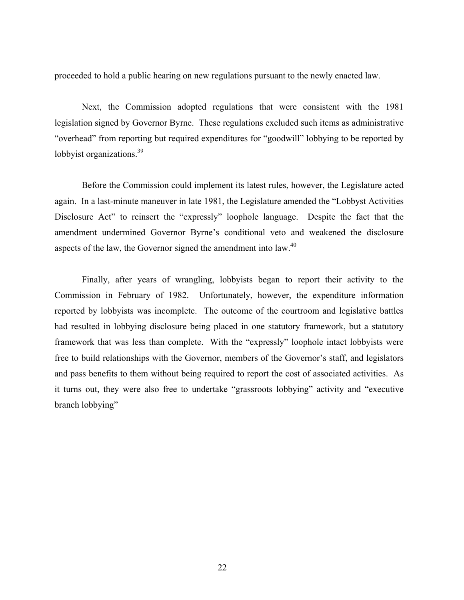proceeded to hold a public hearing on new regulations pursuant to the newly enacted law.

Next, the Commission adopted regulations that were consistent with the 1981 legislation signed by Governor Byrne. These regulations excluded such items as administrative "overhead" from reporting but required expenditures for "goodwill" lobbying to be reported by lobbyist organizations.<sup>39</sup>

Before the Commission could implement its latest rules, however, the Legislature acted again. In a last-minute maneuver in late 1981, the Legislature amended the "Lobbyst Activities Disclosure Act" to reinsert the "expressly" loophole language. Despite the fact that the amendment undermined Governor Byrne's conditional veto and weakened the disclosure aspects of the law, the Governor signed the amendment into  $\alpha$ <sup>40</sup>

Finally, after years of wrangling, lobbyists began to report their activity to the Commission in February of 1982. Unfortunately, however, the expenditure information reported by lobbyists was incomplete. The outcome of the courtroom and legislative battles had resulted in lobbying disclosure being placed in one statutory framework, but a statutory framework that was less than complete. With the "expressly" loophole intact lobbyists were free to build relationships with the Governor, members of the Governor's staff, and legislators and pass benefits to them without being required to report the cost of associated activities. As it turns out, they were also free to undertake "grassroots lobbying" activity and "executive branch lobbying"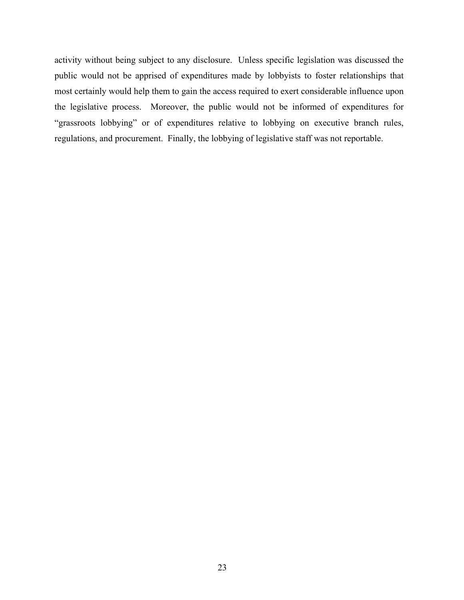activity without being subject to any disclosure. Unless specific legislation was discussed the public would not be apprised of expenditures made by lobbyists to foster relationships that most certainly would help them to gain the access required to exert considerable influence upon the legislative process. Moreover, the public would not be informed of expenditures for "grassroots lobbying" or of expenditures relative to lobbying on executive branch rules, regulations, and procurement. Finally, the lobbying of legislative staff was not reportable.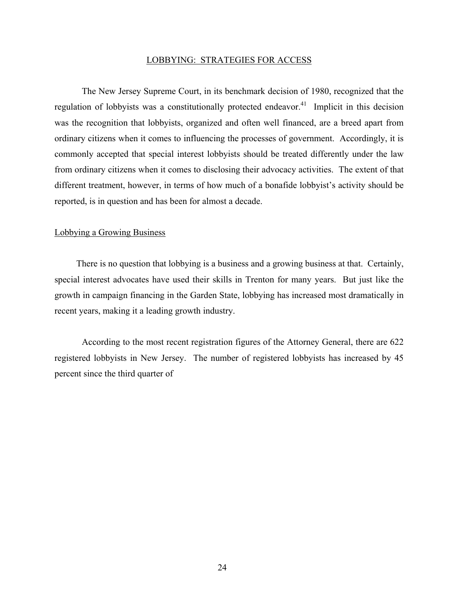#### LOBBYING: STRATEGIES FOR ACCESS

The New Jersey Supreme Court, in its benchmark decision of 1980, recognized that the regulation of lobbyists was a constitutionally protected endeavor.<sup>41</sup> Implicit in this decision was the recognition that lobbyists, organized and often well financed, are a breed apart from ordinary citizens when it comes to influencing the processes of government. Accordingly, it is commonly accepted that special interest lobbyists should be treated differently under the law from ordinary citizens when it comes to disclosing their advocacy activities. The extent of that different treatment, however, in terms of how much of a bonafide lobbyist's activity should be reported, is in question and has been for almost a decade.

#### Lobbying a Growing Business

There is no question that lobbying is a business and a growing business at that. Certainly, special interest advocates have used their skills in Trenton for many years. But just like the growth in campaign financing in the Garden State, lobbying has increased most dramatically in recent years, making it a leading growth industry.

According to the most recent registration figures of the Attorney General, there are 622 registered lobbyists in New Jersey. The number of registered lobbyists has increased by 45 percent since the third quarter of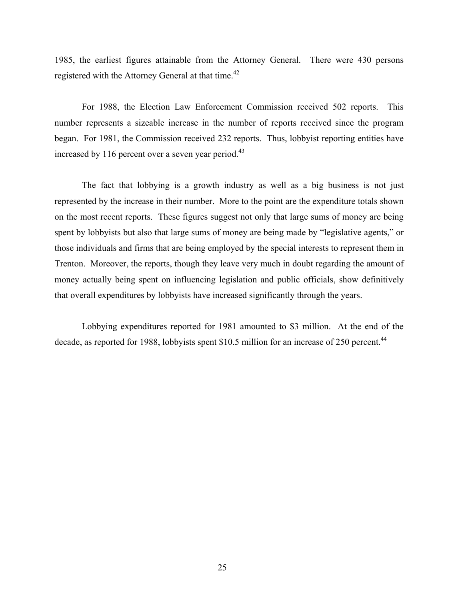1985, the earliest figures attainable from the Attorney General. There were 430 persons registered with the Attorney General at that time.<sup>42</sup>

For 1988, the Election Law Enforcement Commission received 502 reports. This number represents a sizeable increase in the number of reports received since the program began. For 1981, the Commission received 232 reports. Thus, lobbyist reporting entities have increased by 116 percent over a seven year period.<sup>43</sup>

The fact that lobbying is a growth industry as well as a big business is not just represented by the increase in their number. More to the point are the expenditure totals shown on the most recent reports. These figures suggest not only that large sums of money are being spent by lobbyists but also that large sums of money are being made by "legislative agents," or those individuals and firms that are being employed by the special interests to represent them in Trenton. Moreover, the reports, though they leave very much in doubt regarding the amount of money actually being spent on influencing legislation and public officials, show definitively that overall expenditures by lobbyists have increased significantly through the years.

Lobbying expenditures reported for 1981 amounted to \$3 million. At the end of the decade, as reported for 1988, lobbyists spent \$10.5 million for an increase of 250 percent.<sup>44</sup>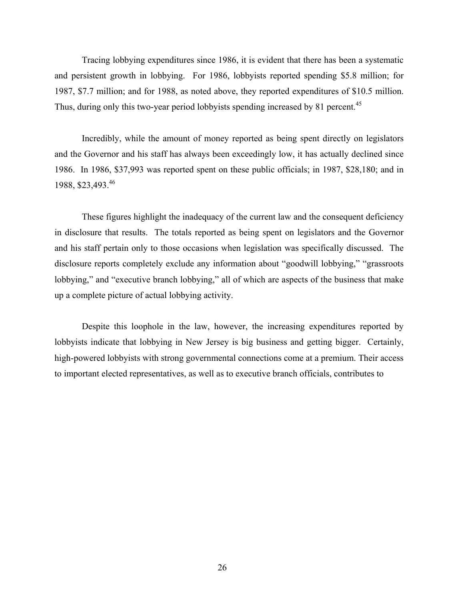Tracing lobbying expenditures since 1986, it is evident that there has been a systematic and persistent growth in lobbying. For 1986, lobbyists reported spending \$5.8 million; for 1987, \$7.7 million; and for 1988, as noted above, they reported expenditures of \$10.5 million. Thus, during only this two-year period lobbyists spending increased by 81 percent.<sup>45</sup>

Incredibly, while the amount of money reported as being spent directly on legislators and the Governor and his staff has always been exceedingly low, it has actually declined since 1986. In 1986, \$37,993 was reported spent on these public officials; in 1987, \$28,180; and in 1988, \$23,493.46

These figures highlight the inadequacy of the current law and the consequent deficiency in disclosure that results. The totals reported as being spent on legislators and the Governor and his staff pertain only to those occasions when legislation was specifically discussed. The disclosure reports completely exclude any information about "goodwill lobbying," "grassroots lobbying," and "executive branch lobbying," all of which are aspects of the business that make up a complete picture of actual lobbying activity.

Despite this loophole in the law, however, the increasing expenditures reported by lobbyists indicate that lobbying in New Jersey is big business and getting bigger. Certainly, high-powered lobbyists with strong governmental connections come at a premium. Their access to important elected representatives, as well as to executive branch officials, contributes to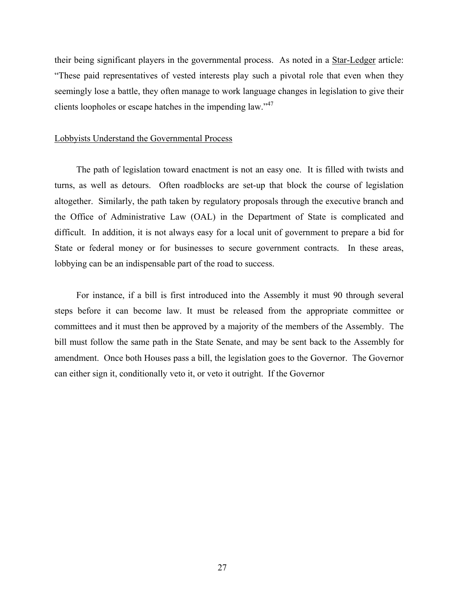their being significant players in the governmental process. As noted in a Star-Ledger article: "These paid representatives of vested interests play such a pivotal role that even when they seemingly lose a battle, they often manage to work language changes in legislation to give their clients loopholes or escape hatches in the impending law."<sup>47</sup>

#### Lobbyists Understand the Governmental Process

The path of legislation toward enactment is not an easy one. It is filled with twists and turns, as well as detours. Often roadblocks are set-up that block the course of legislation altogether. Similarly, the path taken by regulatory proposals through the executive branch and the Office of Administrative Law (OAL) in the Department of State is complicated and difficult. In addition, it is not always easy for a local unit of government to prepare a bid for State or federal money or for businesses to secure government contracts. In these areas, lobbying can be an indispensable part of the road to success.

For instance, if a bill is first introduced into the Assembly it must 90 through several steps before it can become law. It must be released from the appropriate committee or committees and it must then be approved by a majority of the members of the Assembly. The bill must follow the same path in the State Senate, and may be sent back to the Assembly for amendment. Once both Houses pass a bill, the legislation goes to the Governor. The Governor can either sign it, conditionally veto it, or veto it outright. If the Governor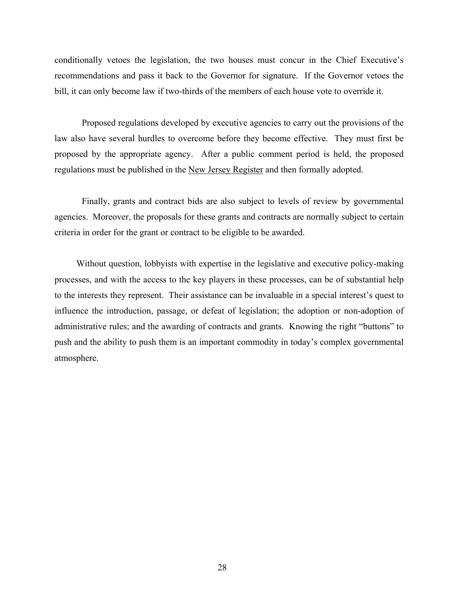conditionally vetoes the legislation, the two houses must concur in the Chief Executive's recommendations and pass it back to the Governor for signature. If the Governor vetoes the bill, it can only become law if two-thirds of the members of each house vote to override it.

Proposed regulations developed by executive agencies to carry out the provisions of the law also have several hurdles to overcome before they become effective. They must first be proposed by the appropriate agency. After a public comment period is held, the proposed regulations must be published in the New Jersey Register and then formally adopted.

Finally, grants and contract bids are also subject to levels of review by governmental agencies. Moreover, the proposals for these grants and contracts are normally subject to certain criteria in order for the grant or contract to be eligible to be awarded.

Without question, lobbyists with expertise in the legislative and executive policy-making processes, and with the access to the key players in these processes, can be of substantial help to the interests they represent. Their assistance can be invaluable in a special interest's quest to influence the introduction, passage, or defeat of legislation; the adoption or non-adoption of administrative rules; and the awarding of contracts and grants. Knowing the right "buttons" to push and the ability to push them is an important commodity in today's complex governmental atmosphere.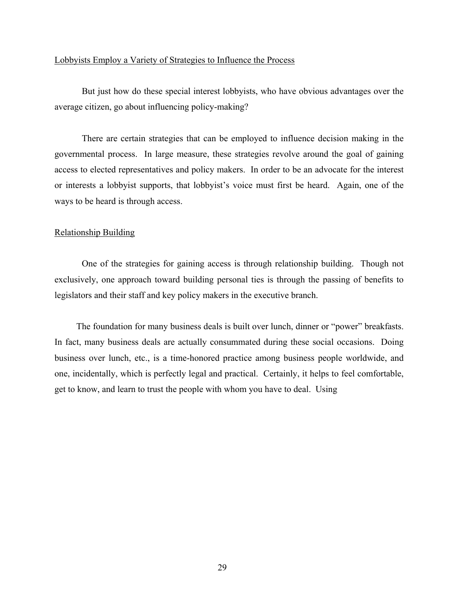#### Lobbyists Employ a Variety of Strategies to Influence the Process

But just how do these special interest lobbyists, who have obvious advantages over the average citizen, go about influencing policy-making?

There are certain strategies that can be employed to influence decision making in the governmental process. In large measure, these strategies revolve around the goal of gaining access to elected representatives and policy makers. In order to be an advocate for the interest or interests a lobbyist supports, that lobbyist's voice must first be heard. Again, one of the ways to be heard is through access.

#### Relationship Building

One of the strategies for gaining access is through relationship building. Though not exclusively, one approach toward building personal ties is through the passing of benefits to legislators and their staff and key policy makers in the executive branch.

The foundation for many business deals is built over lunch, dinner or "power" breakfasts. In fact, many business deals are actually consummated during these social occasions. Doing business over lunch, etc., is a time-honored practice among business people worldwide, and one, incidentally, which is perfectly legal and practical. Certainly, it helps to feel comfortable, get to know, and learn to trust the people with whom you have to deal. Using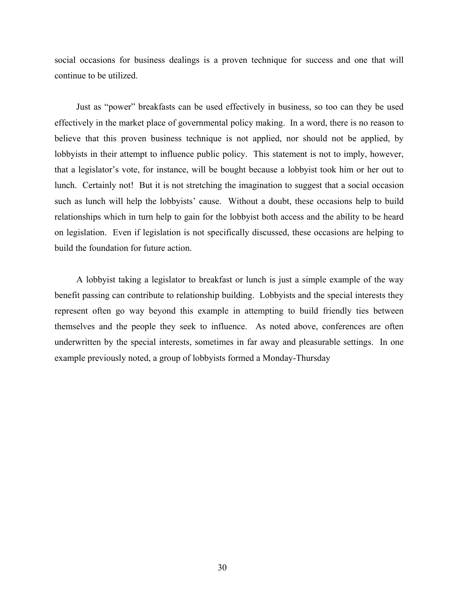social occasions for business dealings is a proven technique for success and one that will continue to be utilized.

Just as "power" breakfasts can be used effectively in business, so too can they be used effectively in the market place of governmental policy making. In a word, there is no reason to believe that this proven business technique is not applied, nor should not be applied, by lobbyists in their attempt to influence public policy. This statement is not to imply, however, that a legislator's vote, for instance, will be bought because a lobbyist took him or her out to lunch. Certainly not! But it is not stretching the imagination to suggest that a social occasion such as lunch will help the lobbyists' cause. Without a doubt, these occasions help to build relationships which in turn help to gain for the lobbyist both access and the ability to be heard on legislation. Even if legislation is not specifically discussed, these occasions are helping to build the foundation for future action.

A lobbyist taking a legislator to breakfast or lunch is just a simple example of the way benefit passing can contribute to relationship building. Lobbyists and the special interests they represent often go way beyond this example in attempting to build friendly ties between themselves and the people they seek to influence. As noted above, conferences are often underwritten by the special interests, sometimes in far away and pleasurable settings. In one example previously noted, a group of lobbyists formed a Monday-Thursday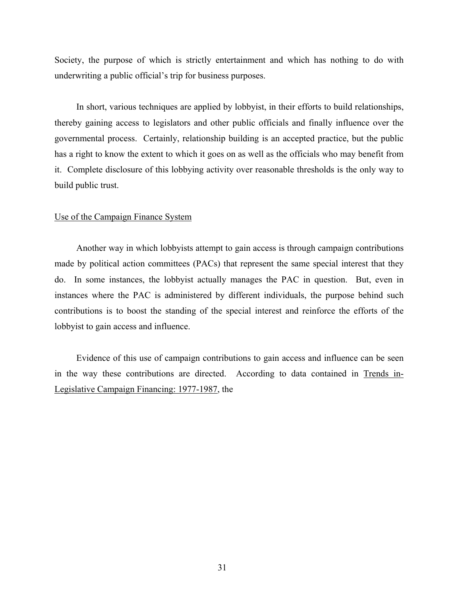Society, the purpose of which is strictly entertainment and which has nothing to do with underwriting a public official's trip for business purposes.

In short, various techniques are applied by lobbyist, in their efforts to build relationships, thereby gaining access to legislators and other public officials and finally influence over the governmental process. Certainly, relationship building is an accepted practice, but the public has a right to know the extent to which it goes on as well as the officials who may benefit from it. Complete disclosure of this lobbying activity over reasonable thresholds is the only way to build public trust.

# Use of the Campaign Finance System

Another way in which lobbyists attempt to gain access is through campaign contributions made by political action committees (PACs) that represent the same special interest that they do. In some instances, the lobbyist actually manages the PAC in question. But, even in instances where the PAC is administered by different individuals, the purpose behind such contributions is to boost the standing of the special interest and reinforce the efforts of the lobbyist to gain access and influence.

Evidence of this use of campaign contributions to gain access and influence can be seen in the way these contributions are directed. According to data contained in Trends in-Legislative Campaign Financing: 1977-1987, the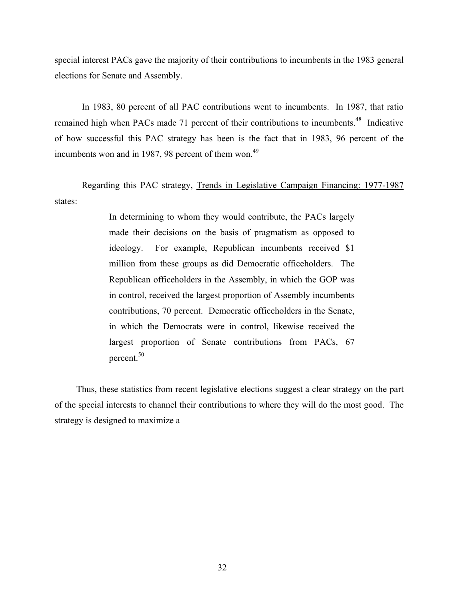special interest PACs gave the majority of their contributions to incumbents in the 1983 general elections for Senate and Assembly.

In 1983, 80 percent of all PAC contributions went to incumbents. In 1987, that ratio remained high when PACs made 71 percent of their contributions to incumbents.<sup>48</sup> Indicative of how successful this PAC strategy has been is the fact that in 1983, 96 percent of the incumbents won and in 1987, 98 percent of them won.<sup>49</sup>

Regarding this PAC strategy, Trends in Legislative Campaign Financing: 1977-1987 states:

> In determining to whom they would contribute, the PACs largely made their decisions on the basis of pragmatism as opposed to ideology. For example, Republican incumbents received \$1 million from these groups as did Democratic officeholders. The Republican officeholders in the Assembly, in which the GOP was in control, received the largest proportion of Assembly incumbents contributions, 70 percent. Democratic officeholders in the Senate, in which the Democrats were in control, likewise received the largest proportion of Senate contributions from PACs, 67 percent.<sup>50</sup>

Thus, these statistics from recent legislative elections suggest a clear strategy on the part of the special interests to channel their contributions to where they will do the most good. The strategy is designed to maximize a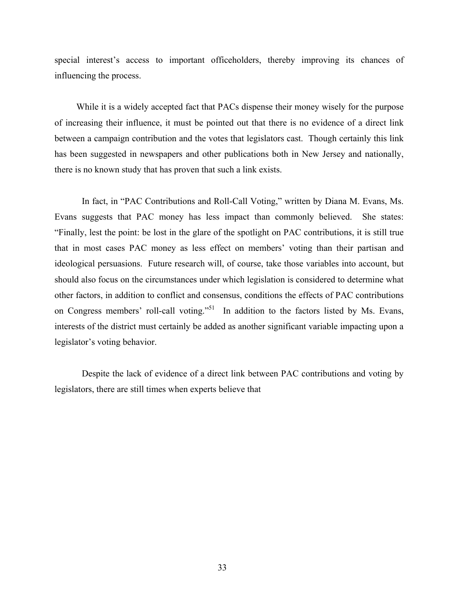special interest's access to important officeholders, thereby improving its chances of influencing the process.

While it is a widely accepted fact that PACs dispense their money wisely for the purpose of increasing their influence, it must be pointed out that there is no evidence of a direct link between a campaign contribution and the votes that legislators cast. Though certainly this link has been suggested in newspapers and other publications both in New Jersey and nationally, there is no known study that has proven that such a link exists.

In fact, in "PAC Contributions and Roll-Call Voting," written by Diana M. Evans, Ms. Evans suggests that PAC money has less impact than commonly believed. She states: "Finally, lest the point: be lost in the glare of the spotlight on PAC contributions, it is still true that in most cases PAC money as less effect on members' voting than their partisan and ideological persuasions. Future research will, of course, take those variables into account, but should also focus on the circumstances under which legislation is considered to determine what other factors, in addition to conflict and consensus, conditions the effects of PAC contributions on Congress members' roll-call voting."<sup>51</sup> In addition to the factors listed by Ms. Evans, interests of the district must certainly be added as another significant variable impacting upon a legislator's voting behavior.

Despite the lack of evidence of a direct link between PAC contributions and voting by legislators, there are still times when experts believe that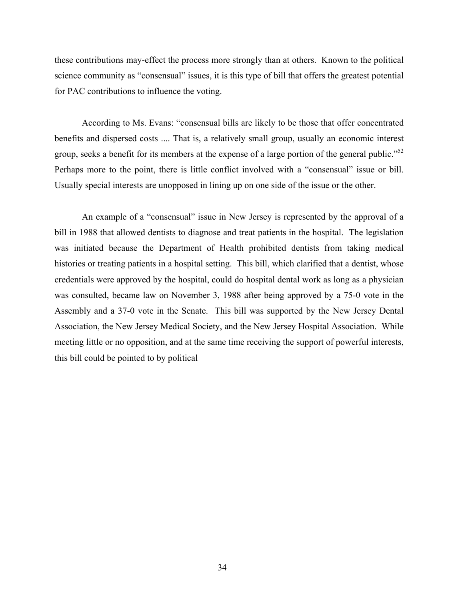these contributions may-effect the process more strongly than at others. Known to the political science community as "consensual" issues, it is this type of bill that offers the greatest potential for PAC contributions to influence the voting.

According to Ms. Evans: "consensual bills are likely to be those that offer concentrated benefits and dispersed costs .... That is, a relatively small group, usually an economic interest group, seeks a benefit for its members at the expense of a large portion of the general public."<sup>52</sup> Perhaps more to the point, there is little conflict involved with a "consensual" issue or bill. Usually special interests are unopposed in lining up on one side of the issue or the other.

An example of a "consensual" issue in New Jersey is represented by the approval of a bill in 1988 that allowed dentists to diagnose and treat patients in the hospital. The legislation was initiated because the Department of Health prohibited dentists from taking medical histories or treating patients in a hospital setting. This bill, which clarified that a dentist, whose credentials were approved by the hospital, could do hospital dental work as long as a physician was consulted, became law on November 3, 1988 after being approved by a 75-0 vote in the Assembly and a 37-0 vote in the Senate. This bill was supported by the New Jersey Dental Association, the New Jersey Medical Society, and the New Jersey Hospital Association. While meeting little or no opposition, and at the same time receiving the support of powerful interests, this bill could be pointed to by political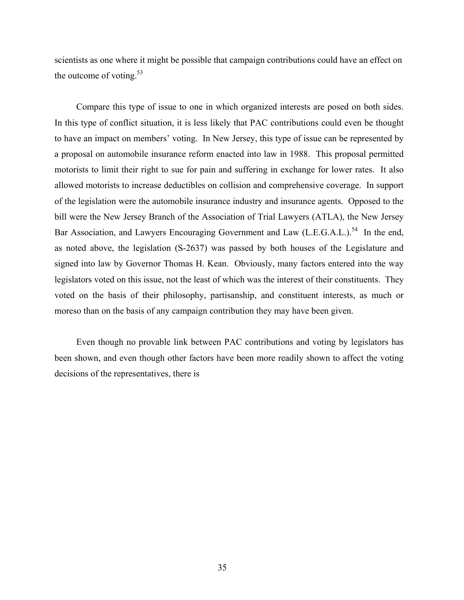scientists as one where it might be possible that campaign contributions could have an effect on the outcome of voting. $53$ 

Compare this type of issue to one in which organized interests are posed on both sides. In this type of conflict situation, it is less likely that PAC contributions could even be thought to have an impact on members' voting. In New Jersey, this type of issue can be represented by a proposal on automobile insurance reform enacted into law in 1988. This proposal permitted motorists to limit their right to sue for pain and suffering in exchange for lower rates. It also allowed motorists to increase deductibles on collision and comprehensive coverage. In support of the legislation were the automobile insurance industry and insurance agents. Opposed to the bill were the New Jersey Branch of the Association of Trial Lawyers (ATLA), the New Jersey Bar Association, and Lawyers Encouraging Government and Law (L.E.G.A.L.).<sup>54</sup> In the end, as noted above, the legislation (S-2637) was passed by both houses of the Legislature and signed into law by Governor Thomas H. Kean. Obviously, many factors entered into the way legislators voted on this issue, not the least of which was the interest of their constituents. They voted on the basis of their philosophy, partisanship, and constituent interests, as much or moreso than on the basis of any campaign contribution they may have been given.

Even though no provable link between PAC contributions and voting by legislators has been shown, and even though other factors have been more readily shown to affect the voting decisions of the representatives, there is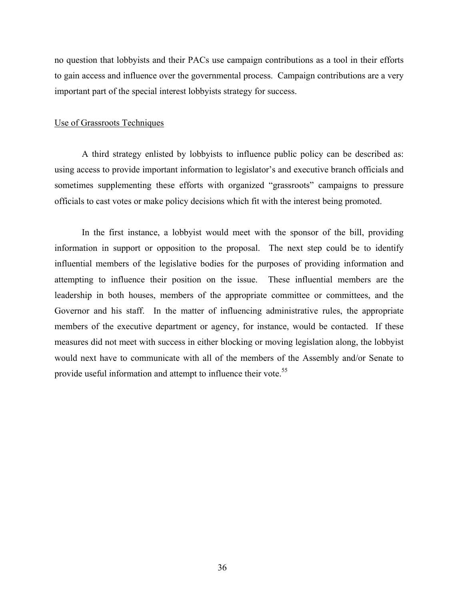no question that lobbyists and their PACs use campaign contributions as a tool in their efforts to gain access and influence over the governmental process. Campaign contributions are a very important part of the special interest lobbyists strategy for success.

### Use of Grassroots Techniques

A third strategy enlisted by lobbyists to influence public policy can be described as: using access to provide important information to legislator's and executive branch officials and sometimes supplementing these efforts with organized "grassroots" campaigns to pressure officials to cast votes or make policy decisions which fit with the interest being promoted.

In the first instance, a lobbyist would meet with the sponsor of the bill, providing information in support or opposition to the proposal. The next step could be to identify influential members of the legislative bodies for the purposes of providing information and attempting to influence their position on the issue. These influential members are the leadership in both houses, members of the appropriate committee or committees, and the Governor and his staff. In the matter of influencing administrative rules, the appropriate members of the executive department or agency, for instance, would be contacted. If these measures did not meet with success in either blocking or moving legislation along, the lobbyist would next have to communicate with all of the members of the Assembly and/or Senate to provide useful information and attempt to influence their vote.<sup>55</sup>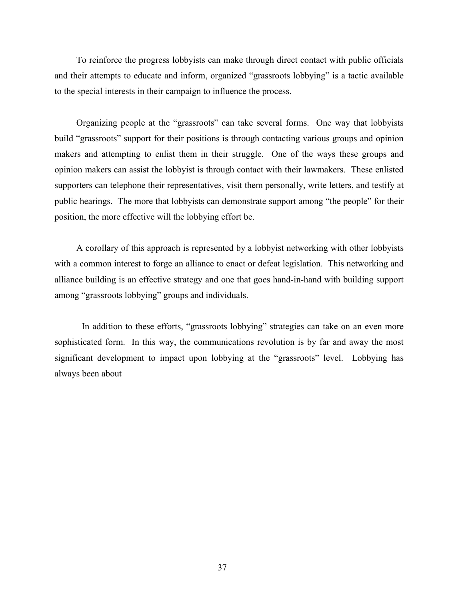To reinforce the progress lobbyists can make through direct contact with public officials and their attempts to educate and inform, organized "grassroots lobbying" is a tactic available to the special interests in their campaign to influence the process.

Organizing people at the "grassroots" can take several forms. One way that lobbyists build "grassroots" support for their positions is through contacting various groups and opinion makers and attempting to enlist them in their struggle. One of the ways these groups and opinion makers can assist the lobbyist is through contact with their lawmakers. These enlisted supporters can telephone their representatives, visit them personally, write letters, and testify at public hearings. The more that lobbyists can demonstrate support among "the people" for their position, the more effective will the lobbying effort be.

A corollary of this approach is represented by a lobbyist networking with other lobbyists with a common interest to forge an alliance to enact or defeat legislation. This networking and alliance building is an effective strategy and one that goes hand-in-hand with building support among "grassroots lobbying" groups and individuals.

In addition to these efforts, "grassroots lobbying" strategies can take on an even more sophisticated form. In this way, the communications revolution is by far and away the most significant development to impact upon lobbying at the "grassroots" level. Lobbying has always been about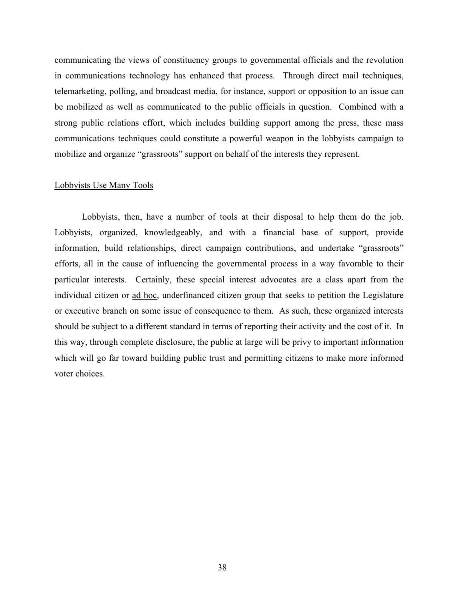communicating the views of constituency groups to governmental officials and the revolution in communications technology has enhanced that process. Through direct mail techniques, telemarketing, polling, and broadcast media, for instance, support or opposition to an issue can be mobilized as well as communicated to the public officials in question. Combined with a strong public relations effort, which includes building support among the press, these mass communications techniques could constitute a powerful weapon in the lobbyists campaign to mobilize and organize "grassroots" support on behalf of the interests they represent.

#### Lobbyists Use Many Tools

Lobbyists, then, have a number of tools at their disposal to help them do the job. Lobbyists, organized, knowledgeably, and with a financial base of support, provide information, build relationships, direct campaign contributions, and undertake "grassroots" efforts, all in the cause of influencing the governmental process in a way favorable to their particular interests. Certainly, these special interest advocates are a class apart from the individual citizen or ad hoc, underfinanced citizen group that seeks to petition the Legislature or executive branch on some issue of consequence to them. As such, these organized interests should be subject to a different standard in terms of reporting their activity and the cost of it. In this way, through complete disclosure, the public at large will be privy to important information which will go far toward building public trust and permitting citizens to make more informed voter choices.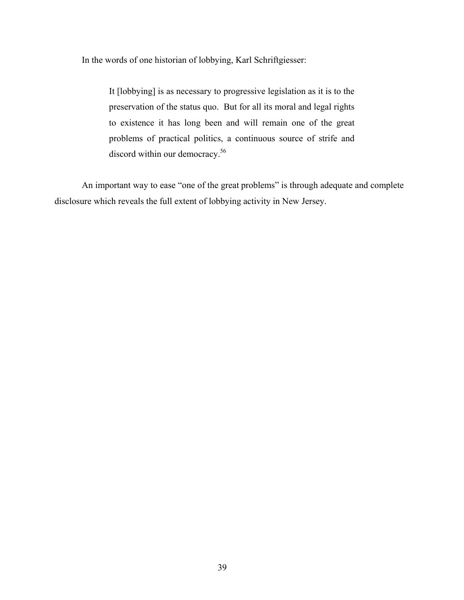In the words of one historian of lobbying, Karl Schriftgiesser:

It [lobbying] is as necessary to progressive legislation as it is to the preservation of the status quo. But for all its moral and legal rights to existence it has long been and will remain one of the great problems of practical politics, a continuous source of strife and discord within our democracy.<sup>56</sup>

An important way to ease "one of the great problems" is through adequate and complete disclosure which reveals the full extent of lobbying activity in New Jersey.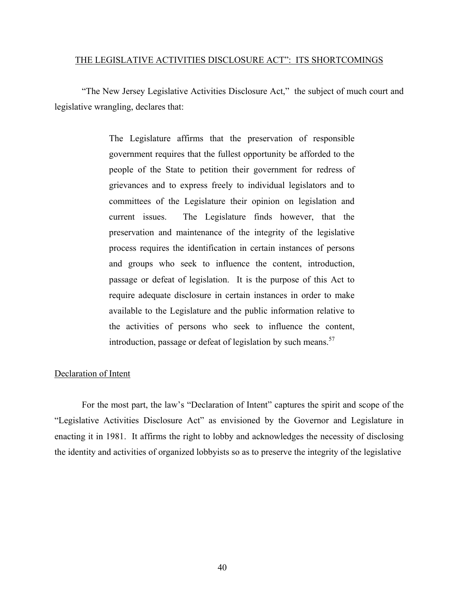### THE LEGISLATIVE ACTIVITIES DISCLOSURE ACT": ITS SHORTCOMINGS

 "The New Jersey Legislative Activities Disclosure Act," the subject of much court and legislative wrangling, declares that:

> The Legislature affirms that the preservation of responsible government requires that the fullest opportunity be afforded to the people of the State to petition their government for redress of grievances and to express freely to individual legislators and to committees of the Legislature their opinion on legislation and current issues. The Legislature finds however, that the preservation and maintenance of the integrity of the legislative process requires the identification in certain instances of persons and groups who seek to influence the content, introduction, passage or defeat of legislation. It is the purpose of this Act to require adequate disclosure in certain instances in order to make available to the Legislature and the public information relative to the activities of persons who seek to influence the content, introduction, passage or defeat of legislation by such means.<sup>57</sup>

#### Declaration of Intent

For the most part, the law's "Declaration of Intent" captures the spirit and scope of the "Legislative Activities Disclosure Act" as envisioned by the Governor and Legislature in enacting it in 1981. It affirms the right to lobby and acknowledges the necessity of disclosing the identity and activities of organized lobbyists so as to preserve the integrity of the legislative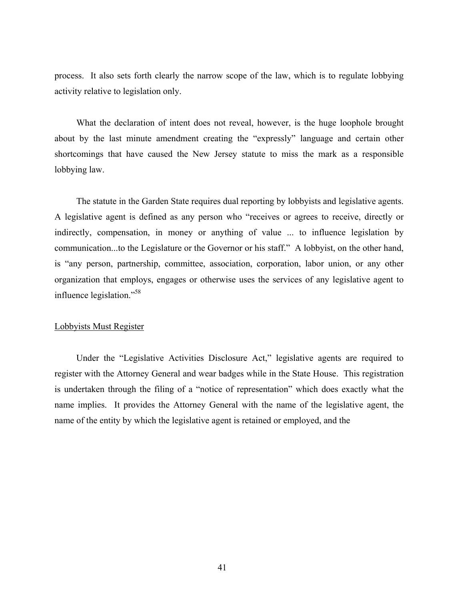process. It also sets forth clearly the narrow scope of the law, which is to regulate lobbying activity relative to legislation only.

What the declaration of intent does not reveal, however, is the huge loophole brought about by the last minute amendment creating the "expressly" language and certain other shortcomings that have caused the New Jersey statute to miss the mark as a responsible lobbying law.

The statute in the Garden State requires dual reporting by lobbyists and legislative agents. A legislative agent is defined as any person who "receives or agrees to receive, directly or indirectly, compensation, in money or anything of value ... to influence legislation by communication...to the Legislature or the Governor or his staff." A lobbyist, on the other hand, is "any person, partnership, committee, association, corporation, labor union, or any other organization that employs, engages or otherwise uses the services of any legislative agent to influence legislation."58

#### Lobbyists Must Register

Under the "Legislative Activities Disclosure Act," legislative agents are required to register with the Attorney General and wear badges while in the State House. This registration is undertaken through the filing of a "notice of representation" which does exactly what the name implies. It provides the Attorney General with the name of the legislative agent, the name of the entity by which the legislative agent is retained or employed, and the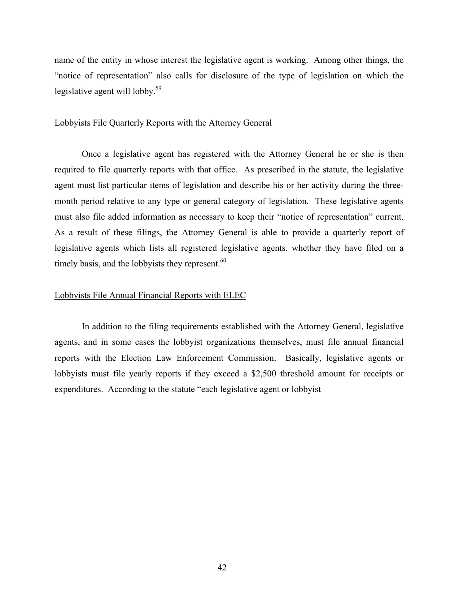name of the entity in whose interest the legislative agent is working. Among other things, the "notice of representation" also calls for disclosure of the type of legislation on which the legislative agent will lobby.<sup>59</sup>

## Lobbyists File Quarterly Reports with the Attorney General

Once a legislative agent has registered with the Attorney General he or she is then required to file quarterly reports with that office. As prescribed in the statute, the legislative agent must list particular items of legislation and describe his or her activity during the threemonth period relative to any type or general category of legislation. These legislative agents must also file added information as necessary to keep their "notice of representation" current. As a result of these filings, the Attorney General is able to provide a quarterly report of legislative agents which lists all registered legislative agents, whether they have filed on a timely basis, and the lobbyists they represent.<sup>60</sup>

# Lobbyists File Annual Financial Reports with ELEC

In addition to the filing requirements established with the Attorney General, legislative agents, and in some cases the lobbyist organizations themselves, must file annual financial reports with the Election Law Enforcement Commission. Basically, legislative agents or lobbyists must file yearly reports if they exceed a \$2,500 threshold amount for receipts or expenditures. According to the statute "each legislative agent or lobbyist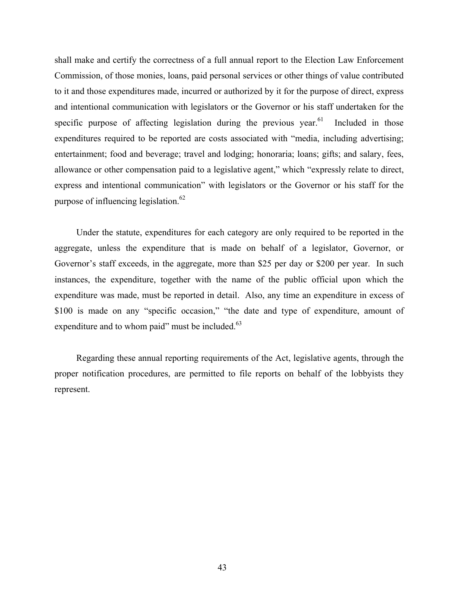shall make and certify the correctness of a full annual report to the Election Law Enforcement Commission, of those monies, loans, paid personal services or other things of value contributed to it and those expenditures made, incurred or authorized by it for the purpose of direct, express and intentional communication with legislators or the Governor or his staff undertaken for the specific purpose of affecting legislation during the previous year.<sup>61</sup> Included in those expenditures required to be reported are costs associated with "media, including advertising; entertainment; food and beverage; travel and lodging; honoraria; loans; gifts; and salary, fees, allowance or other compensation paid to a legislative agent," which "expressly relate to direct, express and intentional communication" with legislators or the Governor or his staff for the purpose of influencing legislation.<sup>62</sup>

Under the statute, expenditures for each category are only required to be reported in the aggregate, unless the expenditure that is made on behalf of a legislator, Governor, or Governor's staff exceeds, in the aggregate, more than \$25 per day or \$200 per year. In such instances, the expenditure, together with the name of the public official upon which the expenditure was made, must be reported in detail. Also, any time an expenditure in excess of \$100 is made on any "specific occasion," "the date and type of expenditure, amount of expenditure and to whom paid" must be included. $63$ 

Regarding these annual reporting requirements of the Act, legislative agents, through the proper notification procedures, are permitted to file reports on behalf of the lobbyists they represent.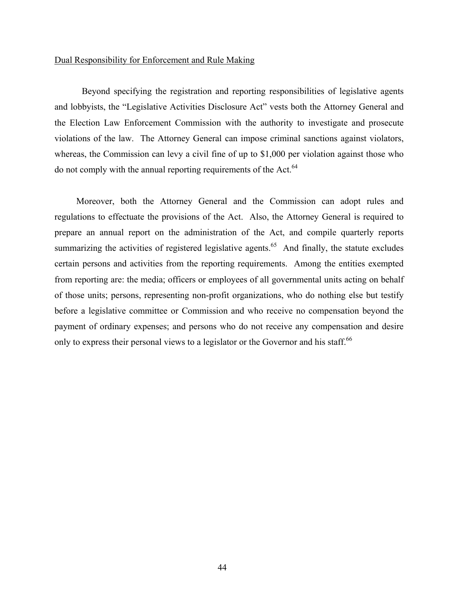### Dual Responsibility for Enforcement and Rule Making

 Beyond specifying the registration and reporting responsibilities of legislative agents and lobbyists, the "Legislative Activities Disclosure Act" vests both the Attorney General and the Election Law Enforcement Commission with the authority to investigate and prosecute violations of the law. The Attorney General can impose criminal sanctions against violators, whereas, the Commission can levy a civil fine of up to \$1,000 per violation against those who do not comply with the annual reporting requirements of the Act.<sup>64</sup>

Moreover, both the Attorney General and the Commission can adopt rules and regulations to effectuate the provisions of the Act. Also, the Attorney General is required to prepare an annual report on the administration of the Act, and compile quarterly reports summarizing the activities of registered legislative agents.<sup>65</sup> And finally, the statute excludes certain persons and activities from the reporting requirements. Among the entities exempted from reporting are: the media; officers or employees of all governmental units acting on behalf of those units; persons, representing non-profit organizations, who do nothing else but testify before a legislative committee or Commission and who receive no compensation beyond the payment of ordinary expenses; and persons who do not receive any compensation and desire only to express their personal views to a legislator or the Governor and his staff.<sup>66</sup>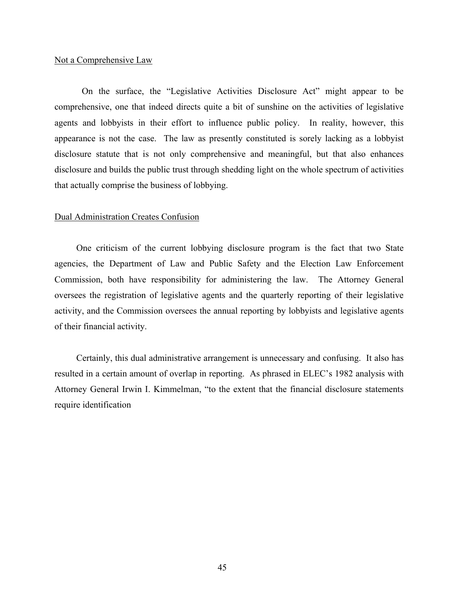## Not a Comprehensive Law

On the surface, the "Legislative Activities Disclosure Act" might appear to be comprehensive, one that indeed directs quite a bit of sunshine on the activities of legislative agents and lobbyists in their effort to influence public policy. In reality, however, this appearance is not the case. The law as presently constituted is sorely lacking as a lobbyist disclosure statute that is not only comprehensive and meaningful, but that also enhances disclosure and builds the public trust through shedding light on the whole spectrum of activities that actually comprise the business of lobbying.

# Dual Administration Creates Confusion

One criticism of the current lobbying disclosure program is the fact that two State agencies, the Department of Law and Public Safety and the Election Law Enforcement Commission, both have responsibility for administering the law. The Attorney General oversees the registration of legislative agents and the quarterly reporting of their legislative activity, and the Commission oversees the annual reporting by lobbyists and legislative agents of their financial activity.

Certainly, this dual administrative arrangement is unnecessary and confusing. It also has resulted in a certain amount of overlap in reporting. As phrased in ELEC's 1982 analysis with Attorney General Irwin I. Kimmelman, "to the extent that the financial disclosure statements require identification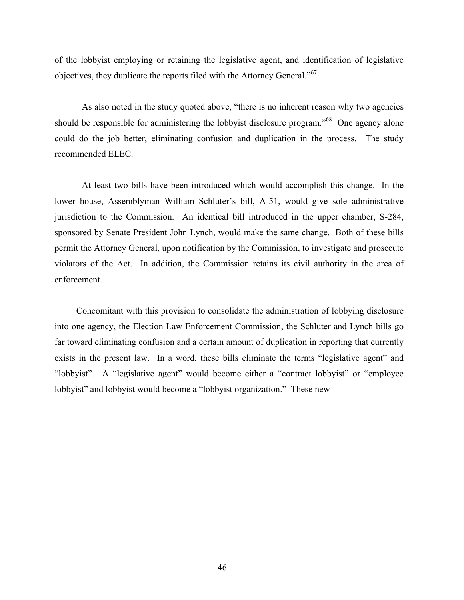of the lobbyist employing or retaining the legislative agent, and identification of legislative objectives, they duplicate the reports filed with the Attorney General."<sup>67</sup>

As also noted in the study quoted above, "there is no inherent reason why two agencies should be responsible for administering the lobbyist disclosure program.<sup>568</sup> One agency alone could do the job better, eliminating confusion and duplication in the process. The study recommended ELEC.

At least two bills have been introduced which would accomplish this change. In the lower house, Assemblyman William Schluter's bill, A-51, would give sole administrative jurisdiction to the Commission. An identical bill introduced in the upper chamber, S-284, sponsored by Senate President John Lynch, would make the same change. Both of these bills permit the Attorney General, upon notification by the Commission, to investigate and prosecute violators of the Act. In addition, the Commission retains its civil authority in the area of enforcement.

Concomitant with this provision to consolidate the administration of lobbying disclosure into one agency, the Election Law Enforcement Commission, the Schluter and Lynch bills go far toward eliminating confusion and a certain amount of duplication in reporting that currently exists in the present law. In a word, these bills eliminate the terms "legislative agent" and "lobbyist". A "legislative agent" would become either a "contract lobbyist" or "employee lobbyist" and lobbyist would become a "lobbyist organization." These new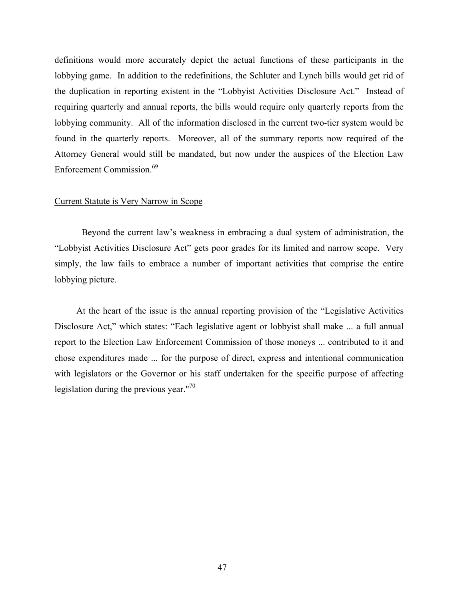definitions would more accurately depict the actual functions of these participants in the lobbying game. In addition to the redefinitions, the Schluter and Lynch bills would get rid of the duplication in reporting existent in the "Lobbyist Activities Disclosure Act." Instead of requiring quarterly and annual reports, the bills would require only quarterly reports from the lobbying community. All of the information disclosed in the current two-tier system would be found in the quarterly reports. Moreover, all of the summary reports now required of the Attorney General would still be mandated, but now under the auspices of the Election Law Enforcement Commission.<sup>69</sup>

# Current Statute is Very Narrow in Scope

Beyond the current law's weakness in embracing a dual system of administration, the "Lobbyist Activities Disclosure Act" gets poor grades for its limited and narrow scope. Very simply, the law fails to embrace a number of important activities that comprise the entire lobbying picture.

At the heart of the issue is the annual reporting provision of the "Legislative Activities Disclosure Act," which states: "Each legislative agent or lobbyist shall make ... a full annual report to the Election Law Enforcement Commission of those moneys ... contributed to it and chose expenditures made ... for the purpose of direct, express and intentional communication with legislators or the Governor or his staff undertaken for the specific purpose of affecting legislation during the previous year."<sup>70</sup>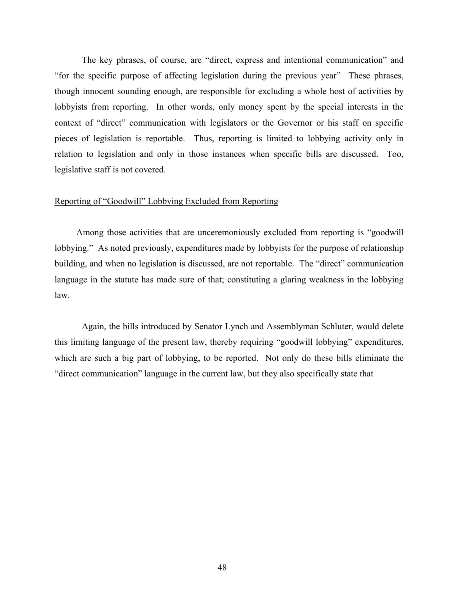The key phrases, of course, are "direct, express and intentional communication" and "for the specific purpose of affecting legislation during the previous year" These phrases, though innocent sounding enough, are responsible for excluding a whole host of activities by lobbyists from reporting. In other words, only money spent by the special interests in the context of "direct" communication with legislators or the Governor or his staff on specific pieces of legislation is reportable. Thus, reporting is limited to lobbying activity only in relation to legislation and only in those instances when specific bills are discussed. Too, legislative staff is not covered.

# Reporting of "Goodwill" Lobbying Excluded from Reporting

Among those activities that are unceremoniously excluded from reporting is "goodwill lobbying." As noted previously, expenditures made by lobbyists for the purpose of relationship building, and when no legislation is discussed, are not reportable. The "direct" communication language in the statute has made sure of that; constituting a glaring weakness in the lobbying law.

Again, the bills introduced by Senator Lynch and Assemblyman Schluter, would delete this limiting language of the present law, thereby requiring "goodwill lobbying" expenditures, which are such a big part of lobbying, to be reported. Not only do these bills eliminate the "direct communication" language in the current law, but they also specifically state that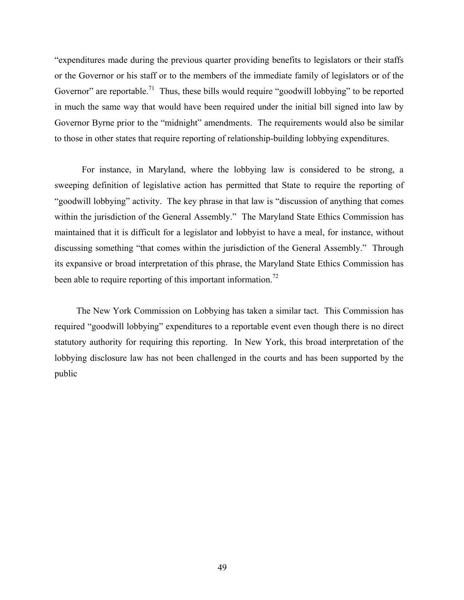"expenditures made during the previous quarter providing benefits to legislators or their staffs or the Governor or his staff or to the members of the immediate family of legislators or of the Governor" are reportable.<sup>71</sup> Thus, these bills would require "goodwill lobbying" to be reported in much the same way that would have been required under the initial bill signed into law by Governor Byrne prior to the "midnight" amendments. The requirements would also be similar to those in other states that require reporting of relationship-building lobbying expenditures.

For instance, in Maryland, where the lobbying law is considered to be strong, a sweeping definition of legislative action has permitted that State to require the reporting of "goodwill lobbying" activity. The key phrase in that law is "discussion of anything that comes within the jurisdiction of the General Assembly." The Maryland State Ethics Commission has maintained that it is difficult for a legislator and lobbyist to have a meal, for instance, without discussing something "that comes within the jurisdiction of the General Assembly." Through its expansive or broad interpretation of this phrase, the Maryland State Ethics Commission has been able to require reporting of this important information.<sup>72</sup>

The New York Commission on Lobbying has taken a similar tact. This Commission has required "goodwill lobbying" expenditures to a reportable event even though there is no direct statutory authority for requiring this reporting. In New York, this broad interpretation of the lobbying disclosure law has not been challenged in the courts and has been supported by the public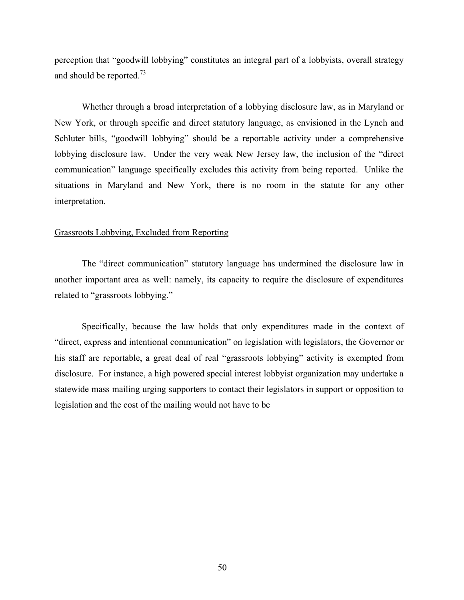perception that "goodwill lobbying" constitutes an integral part of a lobbyists, overall strategy and should be reported.<sup>73</sup>

Whether through a broad interpretation of a lobbying disclosure law, as in Maryland or New York, or through specific and direct statutory language, as envisioned in the Lynch and Schluter bills, "goodwill lobbying" should be a reportable activity under a comprehensive lobbying disclosure law. Under the very weak New Jersey law, the inclusion of the "direct communication" language specifically excludes this activity from being reported. Unlike the situations in Maryland and New York, there is no room in the statute for any other interpretation.

## Grassroots Lobbying, Excluded from Reporting

The "direct communication" statutory language has undermined the disclosure law in another important area as well: namely, its capacity to require the disclosure of expenditures related to "grassroots lobbying."

Specifically, because the law holds that only expenditures made in the context of "direct, express and intentional communication" on legislation with legislators, the Governor or his staff are reportable, a great deal of real "grassroots lobbying" activity is exempted from disclosure. For instance, a high powered special interest lobbyist organization may undertake a statewide mass mailing urging supporters to contact their legislators in support or opposition to legislation and the cost of the mailing would not have to be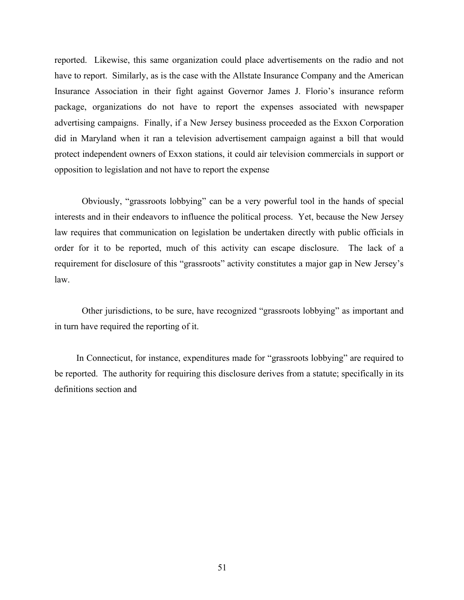reported. Likewise, this same organization could place advertisements on the radio and not have to report. Similarly, as is the case with the Allstate Insurance Company and the American Insurance Association in their fight against Governor James J. Florio's insurance reform package, organizations do not have to report the expenses associated with newspaper advertising campaigns. Finally, if a New Jersey business proceeded as the Exxon Corporation did in Maryland when it ran a television advertisement campaign against a bill that would protect independent owners of Exxon stations, it could air television commercials in support or opposition to legislation and not have to report the expense

Obviously, "grassroots lobbying" can be a very powerful tool in the hands of special interests and in their endeavors to influence the political process. Yet, because the New Jersey law requires that communication on legislation be undertaken directly with public officials in order for it to be reported, much of this activity can escape disclosure. The lack of a requirement for disclosure of this "grassroots" activity constitutes a major gap in New Jersey's law.

Other jurisdictions, to be sure, have recognized "grassroots lobbying" as important and in turn have required the reporting of it.

In Connecticut, for instance, expenditures made for "grassroots lobbying" are required to be reported. The authority for requiring this disclosure derives from a statute; specifically in its definitions section and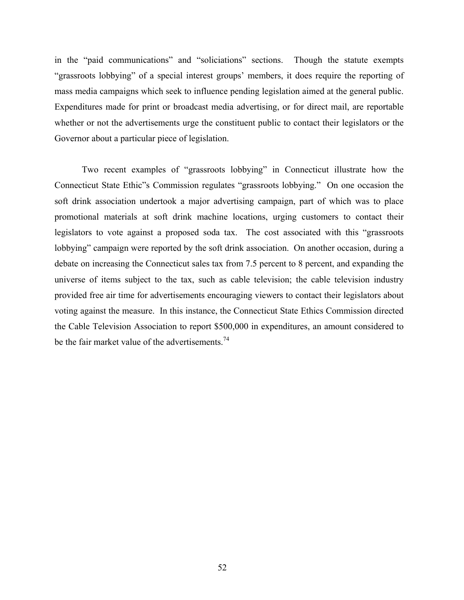in the "paid communications" and "soliciations" sections. Though the statute exempts "grassroots lobbying" of a special interest groups' members, it does require the reporting of mass media campaigns which seek to influence pending legislation aimed at the general public. Expenditures made for print or broadcast media advertising, or for direct mail, are reportable whether or not the advertisements urge the constituent public to contact their legislators or the Governor about a particular piece of legislation.

Two recent examples of "grassroots lobbying" in Connecticut illustrate how the Connecticut State Ethic"s Commission regulates "grassroots lobbying." On one occasion the soft drink association undertook a major advertising campaign, part of which was to place promotional materials at soft drink machine locations, urging customers to contact their legislators to vote against a proposed soda tax. The cost associated with this "grassroots lobbying" campaign were reported by the soft drink association. On another occasion, during a debate on increasing the Connecticut sales tax from 7.5 percent to 8 percent, and expanding the universe of items subject to the tax, such as cable television; the cable television industry provided free air time for advertisements encouraging viewers to contact their legislators about voting against the measure. In this instance, the Connecticut State Ethics Commission directed the Cable Television Association to report \$500,000 in expenditures, an amount considered to be the fair market value of the advertisements.<sup>74</sup>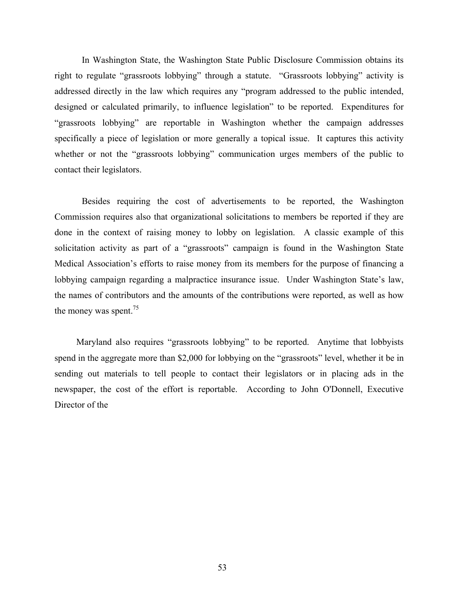In Washington State, the Washington State Public Disclosure Commission obtains its right to regulate "grassroots lobbying" through a statute. "Grassroots lobbying" activity is addressed directly in the law which requires any "program addressed to the public intended, designed or calculated primarily, to influence legislation" to be reported. Expenditures for "grassroots lobbying" are reportable in Washington whether the campaign addresses specifically a piece of legislation or more generally a topical issue. It captures this activity whether or not the "grassroots lobbying" communication urges members of the public to contact their legislators.

Besides requiring the cost of advertisements to be reported, the Washington Commission requires also that organizational solicitations to members be reported if they are done in the context of raising money to lobby on legislation. A classic example of this solicitation activity as part of a "grassroots" campaign is found in the Washington State Medical Association's efforts to raise money from its members for the purpose of financing a lobbying campaign regarding a malpractice insurance issue. Under Washington State's law, the names of contributors and the amounts of the contributions were reported, as well as how the money was spent.<sup>75</sup>

Maryland also requires "grassroots lobbying" to be reported. Anytime that lobbyists spend in the aggregate more than \$2,000 for lobbying on the "grassroots" level, whether it be in sending out materials to tell people to contact their legislators or in placing ads in the newspaper, the cost of the effort is reportable. According to John O'Donnell, Executive Director of the

53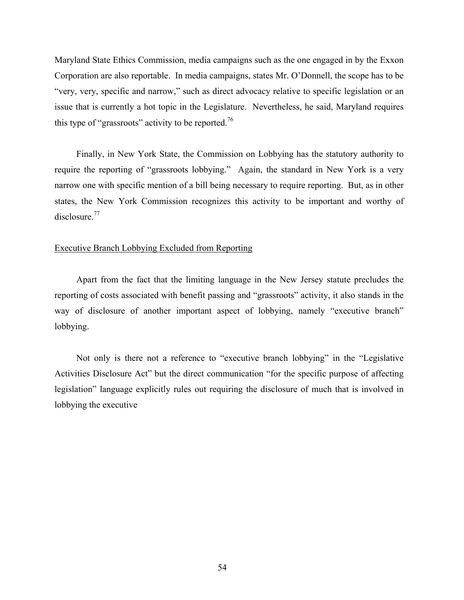Maryland State Ethics Commission, media campaigns such as the one engaged in by the Exxon Corporation are also reportable. In media campaigns, states Mr. O'Donnell, the scope has to be "very, very, specific and narrow," such as direct advocacy relative to specific legislation or an issue that is currently a hot topic in the Legislature. Nevertheless, he said, Maryland requires this type of "grassroots" activity to be reported.<sup>76</sup>

Finally, in New York State, the Commission on Lobbying has the statutory authority to require the reporting of "grassroots lobbying." Again, the standard in New York is a very narrow one with specific mention of a bill being necessary to require reporting. But, as in other states, the New York Commission recognizes this activity to be important and worthy of disclosure.<sup>77</sup>

# Executive Branch Lobbying Excluded from Reporting

Apart from the fact that the limiting language in the New Jersey statute precludes the reporting of costs associated with benefit passing and "grassroots" activity, it also stands in the way of disclosure of another important aspect of lobbying, namely "executive branch" lobbying.

Not only is there not a reference to "executive branch lobbying" in the "Legislative Activities Disclosure Act" but the direct communication "for the specific purpose of affecting legislation" language explicitly rules out requiring the disclosure of much that is involved in lobbying the executive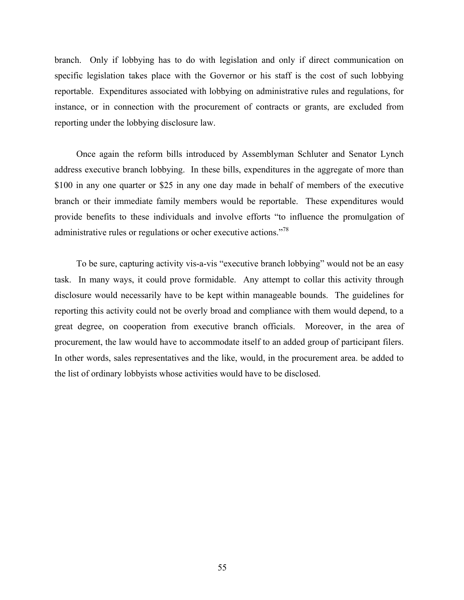branch. Only if lobbying has to do with legislation and only if direct communication on specific legislation takes place with the Governor or his staff is the cost of such lobbying reportable. Expenditures associated with lobbying on administrative rules and regulations, for instance, or in connection with the procurement of contracts or grants, are excluded from reporting under the lobbying disclosure law.

Once again the reform bills introduced by Assemblyman Schluter and Senator Lynch address executive branch lobbying. In these bills, expenditures in the aggregate of more than \$100 in any one quarter or \$25 in any one day made in behalf of members of the executive branch or their immediate family members would be reportable. These expenditures would provide benefits to these individuals and involve efforts "to influence the promulgation of administrative rules or regulations or ocher executive actions."<sup>78</sup>

 To be sure, capturing activity vis-a-vis "executive branch lobbying" would not be an easy task. In many ways, it could prove formidable. Any attempt to collar this activity through disclosure would necessarily have to be kept within manageable bounds. The guidelines for reporting this activity could not be overly broad and compliance with them would depend, to a great degree, on cooperation from executive branch officials. Moreover, in the area of procurement, the law would have to accommodate itself to an added group of participant filers. In other words, sales representatives and the like, would, in the procurement area. be added to the list of ordinary lobbyists whose activities would have to be disclosed.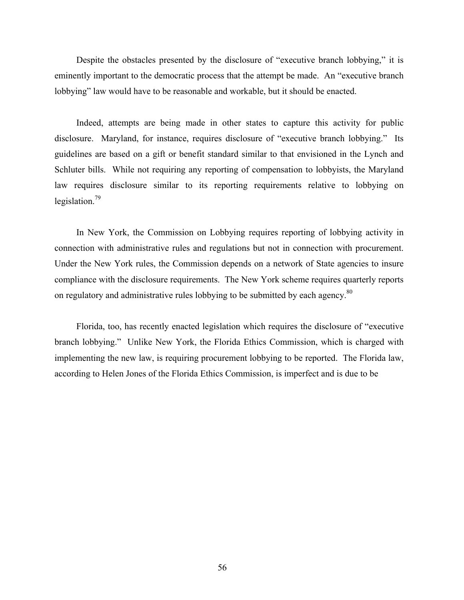Despite the obstacles presented by the disclosure of "executive branch lobbying," it is eminently important to the democratic process that the attempt be made. An "executive branch lobbying" law would have to be reasonable and workable, but it should be enacted.

Indeed, attempts are being made in other states to capture this activity for public disclosure. Maryland, for instance, requires disclosure of "executive branch lobbying." Its guidelines are based on a gift or benefit standard similar to that envisioned in the Lynch and Schluter bills. While not requiring any reporting of compensation to lobbyists, the Maryland law requires disclosure similar to its reporting requirements relative to lobbying on legislation.79

In New York, the Commission on Lobbying requires reporting of lobbying activity in connection with administrative rules and regulations but not in connection with procurement. Under the New York rules, the Commission depends on a network of State agencies to insure compliance with the disclosure requirements. The New York scheme requires quarterly reports on regulatory and administrative rules lobbying to be submitted by each agency.<sup>80</sup>

Florida, too, has recently enacted legislation which requires the disclosure of "executive branch lobbying." Unlike New York, the Florida Ethics Commission, which is charged with implementing the new law, is requiring procurement lobbying to be reported. The Florida law, according to Helen Jones of the Florida Ethics Commission, is imperfect and is due to be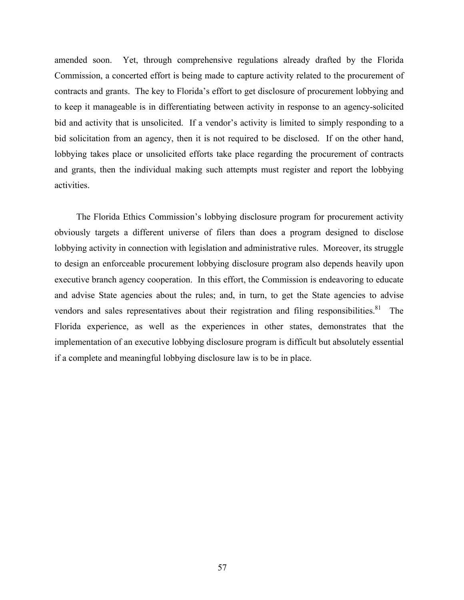amended soon. Yet, through comprehensive regulations already drafted by the Florida Commission, a concerted effort is being made to capture activity related to the procurement of contracts and grants. The key to Florida's effort to get disclosure of procurement lobbying and to keep it manageable is in differentiating between activity in response to an agency-solicited bid and activity that is unsolicited. If a vendor's activity is limited to simply responding to a bid solicitation from an agency, then it is not required to be disclosed. If on the other hand, lobbying takes place or unsolicited efforts take place regarding the procurement of contracts and grants, then the individual making such attempts must register and report the lobbying activities.

The Florida Ethics Commission's lobbying disclosure program for procurement activity obviously targets a different universe of filers than does a program designed to disclose lobbying activity in connection with legislation and administrative rules. Moreover, its struggle to design an enforceable procurement lobbying disclosure program also depends heavily upon executive branch agency cooperation. In this effort, the Commission is endeavoring to educate and advise State agencies about the rules; and, in turn, to get the State agencies to advise vendors and sales representatives about their registration and filing responsibilities.<sup>81</sup> The Florida experience, as well as the experiences in other states, demonstrates that the implementation of an executive lobbying disclosure program is difficult but absolutely essential if a complete and meaningful lobbying disclosure law is to be in place.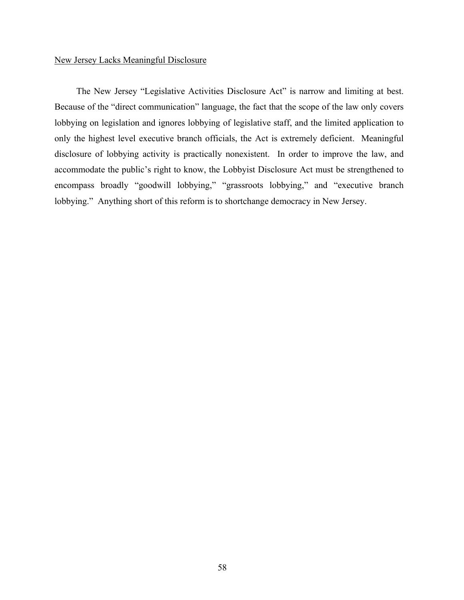# New Jersey Lacks Meaningful Disclosure

The New Jersey "Legislative Activities Disclosure Act" is narrow and limiting at best. Because of the "direct communication" language, the fact that the scope of the law only covers lobbying on legislation and ignores lobbying of legislative staff, and the limited application to only the highest level executive branch officials, the Act is extremely deficient. Meaningful disclosure of lobbying activity is practically nonexistent. In order to improve the law, and accommodate the public's right to know, the Lobbyist Disclosure Act must be strengthened to encompass broadly "goodwill lobbying," "grassroots lobbying," and "executive branch lobbying." Anything short of this reform is to shortchange democracy in New Jersey.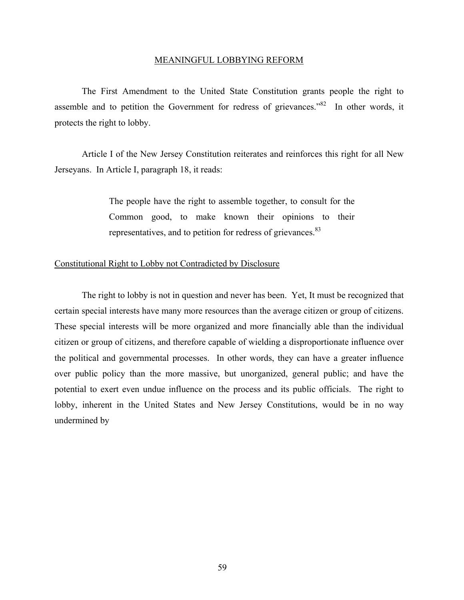#### MEANINGFUL LOBBYING REFORM

The First Amendment to the United State Constitution grants people the right to assemble and to petition the Government for redress of grievances.<sup>82</sup> In other words, it protects the right to lobby.

Article I of the New Jersey Constitution reiterates and reinforces this right for all New Jerseyans. In Article I, paragraph 18, it reads:

> The people have the right to assemble together, to consult for the Common good, to make known their opinions to their representatives, and to petition for redress of grievances.<sup>83</sup>

# Constitutional Right to Lobby not Contradicted by Disclosure

The right to lobby is not in question and never has been. Yet, It must be recognized that certain special interests have many more resources than the average citizen or group of citizens. These special interests will be more organized and more financially able than the individual citizen or group of citizens, and therefore capable of wielding a disproportionate influence over the political and governmental processes. In other words, they can have a greater influence over public policy than the more massive, but unorganized, general public; and have the potential to exert even undue influence on the process and its public officials. The right to lobby, inherent in the United States and New Jersey Constitutions, would be in no way undermined by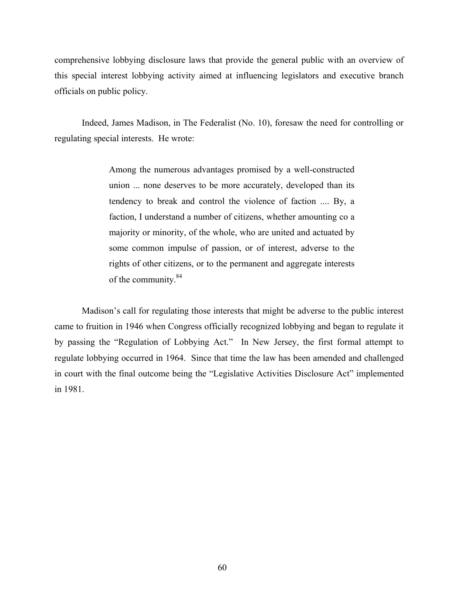comprehensive lobbying disclosure laws that provide the general public with an overview of this special interest lobbying activity aimed at influencing legislators and executive branch officials on public policy.

Indeed, James Madison, in The Federalist (No. 10), foresaw the need for controlling or regulating special interests. He wrote:

> Among the numerous advantages promised by a well-constructed union ... none deserves to be more accurately, developed than its tendency to break and control the violence of faction .... By, a faction, I understand a number of citizens, whether amounting co a majority or minority, of the whole, who are united and actuated by some common impulse of passion, or of interest, adverse to the rights of other citizens, or to the permanent and aggregate interests of the community.<sup>84</sup>

Madison's call for regulating those interests that might be adverse to the public interest came to fruition in 1946 when Congress officially recognized lobbying and began to regulate it by passing the "Regulation of Lobbying Act." In New Jersey, the first formal attempt to regulate lobbying occurred in 1964. Since that time the law has been amended and challenged in court with the final outcome being the "Legislative Activities Disclosure Act" implemented in 1981.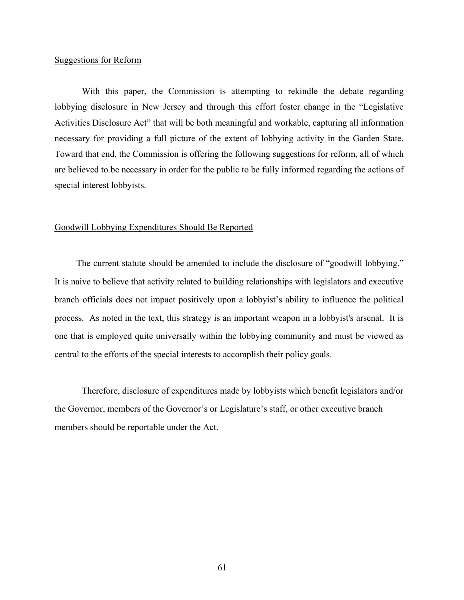## Suggestions for Reform

 With this paper, the Commission is attempting to rekindle the debate regarding lobbying disclosure in New Jersey and through this effort foster change in the "Legislative Activities Disclosure Act" that will be both meaningful and workable, capturing all information necessary for providing a full picture of the extent of lobbying activity in the Garden State. Toward that end, the Commission is offering the following suggestions for reform, all of which are believed to be necessary in order for the public to be fully informed regarding the actions of special interest lobbyists.

# Goodwill Lobbying Expenditures Should Be Reported

The current statute should be amended to include the disclosure of "goodwill lobbying." It is naive to believe that activity related to building relationships with legislators and executive branch officials does not impact positively upon a lobbyist's ability to influence the political process. As noted in the text, this strategy is an important weapon in a lobbyist's arsenal. It is one that is employed quite universally within the lobbying community and must be viewed as central to the efforts of the special interests to accomplish their policy goals.

Therefore, disclosure of expenditures made by lobbyists which benefit legislators and/or the Governor, members of the Governor's or Legislature's staff, or other executive branch members should be reportable under the Act.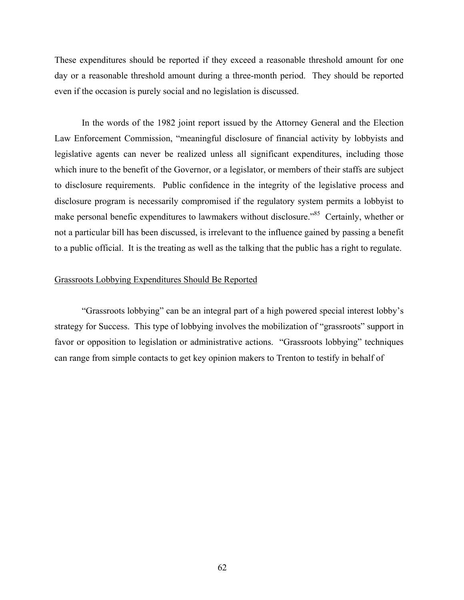These expenditures should be reported if they exceed a reasonable threshold amount for one day or a reasonable threshold amount during a three-month period. They should be reported even if the occasion is purely social and no legislation is discussed.

In the words of the 1982 joint report issued by the Attorney General and the Election Law Enforcement Commission, "meaningful disclosure of financial activity by lobbyists and legislative agents can never be realized unless all significant expenditures, including those which inure to the benefit of the Governor, or a legislator, or members of their staffs are subject to disclosure requirements. Public confidence in the integrity of the legislative process and disclosure program is necessarily compromised if the regulatory system permits a lobbyist to make personal benefic expenditures to lawmakers without disclosure.<sup>85</sup> Certainly, whether or not a particular bill has been discussed, is irrelevant to the influence gained by passing a benefit to a public official. It is the treating as well as the talking that the public has a right to regulate.

# Grassroots Lobbying Expenditures Should Be Reported

"Grassroots lobbying" can be an integral part of a high powered special interest lobby's strategy for Success. This type of lobbying involves the mobilization of "grassroots" support in favor or opposition to legislation or administrative actions. "Grassroots lobbying" techniques can range from simple contacts to get key opinion makers to Trenton to testify in behalf of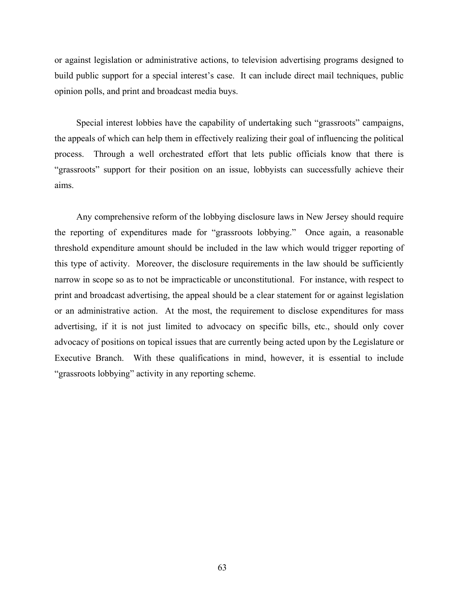or against legislation or administrative actions, to television advertising programs designed to build public support for a special interest's case. It can include direct mail techniques, public opinion polls, and print and broadcast media buys.

Special interest lobbies have the capability of undertaking such "grassroots" campaigns, the appeals of which can help them in effectively realizing their goal of influencing the political process. Through a well orchestrated effort that lets public officials know that there is "grassroots" support for their position on an issue, lobbyists can successfully achieve their aims.

Any comprehensive reform of the lobbying disclosure laws in New Jersey should require the reporting of expenditures made for "grassroots lobbying." Once again, a reasonable threshold expenditure amount should be included in the law which would trigger reporting of this type of activity. Moreover, the disclosure requirements in the law should be sufficiently narrow in scope so as to not be impracticable or unconstitutional. For instance, with respect to print and broadcast advertising, the appeal should be a clear statement for or against legislation or an administrative action. At the most, the requirement to disclose expenditures for mass advertising, if it is not just limited to advocacy on specific bills, etc., should only cover advocacy of positions on topical issues that are currently being acted upon by the Legislature or Executive Branch. With these qualifications in mind, however, it is essential to include "grassroots lobbying" activity in any reporting scheme.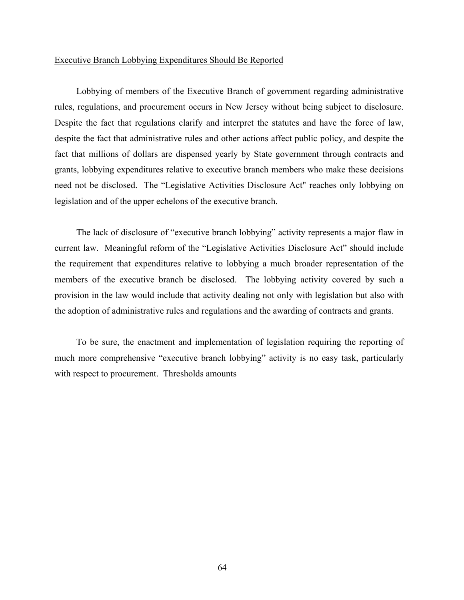## Executive Branch Lobbying Expenditures Should Be Reported

Lobbying of members of the Executive Branch of government regarding administrative rules, regulations, and procurement occurs in New Jersey without being subject to disclosure. Despite the fact that regulations clarify and interpret the statutes and have the force of law, despite the fact that administrative rules and other actions affect public policy, and despite the fact that millions of dollars are dispensed yearly by State government through contracts and grants, lobbying expenditures relative to executive branch members who make these decisions need not be disclosed. The "Legislative Activities Disclosure Act" reaches only lobbying on legislation and of the upper echelons of the executive branch.

The lack of disclosure of "executive branch lobbying" activity represents a major flaw in current law. Meaningful reform of the "Legislative Activities Disclosure Act" should include the requirement that expenditures relative to lobbying a much broader representation of the members of the executive branch be disclosed. The lobbying activity covered by such a provision in the law would include that activity dealing not only with legislation but also with the adoption of administrative rules and regulations and the awarding of contracts and grants.

To be sure, the enactment and implementation of legislation requiring the reporting of much more comprehensive "executive branch lobbying" activity is no easy task, particularly with respect to procurement. Thresholds amounts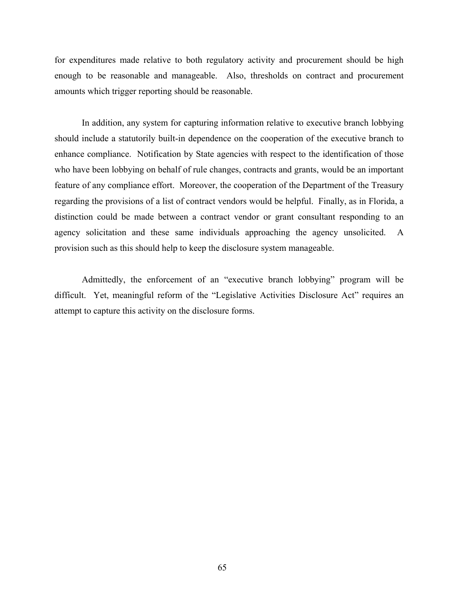for expenditures made relative to both regulatory activity and procurement should be high enough to be reasonable and manageable. Also, thresholds on contract and procurement amounts which trigger reporting should be reasonable.

In addition, any system for capturing information relative to executive branch lobbying should include a statutorily built-in dependence on the cooperation of the executive branch to enhance compliance. Notification by State agencies with respect to the identification of those who have been lobbying on behalf of rule changes, contracts and grants, would be an important feature of any compliance effort. Moreover, the cooperation of the Department of the Treasury regarding the provisions of a list of contract vendors would be helpful. Finally, as in Florida, a distinction could be made between a contract vendor or grant consultant responding to an agency solicitation and these same individuals approaching the agency unsolicited. A provision such as this should help to keep the disclosure system manageable.

Admittedly, the enforcement of an "executive branch lobbying" program will be difficult. Yet, meaningful reform of the "Legislative Activities Disclosure Act" requires an attempt to capture this activity on the disclosure forms.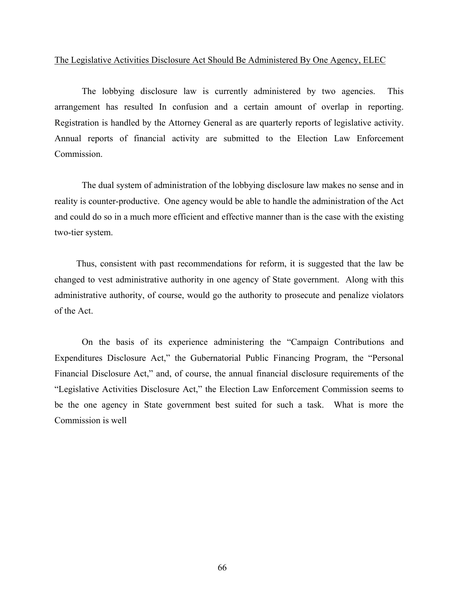## The Legislative Activities Disclosure Act Should Be Administered By One Agency, ELEC

The lobbying disclosure law is currently administered by two agencies. This arrangement has resulted In confusion and a certain amount of overlap in reporting. Registration is handled by the Attorney General as are quarterly reports of legislative activity. Annual reports of financial activity are submitted to the Election Law Enforcement Commission.

The dual system of administration of the lobbying disclosure law makes no sense and in reality is counter-productive. One agency would be able to handle the administration of the Act and could do so in a much more efficient and effective manner than is the case with the existing two-tier system.

Thus, consistent with past recommendations for reform, it is suggested that the law be changed to vest administrative authority in one agency of State government. Along with this administrative authority, of course, would go the authority to prosecute and penalize violators of the Act.

On the basis of its experience administering the "Campaign Contributions and Expenditures Disclosure Act," the Gubernatorial Public Financing Program, the "Personal Financial Disclosure Act," and, of course, the annual financial disclosure requirements of the "Legislative Activities Disclosure Act," the Election Law Enforcement Commission seems to be the one agency in State government best suited for such a task. What is more the Commission is well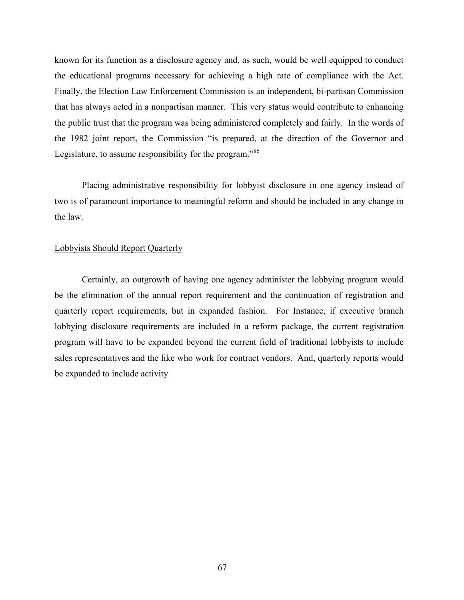known for its function as a disclosure agency and, as such, would be well equipped to conduct the educational programs necessary for achieving a high rate of compliance with the Act. Finally, the Election Law Enforcement Commission is an independent, bi-partisan Commission that has always acted in a nonpartisan manner. This very status would contribute to enhancing the public trust that the program was being administered completely and fairly. In the words of the 1982 joint report, the Commission "is prepared, at the direction of the Governor and Legislature, to assume responsibility for the program."<sup>86</sup>

Placing administrative responsibility for lobbyist disclosure in one agency instead of two is of paramount importance to meaningful reform and should be included in any change in the law.

#### Lobbyists Should Report Quarterly

Certainly, an outgrowth of having one agency administer the lobbying program would be the elimination of the annual report requirement and the continuation of registration and quarterly report requirements, but in expanded fashion. For Instance, if executive branch lobbying disclosure requirements are included in a reform package, the current registration program will have to be expanded beyond the current field of traditional lobbyists to include sales representatives and the like who work for contract vendors. And, quarterly reports would be expanded to include activity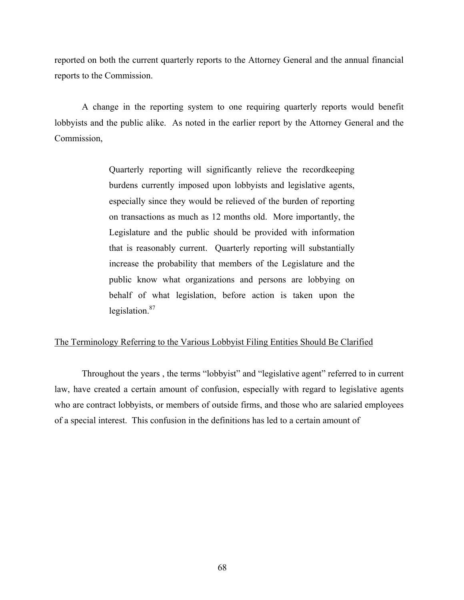reported on both the current quarterly reports to the Attorney General and the annual financial reports to the Commission.

A change in the reporting system to one requiring quarterly reports would benefit lobbyists and the public alike. As noted in the earlier report by the Attorney General and the Commission,

> Quarterly reporting will significantly relieve the recordkeeping burdens currently imposed upon lobbyists and legislative agents, especially since they would be relieved of the burden of reporting on transactions as much as 12 months old. More importantly, the Legislature and the public should be provided with information that is reasonably current. Quarterly reporting will substantially increase the probability that members of the Legislature and the public know what organizations and persons are lobbying on behalf of what legislation, before action is taken upon the legislation. $87$

### The Terminology Referring to the Various Lobbyist Filing Entities Should Be Clarified

Throughout the years , the terms "lobbyist" and "legislative agent" referred to in current law, have created a certain amount of confusion, especially with regard to legislative agents who are contract lobbyists, or members of outside firms, and those who are salaried employees of a special interest. This confusion in the definitions has led to a certain amount of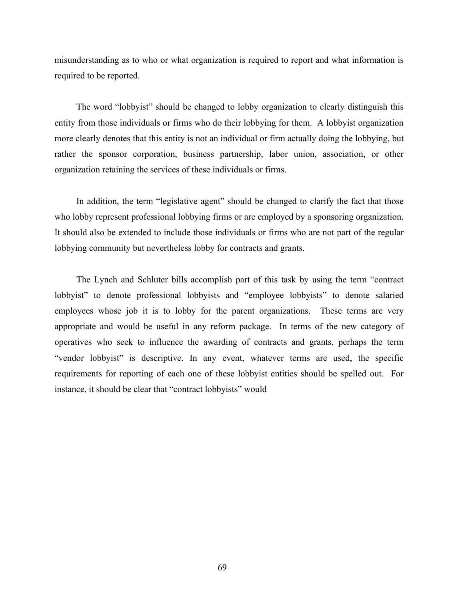misunderstanding as to who or what organization is required to report and what information is required to be reported.

The word "lobbyist" should be changed to lobby organization to clearly distinguish this entity from those individuals or firms who do their lobbying for them. A lobbyist organization more clearly denotes that this entity is not an individual or firm actually doing the lobbying, but rather the sponsor corporation, business partnership, labor union, association, or other organization retaining the services of these individuals or firms.

In addition, the term "legislative agent" should be changed to clarify the fact that those who lobby represent professional lobbying firms or are employed by a sponsoring organization. It should also be extended to include those individuals or firms who are not part of the regular lobbying community but nevertheless lobby for contracts and grants.

The Lynch and Schluter bills accomplish part of this task by using the term "contract lobbyist" to denote professional lobbyists and "employee lobbyists" to denote salaried employees whose job it is to lobby for the parent organizations. These terms are very appropriate and would be useful in any reform package. In terms of the new category of operatives who seek to influence the awarding of contracts and grants, perhaps the term "vendor lobbyist" is descriptive. In any event, whatever terms are used, the specific requirements for reporting of each one of these lobbyist entities should be spelled out. For instance, it should be clear that "contract lobbyists" would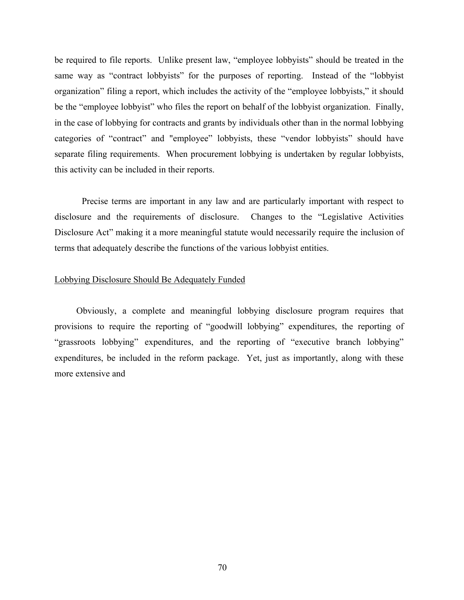be required to file reports. Unlike present law, "employee lobbyists" should be treated in the same way as "contract lobbyists" for the purposes of reporting. Instead of the "lobbyist organization" filing a report, which includes the activity of the "employee lobbyists," it should be the "employee lobbyist" who files the report on behalf of the lobbyist organization. Finally, in the case of lobbying for contracts and grants by individuals other than in the normal lobbying categories of "contract" and "employee" lobbyists, these "vendor lobbyists" should have separate filing requirements. When procurement lobbying is undertaken by regular lobbyists, this activity can be included in their reports.

Precise terms are important in any law and are particularly important with respect to disclosure and the requirements of disclosure. Changes to the "Legislative Activities Disclosure Act" making it a more meaningful statute would necessarily require the inclusion of terms that adequately describe the functions of the various lobbyist entities.

#### Lobbying Disclosure Should Be Adequately Funded

Obviously, a complete and meaningful lobbying disclosure program requires that provisions to require the reporting of "goodwill lobbying" expenditures, the reporting of "grassroots lobbying" expenditures, and the reporting of "executive branch lobbying" expenditures, be included in the reform package. Yet, just as importantly, along with these more extensive and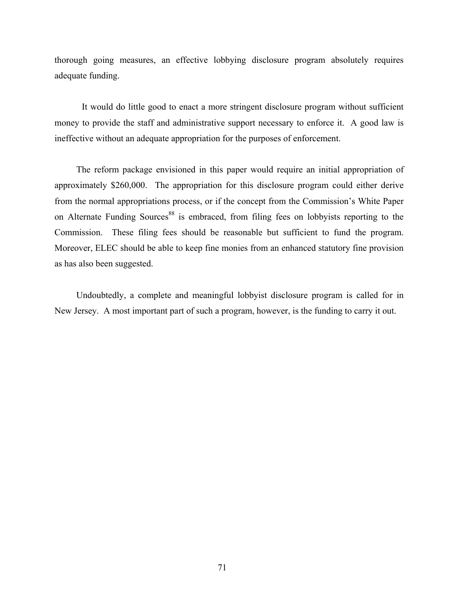thorough going measures, an effective lobbying disclosure program absolutely requires adequate funding.

It would do little good to enact a more stringent disclosure program without sufficient money to provide the staff and administrative support necessary to enforce it. A good law is ineffective without an adequate appropriation for the purposes of enforcement.

The reform package envisioned in this paper would require an initial appropriation of approximately \$260,000. The appropriation for this disclosure program could either derive from the normal appropriations process, or if the concept from the Commission's White Paper on Alternate Funding Sources<sup>88</sup> is embraced, from filing fees on lobbyists reporting to the Commission. These filing fees should be reasonable but sufficient to fund the program. Moreover, ELEC should be able to keep fine monies from an enhanced statutory fine provision as has also been suggested.

Undoubtedly, a complete and meaningful lobbyist disclosure program is called for in New Jersey. A most important part of such a program, however, is the funding to carry it out.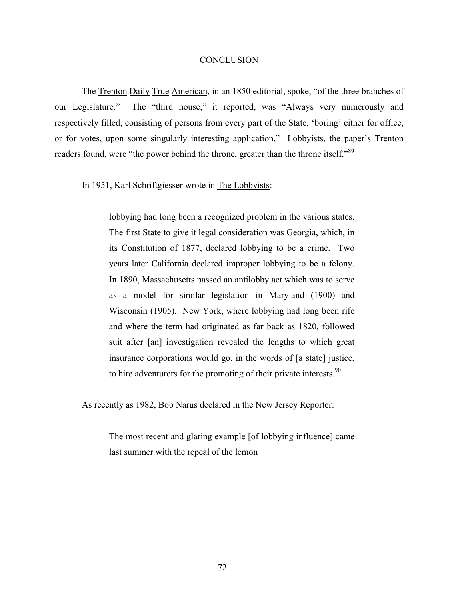#### CONCLUSION

The Trenton Daily True American, in an 1850 editorial, spoke, "of the three branches of our Legislature." The "third house," it reported, was "Always very numerously and respectively filled, consisting of persons from every part of the State, 'boring' either for office, or for votes, upon some singularly interesting application." Lobbyists, the paper's Trenton readers found, were "the power behind the throne, greater than the throne itself."<sup>89</sup>

In 1951, Karl Schriftgiesser wrote in The Lobbyists:

lobbying had long been a recognized problem in the various states. The first State to give it legal consideration was Georgia, which, in its Constitution of 1877, declared lobbying to be a crime. Two years later California declared improper lobbying to be a felony. In 1890, Massachusetts passed an antilobby act which was to serve as a model for similar legislation in Maryland (1900) and Wisconsin (1905). New York, where lobbying had long been rife and where the term had originated as far back as 1820, followed suit after [an] investigation revealed the lengths to which great insurance corporations would go, in the words of [a state] justice, to hire adventurers for the promoting of their private interests.<sup>90</sup>

As recently as 1982, Bob Narus declared in the New Jersey Reporter:

The most recent and glaring example [of lobbying influence] came last summer with the repeal of the lemon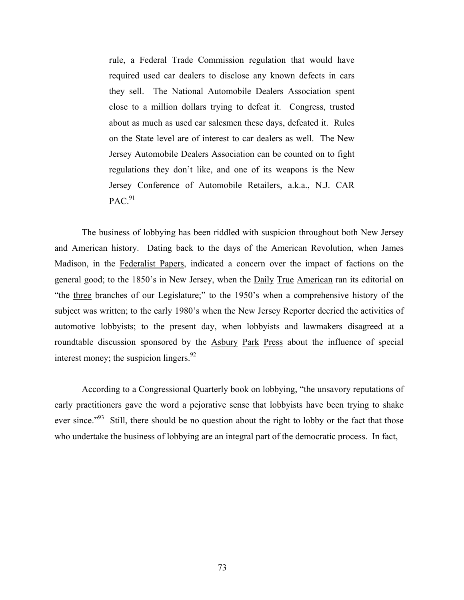rule, a Federal Trade Commission regulation that would have required used car dealers to disclose any known defects in cars they sell. The National Automobile Dealers Association spent close to a million dollars trying to defeat it. Congress, trusted about as much as used car salesmen these days, defeated it. Rules on the State level are of interest to car dealers as well. The New Jersey Automobile Dealers Association can be counted on to fight regulations they don't like, and one of its weapons is the New Jersey Conference of Automobile Retailers, a.k.a., N.J. CAR  $PAC.<sup>91</sup>$ 

 The business of lobbying has been riddled with suspicion throughout both New Jersey and American history. Dating back to the days of the American Revolution, when James Madison, in the Federalist Papers, indicated a concern over the impact of factions on the general good; to the 1850's in New Jersey, when the Daily True American ran its editorial on "the three branches of our Legislature;" to the 1950's when a comprehensive history of the subject was written; to the early 1980's when the New Jersey Reporter decried the activities of automotive lobbyists; to the present day, when lobbyists and lawmakers disagreed at a roundtable discussion sponsored by the Asbury Park Press about the influence of special interest money; the suspicion lingers. $92$ 

According to a Congressional Quarterly book on lobbying, "the unsavory reputations of early practitioners gave the word a pejorative sense that lobbyists have been trying to shake ever since."<sup>93</sup> Still, there should be no question about the right to lobby or the fact that those who undertake the business of lobbying are an integral part of the democratic process. In fact,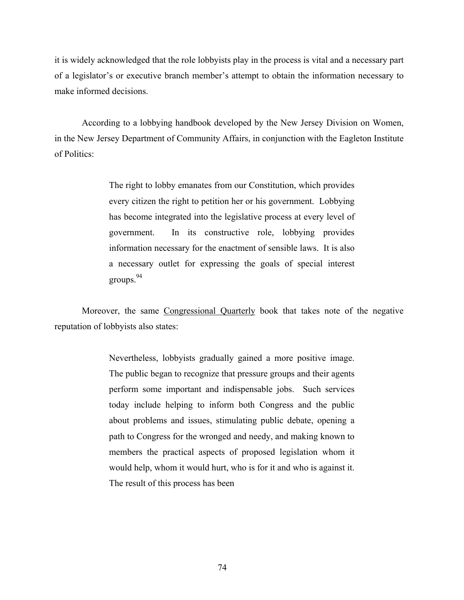it is widely acknowledged that the role lobbyists play in the process is vital and a necessary part of a legislator's or executive branch member's attempt to obtain the information necessary to make informed decisions.

According to a lobbying handbook developed by the New Jersey Division on Women, in the New Jersey Department of Community Affairs, in conjunction with the Eagleton Institute of Politics:

> The right to lobby emanates from our Constitution, which provides every citizen the right to petition her or his government. Lobbying has become integrated into the legislative process at every level of government. In its constructive role, lobbying provides information necessary for the enactment of sensible laws. It is also a necessary outlet for expressing the goals of special interest groups. $94$

Moreover, the same Congressional Quarterly book that takes note of the negative reputation of lobbyists also states:

> Nevertheless, lobbyists gradually gained a more positive image. The public began to recognize that pressure groups and their agents perform some important and indispensable jobs. Such services today include helping to inform both Congress and the public about problems and issues, stimulating public debate, opening a path to Congress for the wronged and needy, and making known to members the practical aspects of proposed legislation whom it would help, whom it would hurt, who is for it and who is against it. The result of this process has been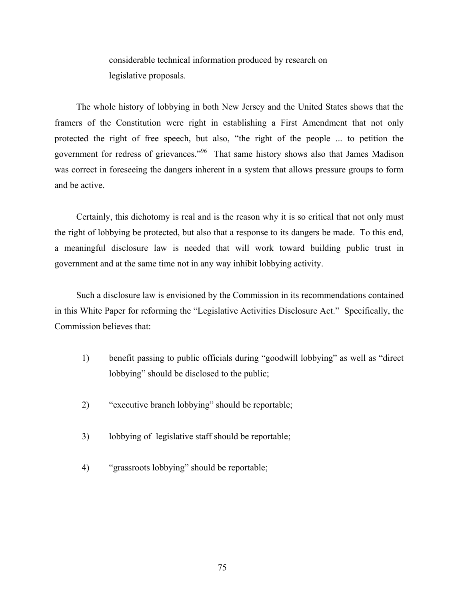considerable technical information produced by research on legislative proposals.

The whole history of lobbying in both New Jersey and the United States shows that the framers of the Constitution were right in establishing a First Amendment that not only protected the right of free speech, but also, "the right of the people ... to petition the government for redress of grievances."96 That same history shows also that James Madison was correct in foreseeing the dangers inherent in a system that allows pressure groups to form and be active.

Certainly, this dichotomy is real and is the reason why it is so critical that not only must the right of lobbying be protected, but also that a response to its dangers be made. To this end, a meaningful disclosure law is needed that will work toward building public trust in government and at the same time not in any way inhibit lobbying activity.

Such a disclosure law is envisioned by the Commission in its recommendations contained in this White Paper for reforming the "Legislative Activities Disclosure Act." Specifically, the Commission believes that:

- 1) benefit passing to public officials during "goodwill lobbying" as well as "direct lobbying" should be disclosed to the public;
- 2) "executive branch lobbying" should be reportable;
- 3) lobbying of legislative staff should be reportable;
- 4) "grassroots lobbying" should be reportable;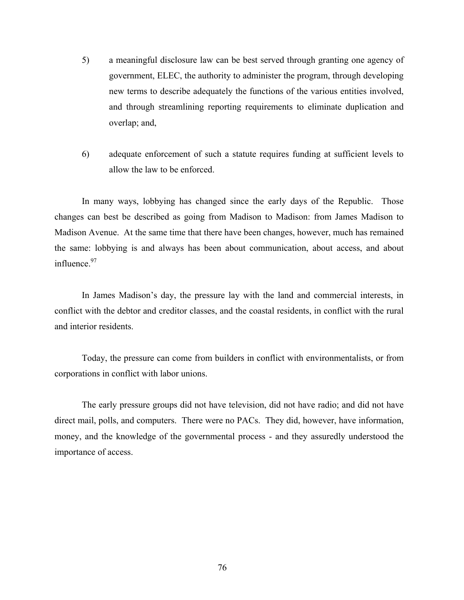- 5) a meaningful disclosure law can be best served through granting one agency of government, ELEC, the authority to administer the program, through developing new terms to describe adequately the functions of the various entities involved, and through streamlining reporting requirements to eliminate duplication and overlap; and,
- 6) adequate enforcement of such a statute requires funding at sufficient levels to allow the law to be enforced.

 In many ways, lobbying has changed since the early days of the Republic. Those changes can best be described as going from Madison to Madison: from James Madison to Madison Avenue. At the same time that there have been changes, however, much has remained the same: lobbying is and always has been about communication, about access, and about influence.<sup>97</sup>

In James Madison's day, the pressure lay with the land and commercial interests, in conflict with the debtor and creditor classes, and the coastal residents, in conflict with the rural and interior residents.

Today, the pressure can come from builders in conflict with environmentalists, or from corporations in conflict with labor unions.

The early pressure groups did not have television, did not have radio; and did not have direct mail, polls, and computers. There were no PACs. They did, however, have information, money, and the knowledge of the governmental process - and they assuredly understood the importance of access.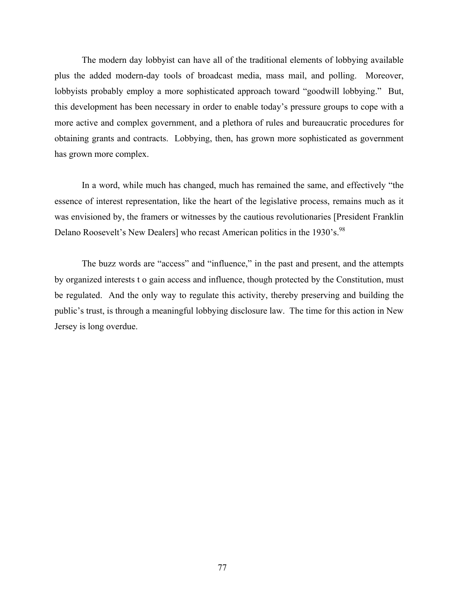The modern day lobbyist can have all of the traditional elements of lobbying available plus the added modern-day tools of broadcast media, mass mail, and polling. Moreover, lobbyists probably employ a more sophisticated approach toward "goodwill lobbying." But, this development has been necessary in order to enable today's pressure groups to cope with a more active and complex government, and a plethora of rules and bureaucratic procedures for obtaining grants and contracts. Lobbying, then, has grown more sophisticated as government has grown more complex.

In a word, while much has changed, much has remained the same, and effectively "the essence of interest representation, like the heart of the legislative process, remains much as it was envisioned by, the framers or witnesses by the cautious revolutionaries [President Franklin Delano Roosevelt's New Dealers] who recast American politics in the 1930's.<sup>98</sup>

The buzz words are "access" and "influence," in the past and present, and the attempts by organized interests t o gain access and influence, though protected by the Constitution, must be regulated. And the only way to regulate this activity, thereby preserving and building the public's trust, is through a meaningful lobbying disclosure law. The time for this action in New Jersey is long overdue.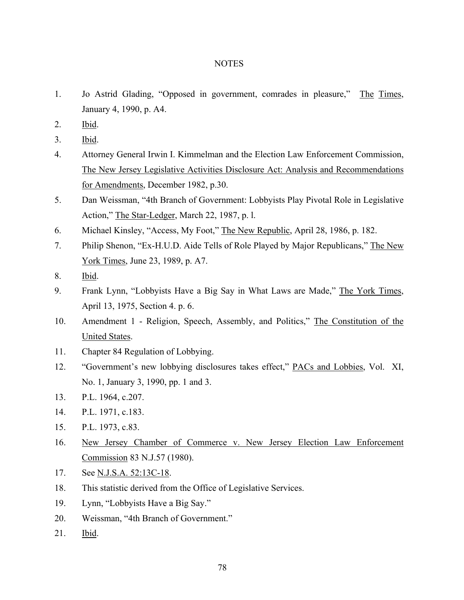### **NOTES**

- 1. Jo Astrid Glading, "Opposed in government, comrades in pleasure," The Times, January 4, 1990, p. A4.
- 2. Ibid.
- 3. Ibid.
- 4. Attorney General Irwin I. Kimmelman and the Election Law Enforcement Commission, The New Jersey Legislative Activities Disclosure Act: Analysis and Recommendations for Amendments, December 1982, p.30.
- 5. Dan Weissman, "4th Branch of Government: Lobbyists Play Pivotal Role in Legislative Action," The Star-Ledger, March 22, 1987, p. l.
- 6. Michael Kinsley, "Access, My Foot," The New Republic, April 28, 1986, p. 182.
- 7. Philip Shenon, "Ex-H.U.D. Aide Tells of Role Played by Major Republicans," The New York Times, June 23, 1989, p. A7.
- 8. Ibid.
- 9. Frank Lynn, "Lobbyists Have a Big Say in What Laws are Made," The York Times, April 13, 1975, Section 4. p. 6.
- 10. Amendment 1 Religion, Speech, Assembly, and Politics," The Constitution of the United States.
- 11. Chapter 84 Regulation of Lobbying.
- 12. "Government's new lobbying disclosures takes effect," PACs and Lobbies, Vol. XI, No. 1, January 3, 1990, pp. 1 and 3.
- 13. P.L. 1964, c.207.
- 14. P.L. 1971, c.183.
- 15. P.L. 1973, c.83.
- 16. New Jersey Chamber of Commerce v. New Jersey Election Law Enforcement Commission 83 N.J.57 (1980).
- 17. See N.J.S.A. 52:13C-18.
- 18. This statistic derived from the Office of Legislative Services.
- 19. Lynn, "Lobbyists Have a Big Say."
- 20. Weissman, "4th Branch of Government."
- 21. Ibid.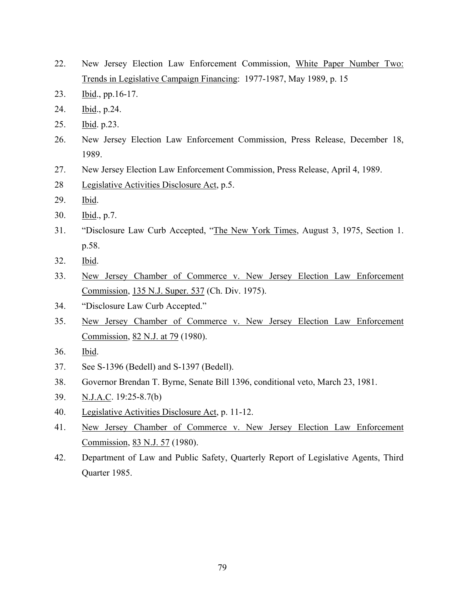- 22. New Jersey Election Law Enforcement Commission, White Paper Number Two: Trends in Legislative Campaign Financing: 1977-1987, May 1989, p. 15
- 23. Ibid., pp.16-17.
- 24. Ibid., p.24.
- 25. Ibid. p.23.
- 26. New Jersey Election Law Enforcement Commission, Press Release, December 18, 1989.
- 27. New Jersey Election Law Enforcement Commission, Press Release, April 4, 1989.
- 28 Legislative Activities Disclosure Act, p.5.
- 29. Ibid.
- 30. Ibid., p.7.
- 31. "Disclosure Law Curb Accepted, "The New York Times, August 3, 1975, Section 1. p.58.
- 32. Ibid.
- 33. New Jersey Chamber of Commerce v. New Jersey Election Law Enforcement Commission, 135 N.J. Super. 537 (Ch. Div. 1975).
- 34. "Disclosure Law Curb Accepted."
- 35. New Jersey Chamber of Commerce v. New Jersey Election Law Enforcement Commission, 82 N.J. at 79 (1980).
- 36. Ibid.
- 37. See S-1396 (Bedell) and S-1397 (Bedell).
- 38. Governor Brendan T. Byrne, Senate Bill 1396, conditional veto, March 23, 1981.
- 39. N.J.A.C. 19:25-8.7(b)
- 40. Legislative Activities Disclosure Act, p. 11-12.
- 41. New Jersey Chamber of Commerce v. New Jersey Election Law Enforcement Commission, 83 N.J. 57 (1980).
- 42. Department of Law and Public Safety, Quarterly Report of Legislative Agents, Third Quarter 1985.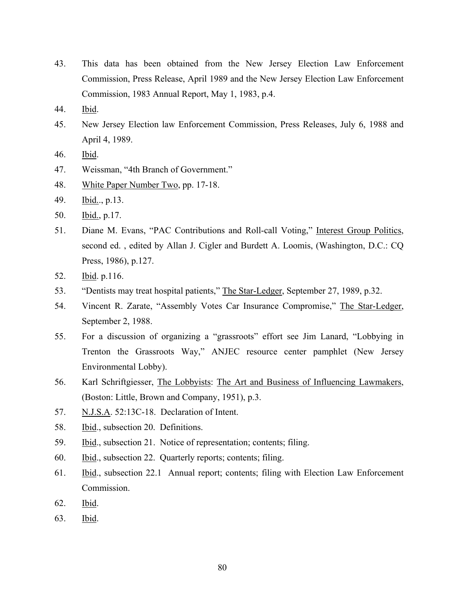- 43. This data has been obtained from the New Jersey Election Law Enforcement Commission, Press Release, April 1989 and the New Jersey Election Law Enforcement Commission, 1983 Annual Report, May 1, 1983, p.4.
- 44. Ibid.
- 45. New Jersey Election law Enforcement Commission, Press Releases, July 6, 1988 and April 4, 1989.
- 46. Ibid.
- 47. Weissman, "4th Branch of Government."
- 48. White Paper Number Two, pp. 17-18.
- 49. Ibid.., p.13.
- 50. Ibid., p.17.
- 51. Diane M. Evans, "PAC Contributions and Roll-call Voting," Interest Group Politics, second ed. , edited by Allan J. Cigler and Burdett A. Loomis, (Washington, D.C.: CQ Press, 1986), p.127.
- 52. Ibid. p.116.
- 53. "Dentists may treat hospital patients," The Star-Ledger, September 27, 1989, p.32.
- 54. Vincent R. Zarate, "Assembly Votes Car Insurance Compromise," The Star-Ledger, September 2, 1988.
- 55. For a discussion of organizing a "grassroots" effort see Jim Lanard, "Lobbying in Trenton the Grassroots Way," ANJEC resource center pamphlet (New Jersey Environmental Lobby).
- 56. Karl Schriftgiesser, The Lobbyists: The Art and Business of Influencing Lawmakers, (Boston: Little, Brown and Company, 1951), p.3.
- 57. N.J.S.A. 52:13C-18. Declaration of Intent.
- 58. Ibid., subsection 20. Definitions.
- 59. Ibid., subsection 21. Notice of representation; contents; filing.
- 60. Ibid., subsection 22. Quarterly reports; contents; filing.
- 61. Ibid., subsection 22.1 Annual report; contents; filing with Election Law Enforcement Commission.
- 62. Ibid.
- 63. Ibid.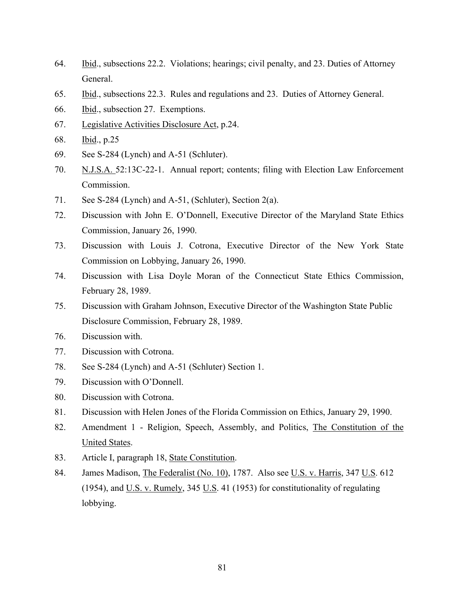- 64. Ibid., subsections 22.2. Violations; hearings; civil penalty, and 23. Duties of Attorney General.
- 65. Ibid., subsections 22.3. Rules and regulations and 23. Duties of Attorney General.
- 66. Ibid., subsection 27. Exemptions.
- 67. Legislative Activities Disclosure Act, p.24.
- 68. Ibid., p.25
- 69. See S-284 (Lynch) and A-51 (Schluter).
- 70. N.J.S.A. 52:13C-22-1. Annual report; contents; filing with Election Law Enforcement Commission.
- 71. See S-284 (Lynch) and A-51, (Schluter), Section 2(a).
- 72. Discussion with John E. O'Donnell, Executive Director of the Maryland State Ethics Commission, January 26, 1990.
- 73. Discussion with Louis J. Cotrona, Executive Director of the New York State Commission on Lobbying, January 26, 1990.
- 74. Discussion with Lisa Doyle Moran of the Connecticut State Ethics Commission, February 28, 1989.
- 75. Discussion with Graham Johnson, Executive Director of the Washington State Public Disclosure Commission, February 28, 1989.
- 76. Discussion with.
- 77. Discussion with Cotrona.
- 78. See S-284 (Lynch) and A-51 (Schluter) Section 1.
- 79. Discussion with O'Donnell.
- 80. Discussion with Cotrona.
- 81. Discussion with Helen Jones of the Florida Commission on Ethics, January 29, 1990.
- 82. Amendment 1 Religion, Speech, Assembly, and Politics, The Constitution of the United States.
- 83. Article I, paragraph 18, State Constitution.
- 84. James Madison, The Federalist (No. 10), 1787. Also see U.S. v. Harris, 347 U.S. 612 (1954), and U.S. v. Rumely, 345 U.S. 41 (1953) for constitutionality of regulating lobbying.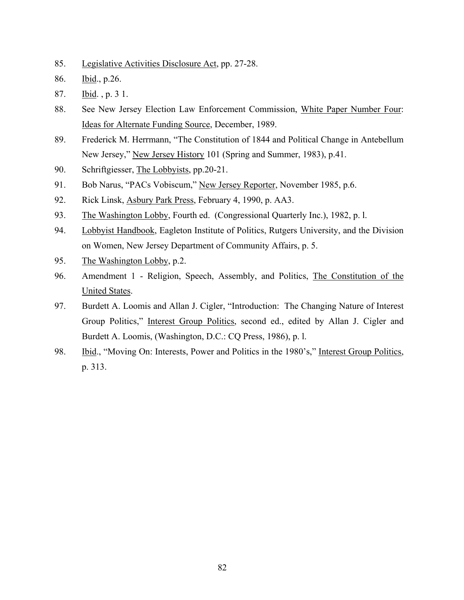- 85. Legislative Activities Disclosure Act, pp. 27-28.
- 86. Ibid., p.26.
- 87. Ibid. , p. 3 1.
- 88. See New Jersey Election Law Enforcement Commission, White Paper Number Four: Ideas for Alternate Funding Source, December, 1989.
- 89. Frederick M. Herrmann, "The Constitution of 1844 and Political Change in Antebellum New Jersey," New Jersey History 101 (Spring and Summer, 1983), p.41.
- 90. Schriftgiesser, The Lobbyists, pp.20-21.
- 91. Bob Narus, "PACs Vobiscum," New Jersey Reporter, November 1985, p.6.
- 92. Rick Linsk, Asbury Park Press, February 4, 1990, p. AA3.
- 93. The Washington Lobby, Fourth ed. (Congressional Quarterly Inc.), 1982, p. l.
- 94. Lobbyist Handbook, Eagleton Institute of Politics, Rutgers University, and the Division on Women, New Jersey Department of Community Affairs, p. 5.
- 95. The Washington Lobby, p.2.
- 96. Amendment 1 Religion, Speech, Assembly, and Politics, The Constitution of the United States.
- 97. Burdett A. Loomis and Allan J. Cigler, "Introduction: The Changing Nature of Interest Group Politics," Interest Group Politics, second ed., edited by Allan J. Cigler and Burdett A. Loomis, (Washington, D.C.: CQ Press, 1986), p. l.
- 98. Ibid., "Moving On: Interests, Power and Politics in the 1980's," Interest Group Politics, p. 313.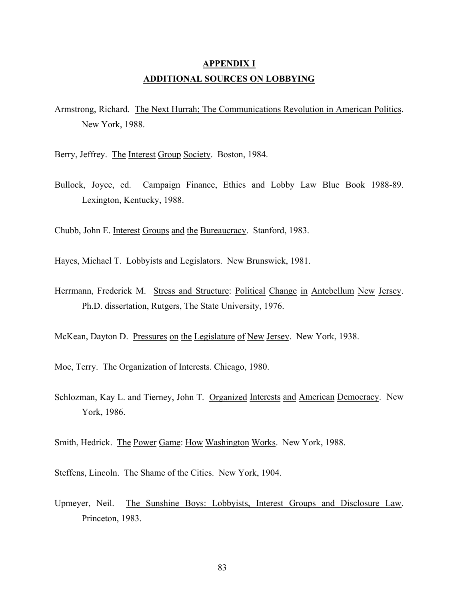# **APPENDIX I ADDITIONAL SOURCES ON LOBBYING**

Armstrong, Richard. The Next Hurrah; The Communications Revolution in American Politics. New York, 1988.

Berry, Jeffrey. The Interest Group Society. Boston, 1984.

Bullock, Joyce, ed. Campaign Finance, Ethics and Lobby Law Blue Book 1988-89. Lexington, Kentucky, 1988.

Chubb, John E. Interest Groups and the Bureaucracy. Stanford, 1983.

- Hayes, Michael T. Lobbyists and Legislators. New Brunswick, 1981.
- Herrmann, Frederick M. Stress and Structure: Political Change in Antebellum New Jersey. Ph.D. dissertation, Rutgers, The State University, 1976.

McKean, Dayton D. Pressures on the Legislature of New Jersey. New York, 1938.

Moe, Terry. The Organization of Interests. Chicago, 1980.

Schlozman, Kay L. and Tierney, John T. Organized Interests and American Democracy. New York, 1986.

Smith, Hedrick. The Power Game: How Washington Works. New York, 1988.

Steffens, Lincoln. The Shame of the Cities. New York, 1904.

Upmeyer, Neil. The Sunshine Boys: Lobbyists, Interest Groups and Disclosure Law. Princeton, 1983.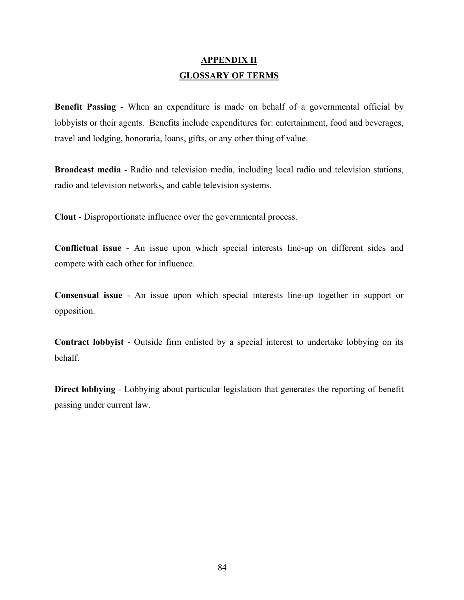# **APPENDIX II GLOSSARY OF TERMS**

**Benefit Passing** - When an expenditure is made on behalf of a governmental official by lobbyists or their agents. Benefits include expenditures for: entertainment, food and beverages, travel and lodging, honoraria, loans, gifts, or any other thing of value.

**Broadcast media** - Radio and television media, including local radio and television stations, radio and television networks, and cable television systems.

**Clout** - Disproportionate influence over the governmental process.

**Conflictual issue** - An issue upon which special interests line-up on different sides and compete with each other for influence.

**Consensual issue** - An issue upon which special interests line-up together in support or opposition.

**Contract lobbyist** - Outside firm enlisted by a special interest to undertake lobbying on its behalf.

**Direct lobbying** - Lobbying about particular legislation that generates the reporting of benefit passing under current law.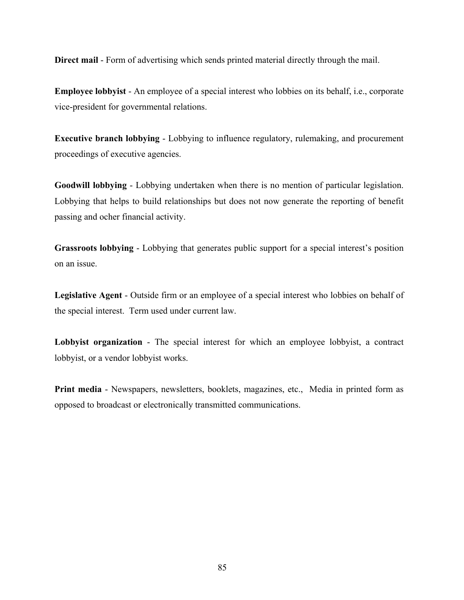**Direct mail** - Form of advertising which sends printed material directly through the mail.

**Employee lobbyist** - An employee of a special interest who lobbies on its behalf, i.e., corporate vice-president for governmental relations.

**Executive branch lobbying** - Lobbying to influence regulatory, rulemaking, and procurement proceedings of executive agencies.

**Goodwill lobbying** - Lobbying undertaken when there is no mention of particular legislation. Lobbying that helps to build relationships but does not now generate the reporting of benefit passing and ocher financial activity.

**Grassroots lobbying** - Lobbying that generates public support for a special interest's position on an issue.

**Legislative Agent** - Outside firm or an employee of a special interest who lobbies on behalf of the special interest. Term used under current law.

**Lobbyist organization** - The special interest for which an employee lobbyist, a contract lobbyist, or a vendor lobbyist works.

**Print media** - Newspapers, newsletters, booklets, magazines, etc., Media in printed form as opposed to broadcast or electronically transmitted communications.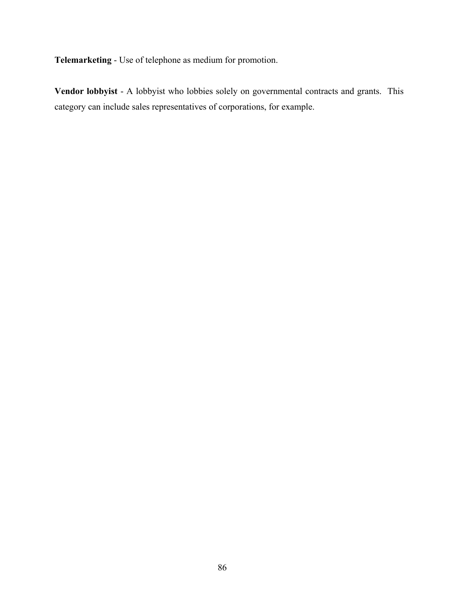**Telemarketing** - Use of telephone as medium for promotion.

**Vendor lobbyist** - A lobbyist who lobbies solely on governmental contracts and grants. This category can include sales representatives of corporations, for example.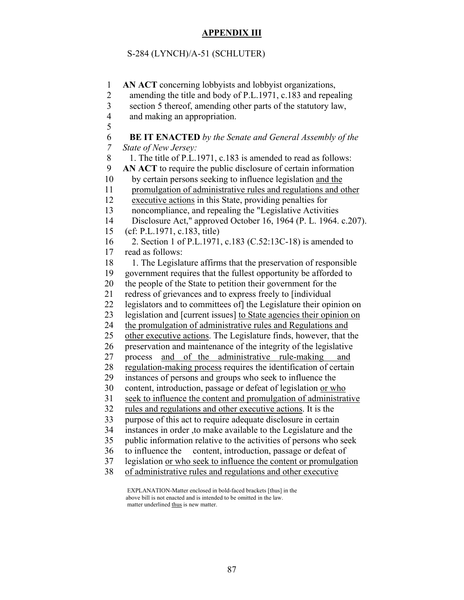## **APPENDIX III**

### S-284 (LYNCH)/A-51 (SCHLUTER)

 1 **AN ACT** concerning lobbyists and lobbyist organizations, 2 amending the title and body of P.L.1971, c.183 and repealing 3 section 5 thereof, amending other parts of the statutory law, 4 and making an appropriation. 5 6 **BE IT ENACTED** *by the Senate and General Assembly of the 7 State of New Jersey:* 8 1. The title of P.L.1971, c.183 is amended to read as follows: 9 **AN ACT** to require the public disclosure of certain information 10 by certain persons seeking to influence legislation and the 11 promulgation of administrative rules and regulations and other 12 executive actions in this State, providing penalties for 13 noncompliance, and repealing the "Legislative Activities 14 Disclosure Act," approved October 16, 1964 (P. L. 1964. c.207). 15 (cf: P.L.1971, c.183, title) 16 2. Section 1 of P.L.1971, c.183 (C.52:13C-18) is amended to 17 read as follows: 18 1. The Legislature affirms that the preservation of responsible 19 government requires that the fullest opportunity be afforded to 20 the people of the State to petition their government for the 21 redress of grievances and to express freely to [individual 22 legislators and to committees of] the Legislature their opinion on 23 legislation and [current issues] to State agencies their opinion on 24 the promulgation of administrative rules and Regulations and 25 other executive actions. The Legislature finds, however, that the 26 preservation and maintenance of the integrity of the legislative 27 process and of the administrative rule-making and 28 regulation-making process requires the identification of certain 29 instances of persons and groups who seek to influence the 30 content, introduction, passage or defeat of legislation or who 31 seek to influence the content and promulgation of administrative 32 rules and regulations and other executive actions. It is the 33 purpose of this act to require adequate disclosure in certain 34 instances in order ,to make available to the Legislature and the 35 public information relative to the activities of persons who seek 36 to influence the content, introduction, passage or defeat of 37 legislation or who seek to influence the content or promulgation

38 of administrative rules and regulations and other executive

 EXPLANATION-Matter enclosed in bold-faced brackets [thus] in the above bill is not enacted and is intended to be omitted in the law. matter underlined thus is new matter.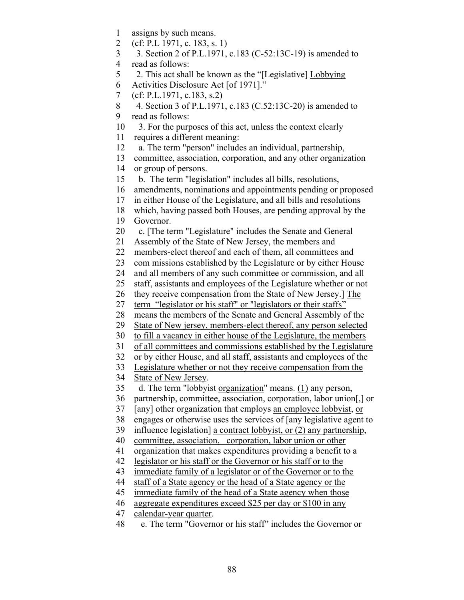- 1 assigns by such means.
- 2 (cf: P.L 1971, c. 183, s. 1)
- 3 3. Section 2 of P.L.1971, c.183 (C-52:13C-19) is amended to
- 4 read as follows:
- 5 2. This act shall be known as the "[Legislative] Lobbying
- 6 Activities Disclosure Act [of 1971]."
- 7 (cf: P.L.1971, c.183, s.2)
- 8 4. Section 3 of P.L.1971, c.183 (C.52:13C-20) is amended to
- 9 read as follows:
- 10 3. For the purposes of this act, unless the context clearly
- 11 requires a different meaning:
- 12 a. The term "person" includes an individual, partnership,
- 13 committee, association, corporation, and any other organization
- 14 or group of persons.
- 15 b. The term "legislation" includes all bills, resolutions,
- 16 amendments, nominations and appointments pending or proposed
- 17 in either House of the Legislature, and all bills and resolutions
- 18 which, having passed both Houses, are pending approval by the
- 19 Governor.
- 20 c. [The term "Legislature" includes the Senate and General
- 21 Assembly of the State of New Jersey, the members and
- 22 members-elect thereof and each of them, all committees and
- 23 com missions established by the Legislature or by either House
- 24 and all members of any such committee or commission, and all
- 25 staff, assistants and employees of the Legislature whether or not
- 26 they receive compensation from the State of New Jersey.] The
- 27 term "legislator or his staff" or "legislators or their staffs"
- 28 means the members of the Senate and General Assembly of the
- 29 State of New jersey, members-elect thereof, any person selected
- 30 to fill a vacancy in either house of the Legislature, the members
- 31 of all committees and commissions established by the Legislature
- 32 or by either House, and all staff, assistants and employees of the
- 33 Legislature whether or not they receive compensation from the
- 34 State of New Jersey.
- 35 d. The term "lobbyist organization" means. (1) any person,
- 36 partnership, committee, association, corporation, labor union[,] or
- 37 [any] other organization that employs an employee lobbyist, or
- 38 engages or otherwise uses the services of [any legislative agent to
- 39 influence legislation] a contract lobbyist, or (2) any partnership,
- 40 committee, association, corporation, labor union or other
- 41 organization that makes expenditures providing a benefit to a
- 42 legislator or his staff or the Governor or his staff or to the
- 43 immediate family of a legislator or of the Governor or to the
- 44 staff of a State agency or the head of a State agency or the
- 45 immediate family of the head of a State agency when those
- 46 aggregate expenditures exceed \$25 per day or \$100 in any
- 47 calendar-year quarter.
- 48 e. The term "Governor or his staff" includes the Governor or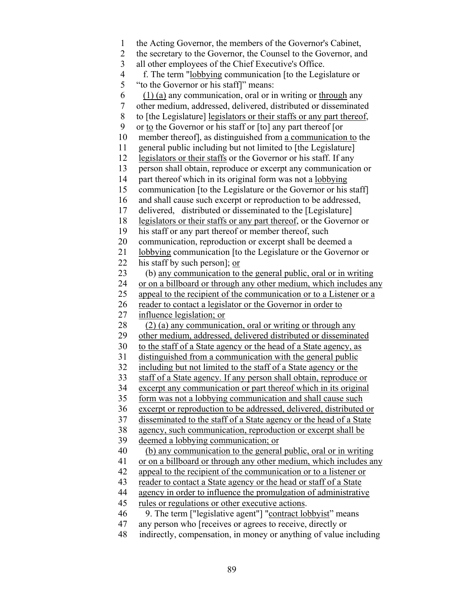- 1 the Acting Governor, the members of the Governor's Cabinet,
- 2 the secretary to the Governor, the Counsel to the Governor, and
- 3 all other employees of the Chief Executive's Office.
- 4 f. The term "lobbying communication [to the Legislature or
- 5 "to the Governor or his staff]" means:
- $6$  (1) (a) any communication, oral or in writing or through any
- 7 other medium, addressed, delivered, distributed or disseminated
- 8 to [the Legislature] legislators or their staffs or any part thereof,
- 9 or to the Governor or his staff or [to] any part thereof [or
- 10 member thereof], as distinguished from a communication to the
- 11 general public including but not limited to [the Legislature]
- 12 legislators or their staffs or the Governor or his staff. If any
- 13 person shall obtain, reproduce or excerpt any communication or
- 14 part thereof which in its original form was not a lobbying
- 15 communication [to the Legislature or the Governor or his staff]
- 16 and shall cause such excerpt or reproduction to be addressed,
- 17 delivered, distributed or disseminated to the [Legislature]
- 18 legislators or their staffs or any part thereof, or the Governor or
- 19 his staff or any part thereof or member thereof, such
- 20 communication, reproduction or excerpt shall be deemed a
- 21 lobbying communication [to the Legislature or the Governor or
- 22 his staff by such person]; or
- 23 (b) any communication to the general public, oral or in writing
- 24 or on a billboard or through any other medium, which includes any
- 25 appeal to the recipient of the communication or to a Listener or a
- 26 reader to contact a legislator or the Governor in order to
- 27 influence legislation; or
- $28$  (2) (a) any communication, oral or writing or through any
- 29 other medium, addressed, delivered distributed or disseminated
- 30 to the staff of a State agency or the head of a State agency, as
- 31 distinguished from a communication with the general public
- 32 including but not limited to the staff of a State agency or the
- 33 staff of a State agency. If any person shall obtain, reproduce or
- 34 excerpt any communication or part thereof which in its original
- 35 form was not a lobbying communication and shall cause such
- 36 excerpt or reproduction to be addressed, delivered, distributed or
- 37 disseminated to the staff of a State agency or the head of a State
- 38 agency, such communication, reproduction or excerpt shall be
- 39 deemed a lobbying communication; or
- 40 (b) any communication to the general public, oral or in writing
- 41 or on a billboard or through any other medium, which includes any
- 42 appeal to the recipient of the communication or to a listener or
- 43 reader to contact a State agency or the head or staff of a State
- 44 agency in order to influence the promulgation of administrative
- 45 rules or regulations or other executive actions.
- 46 9. The term ["legislative agent"] "contract lobbyist" means
- 47 any person who [receives or agrees to receive, directly or
- 48 indirectly, compensation, in money or anything of value including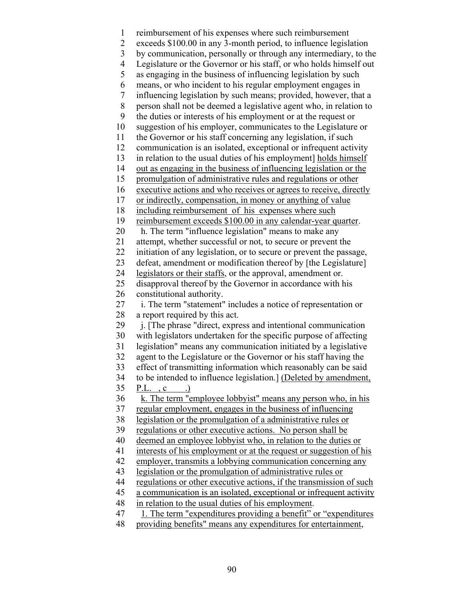1 reimbursement of his expenses where such reimbursement 2 exceeds \$100.00 in any 3-month period, to influence legislation 3 by communication, personally or through any intermediary, to the 4 Legislature or the Governor or his staff, or who holds himself out 5 as engaging in the business of influencing legislation by such 6 means, or who incident to his regular employment engages in 7 influencing legislation by such means; provided, however, that a 8 person shall not be deemed a legislative agent who, in relation to 9 the duties or interests of his employment or at the request or 10 suggestion of his employer, communicates to the Legislature or 11 the Governor or his staff concerning any legislation, if such 12 communication is an isolated, exceptional or infrequent activity 13 in relation to the usual duties of his employment] holds himself 14 out as engaging in the business of influencing legislation or the 15 promulgation of administrative rules and regulations or other 16 executive actions and who receives or agrees to receive, directly 17 or indirectly, compensation, in money or anything of value 18 including reimbursement of his expenses where such 19 reimbursement exceeds \$100.00 in any calendar-year quarter. 20 h. The term "influence legislation" means to make any 21 attempt, whether successful or not, to secure or prevent the 22 initiation of any legislation, or to secure or prevent the passage, 23 defeat, amendment or modification thereof by [the Legislature] 24 legislators or their staffs, or the approval, amendment or. 25 disapproval thereof by the Governor in accordance with his 26 constitutional authority. 27 i. The term "statement" includes a notice of representation or 28 a report required by this act. 29 i. [The phrase "direct, express and intentional communication 30 with legislators undertaken for the specific purpose of affecting 31 legislation" means any communication initiated by a legislative 32 agent to the Legislature or the Governor or his staff having the 33 effect of transmitting information which reasonably can be said 34 to be intended to influence legislation.] (Deleted by amendment, 35 P.L. , c .) 36 k. The term "employee lobbyist" means any person who, in his 37 regular employment, engages in the business of influencing 38 legislation or the promulgation of a administrative rules or 39 regulations or other executive actions. No person shall be 40 deemed an employee lobbyist who, in relation to the duties or 41 interests of his employment or at the request or suggestion of his 42 employer, transmits a lobbying communication concerning any 43 legislation or the promulgation of administrative rules or 44 regulations or other executive actions, if the transmission of such 45 a communication is an isolated, exceptional or infrequent activity 48 in relation to the usual duties of his employment. 47 1. The term "expenditures providing a benefit" or "expenditures 48 providing benefits" means any expenditures for entertainment,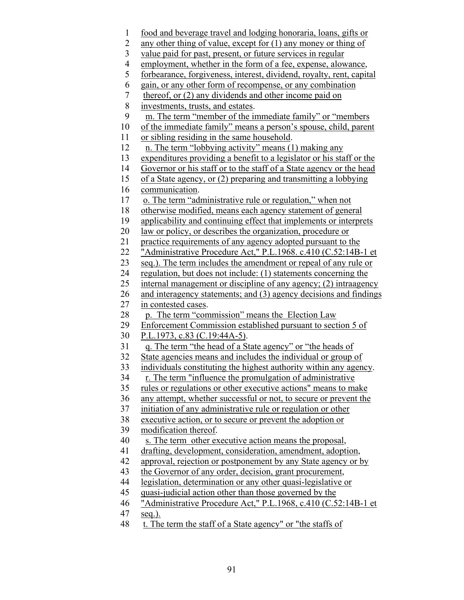- 1 food and beverage travel and lodging honoraria, loans, gifts or
- 2 any other thing of value, except for (1) any money or thing of
- 3 value paid for past, present, or future services in regular
- 4 employment, whether in the form of a fee, expense, alowance,
- 5 forbearance, forgiveness, interest, dividend, royalty, rent, capital
- 6 gain, or any other form of recompense, or any combination
- 7 thereof, or (2) any dividends and other income paid on
- 8 investments, trusts, and estates.
- 9 m. The term "member of the immediate family" or "members
- 10 of the immediate family" means a person's spouse, child, parent
- 11 or sibling residing in the same household.
- 12 n. The term "lobbying activity" means (1) making any
- 13 expenditures providing a benefit to a legislator or his staff or the
- 14 Governor or his staff or to the staff of a State agency or the head
- 15 of a State agency, or (2) preparing and transmitting a lobbying
- 16 communication.
- 17 o. The term "administrative rule or regulation," when not
- 18 otherwise modified, means each agency statement of general
- 19 applicability and continuing effect that implements or interprets
- 20 law or policy, or describes the organization, procedure or
- 21 practice requirements of any agency adopted pursuant to the
- 22 "Administrative Procedure Act," P.L.1968. c.410 (C.52:14B-1 et
- 23 seq.). The term includes the amendment or repeal of any rule or
- 24 regulation, but does not include: (1) statements concerning the
- 25 internal management or discipline of any agency; (2) intraagency
- 26 and interagency statements; and (3) agency decisions and findings
- 27 in contested cases.
- 28 p. The term "commission" means the Election Law
- 29 Enforcement Commission established pursuant to section 5 of
- 30 P.L.1973, c.83 (C.19:44A-5).
- 31 q. The term "the head of a State agency" or "the heads of
- 32 State agencies means and includes the individual or group of
- 33 individuals constituting the highest authority within any agency.
- 34 r. The term "influence the promulgation of administrative
- 35 rules or regulations or other executive actions" means to make
- 36 any attempt, whether successful or not, to secure or prevent the
- 37 initiation of any administrative rule or regulation or other
- 38 executive action, or to secure or prevent the adoption or
- 39 modification thereof.
- 40 s. The term other executive action means the proposal,
- 41 drafting, development, consideration, amendment, adoption,
- 42 approval, rejection or postponement by any State agency or by
- 43 the Governor of any order, decision, grant procurement,
- 44 legislation, determination or any other quasi-legislative or
- 45 quasi-judicial action other than those governed by the
- 46 "Administrative Procedure Act," P.L.1968, c.410 (C.52:14B-1 et
- 47 seq.).
- 48 t. The term the staff of a State agency" or "the staffs of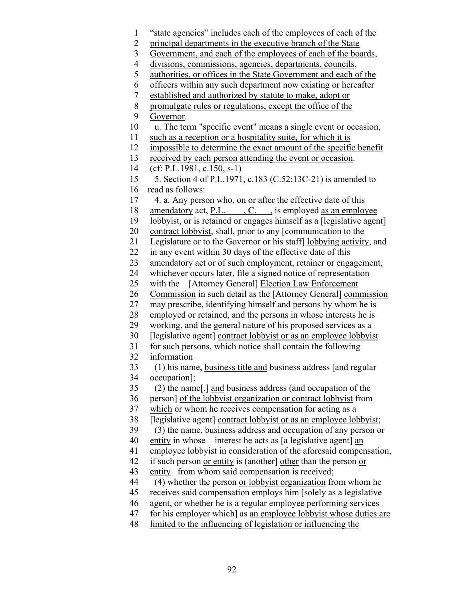- 1 "state agencies" includes each of the employees of each of the
- 2 principal departments in the executive branch of the State
- 3 Government, and each of the employees of each of the boards,
- 4 divisions, commissions, agencies, departments, councils,
- 5 authorities, or offices in the State Government and each of the
- 6 officers within any such department now existing or hereafter
- 7 established and authorized by statute to make, adopt or
- 8 promulgate rules or regulations, except the office of the
- 9 Governor.
- 10 u. The term "specific event" means a single event or occasion,
- 11 such as a reception or a hospitality suite, for which it is
- 12 impossible to determine the exact amount of the specific benefit
- 13 received by each person attending the event or occasion.
- 14 (cf: P.L.1981, c.150, s-1)
- 15 5. Section 4 of P.L.1971, c.183 (C.52:13C-21) is amended to 16 read as follows:
- 17 4. a. Any person who, on or after the effective date of this
- 18 amendatory act, P.L. , C. , is employed as an employee
- 19 lobbyist, or is retained or engages himself as a [legislative agent]
- 20 contract lobbyist, shall, prior to any [communication to the
- 21 Legislature or to the Governor or his staff] lobbying activity, and
- 22 in any event within 30 days of the effective date of this
- 23 amendatory act or of such employment, retainer or engagement,
- 24 whichever occurs later, file a signed notice of representation
- 25 with the [Attorney General] Election Law Enforcement
- 26 Commission in such detail as the [Attorney General] commission
- 27 may prescribe, identifying himself and persons by whom he is
- 28 employed or retained, and the persons in whose interests he is
- 29 working, and the general nature of his proposed services as a
- 30 [legislative agent] contract lobbyist or as an employee lobbyist
- 31 for such persons, which notice shall contain the following
- 32 information
- 33 (1) his name, business title and business address [and regular 34 occupation];
- 35 (2) the name[,] and business address (and occupation of the
- 36 person] of the lobbyist organization or contract lobbyist from
- 37 which or whom he receives compensation for acting as a
- 38 [legislative agent] contract lobbyist or as an employee lobbyist;
- 39 (3) the name, business address and occupation of any person or
- 40 entity in whose interest he acts as [a legislative agent] an
- 41 employee lobbyist in consideration of the aforesaid compensation,
- 42 if such person or entity is (another] other than the person or
- 43 entity from whom said compensation is received;
- 44 (4) whether the person or lobbyist organization from whom he
- 45 receives said compensation employs him [solely as a legislative
- 46 agent, or whether he is a regular employee performing services
- 47 for his employer which] as an employee lobbyist whose duties are
- 48 limited to the influencing of legislation or influencing the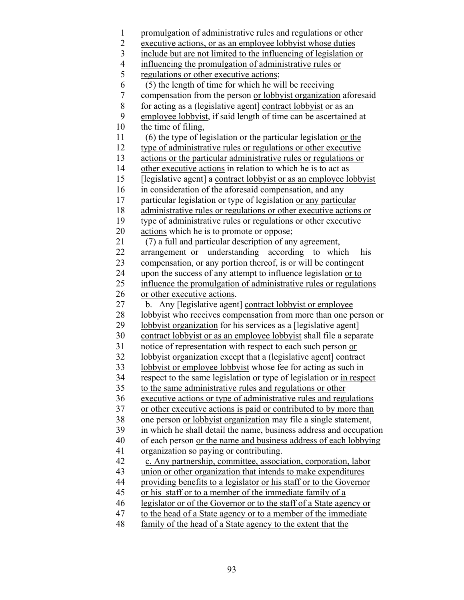1 promulgation of administrative rules and regulations or other 2 executive actions, or as an employee lobbyist whose duties<br>3 include but are not limited to the influencing of legislation include but are not limited to the influencing of legislation or 4 influencing the promulgation of administrative rules or regulations or other executive actions; regulations or other executive actions; 6 (5) the length of time for which he will be receiving 7 compensation from the person <u>or lobbyist organization</u> aforesaid<br>8 for acting as a (legislative agent) contract lobbyist or as an for acting as a (legislative agent) contract lobbyist or as an 9 employee lobbyist, if said length of time can be ascertained at 10 the time of filing, 11 (6) the type of legislation or the particular legislation or the 12 type of administrative rules or regulations or other executive 13 actions or the particular administrative rules or regulations or 14 other executive actions in relation to which he is to act as 15 [legislative agent] a contract lobbyist or as an employee lobbyist 16 in consideration of the aforesaid compensation, and any 17 particular legislation or type of legislation or any particular 18 administrative rules or regulations or other executive actions or 19 type of administrative rules or regulations or other executive 20 actions which he is to promote or oppose; 21 (7) a full and particular description of any agreement, 22 arrangement or understanding according to which his 23 compensation, or any portion thereof, is or will be contingent 24 upon the success of any attempt to influence legislation or to 25 influence the promulgation of administrative rules or regulations 26 or other executive actions. 27 b. Any [legislative agent] contract lobbyist or employee 28 lobbyist who receives compensation from more than one person or 29 lobbyist organization for his services as a [legislative agent] 30 contract lobbyist or as an employee lobbyist shall file a separate 31 notice of representation with respect to each such person or 32 lobbyist organization except that a (legislative agent] contract 33 lobbyist or employee lobbyist whose fee for acting as such in 34 respect to the same legislation or type of legislation or in respect 35 to the same administrative rules and regulations or other 36 executive actions or type of administrative rules and regulations 37 or other executive actions is paid or contributed to by more than 38 one person or lobbyist organization may file a single statement, 39 in which he shall detail the name, business address and occupation 40 of each person or the name and business address of each lobbying 41 organization so paying or contributing. 42 c. Any partnership, committee, association, corporation, labor 43 union or other organization that intends to make expenditures 44 providing benefits to a legislator or his staff or to the Governor 45 or his staff or to a member of the immediate family of a 46 legislator or of the Governor or to the staff of a State agency or 47 to the head of a State agency or to a member of the immediate 48 family of the head of a State agency to the extent that the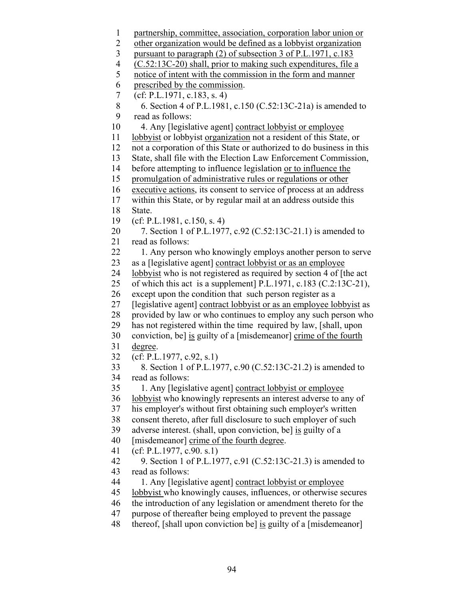- 1 partnership, committee, association, corporation labor union or
- 2 other organization would be defined as a lobbyist organization
- 3 pursuant to paragraph (2) of subsection 3 of P.L.1971, c.183
- 4 (C.52:13C-20) shall, prior to making such expenditures, file a
- 5 notice of intent with the commission in the form and manner
- 6 prescribed by the commission.
- 7 (cf: P.L.1971, c.183, s. 4)

```
 8 6. Section 4 of P.L.1981, c.150 (C.52:13C-21a) is amended to 
9 read as follows:
```
- 10 4. Any [legislative agent] contract lobbyist or employee
- 11 lobbyist or lobbyist organization not a resident of this State, or
- 12 not a corporation of this State or authorized to do business in this
- 13 State, shall file with the Election Law Enforcement Commission,
- 14 before attempting to influence legislation or to influence the
- 15 promulgation of administrative rules or regulations or other
- 16 executive actions, its consent to service of process at an address
- 17 within this State, or by regular mail at an address outside this
- 18 State.
- 19 (cf: P.L.1981, c.150, s. 4)
- 20 7. Section 1 of P.L.1977, c.92 (C.52:13C-21.1) is amended to 21 read as follows:
- 22 1. Any person who knowingly employs another person to serve 23 as a [legislative agent] contract lobbyist or as an employee
- 24 lobbyist who is not registered as required by section 4 of [the act
- 25 of which this act is a supplement] P.L.1971, c.183 (C.2:13C-21),
- 26 except upon the condition that such person register as a
- 27 [legislative agent] contract lobbyist or as an employee lobbyist as
- 28 provided by law or who continues to employ any such person who
- 29 has not registered within the time required by law, [shall, upon
- 30 conviction, be] is guilty of a [misdemeanor] crime of the fourth 31 degree.
- 32 (cf: P.L.1977, c.92, s.1)
- 33 8. Section 1 of P.L.1977, c.90 (C.52:13C-21.2) is amended to 34 read as follows:
- 35 1. Any [legislative agent] contract lobbyist or employee
- 36 lobbyist who knowingly represents an interest adverse to any of
- 37 his employer's without first obtaining such employer's written
- 38 consent thereto, after full disclosure to such employer of such
- 39 adverse interest. (shall, upon conviction, be] is guilty of a
- 40 [misdemeanor] crime of the fourth degree.
- 41 (cf: P.L.1977, c.90. s.1)
- 42 9. Section 1 of P.L.1977, c.91 (C.52:13C-21.3) is amended to 43 read as follows:
- 44 1. Any [legislative agent] contract lobbyist or employee
- 45 lobbyist who knowingly causes, influences, or otherwise secures
- 46 the introduction of any legislation or amendment thereto for the
- 47 purpose of thereafter being employed to prevent the passage
- 48 thereof, [shall upon conviction be] is guilty of a [misdemeanor]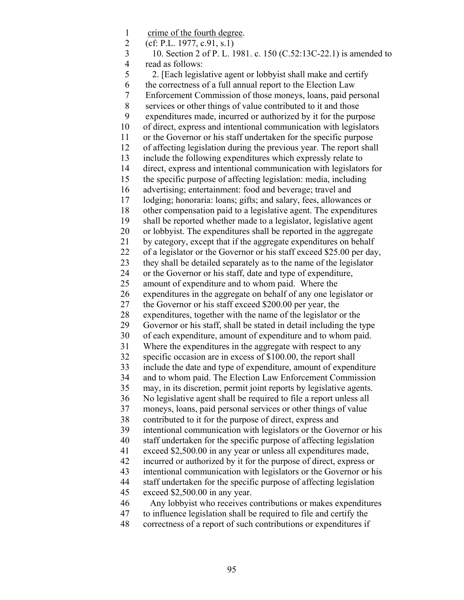1 crime of the fourth degree. 2 (cf: P.L. 1977, c.91, s.1) 3 10. Section 2 of P. L. 1981. c. 150 (C.52:13C-22.1) is amended to 4 read as follows: 5 2. [Each legislative agent or lobbyist shall make and certify 6 the correctness of a full annual report to the Election Law 7 Enforcement Commission of those moneys, loans, paid personal 8 services or other things of value contributed to it and those 9 expenditures made, incurred or authorized by it for the purpose 10 of direct, express and intentional communication with legislators 11 or the Governor or his staff undertaken for the specific purpose 12 of affecting legislation during the previous year. The report shall 13 include the following expenditures which expressly relate to 14 direct, express and intentional communication with legislators for 15 the specific purpose of affecting legislation: media, including 16 advertising; entertainment: food and beverage; travel and 17 lodging; honoraria: loans; gifts; and salary, fees, allowances or 18 other compensation paid to a legislative agent. The expenditures 19 shall be reported whether made to a legislator, legislative agent 20 or lobbyist. The expenditures shall be reported in the aggregate 21 by category, except that if the aggregate expenditures on behalf 22 of a legislator or the Governor or his staff exceed \$25.00 per day, 23 they shall be detailed separately as to the name of the legislator 24 or the Governor or his staff, date and type of expenditure, 25 amount of expenditure and to whom paid. Where the 26 expenditures in the aggregate on behalf of any one legislator or 27 the Governor or his staff exceed \$200.00 per year, the 28 expenditures, together with the name of the legislator or the 29 Governor or his staff, shall be stated in detail including the type 30 of each expenditure, amount of expenditure and to whom paid. 31 Where the expenditures in the aggregate with respect to any 32 specific occasion are in excess of \$100.00, the report shall 33 include the date and type of expenditure, amount of expenditure 34 and to whom paid. The Election Law Enforcement Commission 35 may, in its discretion, permit joint reports by legislative agents. 36 No legislative agent shall be required to file a report unless all 37 moneys, loans, paid personal services or other things of value 38 contributed to it for the purpose of direct, express and 39 intentional communication with legislators or the Governor or his 40 staff undertaken for the specific purpose of affecting legislation 41 exceed \$2,500.00 in any year or unless all expenditures made, 42 incurred or authorized by it for the purpose of direct, express or 43 intentional communication with legislators or the Governor or his 44 staff undertaken for the specific purpose of affecting legislation 45 exceed \$2,500.00 in any year. 46 Any lobbyist who receives contributions or makes expenditures 47 to influence legislation shall be required to file and certify the 48 correctness of a report of such contributions or expenditures if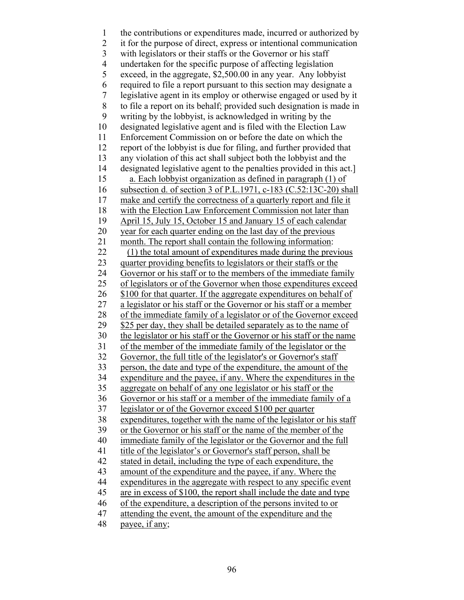1 the contributions or expenditures made, incurred or authorized by 2 it for the purpose of direct, express or intentional communication 3 with legislators or their staffs or the Governor or his staff 4 undertaken for the specific purpose of affecting legislation 5 exceed, in the aggregate, \$2,500.00 in any year. Any lobbyist 6 required to file a report pursuant to this section may designate a 7 legislative agent in its employ or otherwise engaged or used by it 8 to file a report on its behalf; provided such designation is made in 9 writing by the lobbyist, is acknowledged in writing by the 10 designated legislative agent and is filed with the Election Law 11 Enforcement Commission on or before the date on which the 12 report of the lobbyist is due for filing, and further provided that 13 any violation of this act shall subject both the lobbyist and the 14 designated legislative agent to the penalties provided in this act.] 15 a. Each lobbyist organization as defined in paragraph (1) of 16 subsection d. of section 3 of P.L.1971, c-183 (C.52:13C-20) shall 17 make and certify the correctness of a quarterly report and file it 18 with the Election Law Enforcement Commission not later than 19 April 15, July 15, October 15 and January 15 of each calendar 20 year for each quarter ending on the last day of the previous 21 month. The report shall contain the following information: 22 (1) the total amount of expenditures made during the previous 23 quarter providing benefits to legislators or their staffs or the 24 Governor or his staff or to the members of the immediate family 25 of legislators or of the Governor when those expenditures exceed 26 \$100 for that quarter. If the aggregate expenditures on behalf of 27 a legislator or his staff or the Governor or his staff or a member 28 of the immediate family of a legislator or of the Governor exceed 29 \$25 per day, they shall be detailed separately as to the name of 30 the legislator or his staff or the Governor or his staff or the name 31 of the member of the immediate family of the legislator or the 32 Governor, the full title of the legislator's or Governor's staff 33 person, the date and type of the expenditure, the amount of the 34 expenditure and the payee, if any. Where the expenditures in the 35 aggregate on behalf of any one legislator or his staff or the 36 Governor or his staff or a member of the immediate family of a 37 legislator or of the Governor exceed \$100 per quarter 38 expenditures, together with the name of the legislator or his staff 39 or the Governor or his staff or the name of the member of the 40 immediate family of the legislator or the Governor and the full 41 title of the legislator's or Governor's staff person, shall be 42 stated in detail, including the type of each expenditure, the 43 amount of the expenditure and the payee, if any. Where the 44 expenditures in the aggregate with respect to any specific event 45 are in excess of \$100, the report shall include the date and type 46 of the expenditure, a description of the persons invited to or 47 attending the event, the amount of the expenditure and the 48 payee, if any;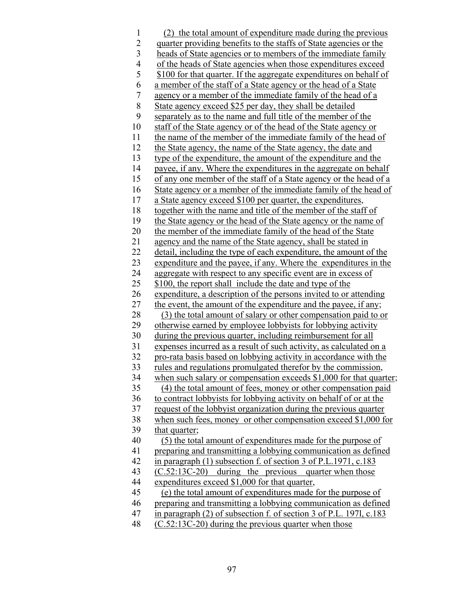1 (2) the total amount of expenditure made during the previous 2 quarter providing benefits to the staffs of State agencies or the 3 heads of State agencies or to members of the immediate family 4 of the heads of State agencies when those expenditures exceed<br>5 \$100 for that quarter. If the aggregate expenditures on behalf of \$100 for that quarter. If the aggregate expenditures on behalf of 6 a member of the staff of a State agency or the head of a State 7 agency or a member of the immediate family of the head of a 8 State agency exceed \$25 per day, they shall be detailed 9 separately as to the name and full title of the member of the 10 staff of the State agency or of the head of the State agency or 11 the name of the member of the immediate family of the head of 12 the State agency, the name of the State agency, the date and 13 type of the expenditure, the amount of the expenditure and the 14 payee, if any. Where the expenditures in the aggregate on behalf 15 of any one member of the staff of a State agency or the head of a 16 State agency or a member of the immediate family of the head of 17 a State agency exceed \$100 per quarter, the expenditures, 18 together with the name and title of the member of the staff of 19 the State agency or the head of the State agency or the name of 20 the member of the immediate family of the head of the State 21 agency and the name of the State agency, shall be stated in 22 detail, including the type of each expenditure, the amount of the 23 expenditure and the payee, if any. Where the expenditures in the 24 aggregate with respect to any specific event are in excess of 25 \$100, the report shall include the date and type of the 26 expenditure, a description of the persons invited to or attending 27 the event, the amount of the expenditure and the payee, if any; 28 (3) the total amount of salary or other compensation paid to or 29 otherwise earned by employee lobbyists for lobbying activity 30 during the previous quarter, including reimbursement for all 31 expenses incurred as a result of such activity, as calculated on a 32 pro-rata basis based on lobbying activity in accordance with the 33 rules and regulations promulgated therefor by the commission, 34 when such salary or compensation exceeds \$1,000 for that quarter; 35 (4) the total amount of fees, money or other compensation paid 36 to contract lobbyists for lobbying activity on behalf of or at the 37 request of the lobbyist organization during the previous quarter 38 when such fees, money or other compensation exceed \$1,000 for 39 that quarter; 40 (5) the total amount of expenditures made for the purpose of 41 preparing and transmitting a lobbying communication as defined 42 in paragraph (1) subsection f. of section 3 of P.L.1971, c.183 43 (C.52:13C-20) during the previous quarter when those 44 expenditures exceed \$1,000 for that quarter, 45 (e) the total amount of expenditures made for the purpose of 46 preparing and transmitting a lobbying communication as defined 47 in paragraph (2) of subsection f. of section 3 of P.L. 197l, c.183 48 (C.52:13C-20) during the previous quarter when those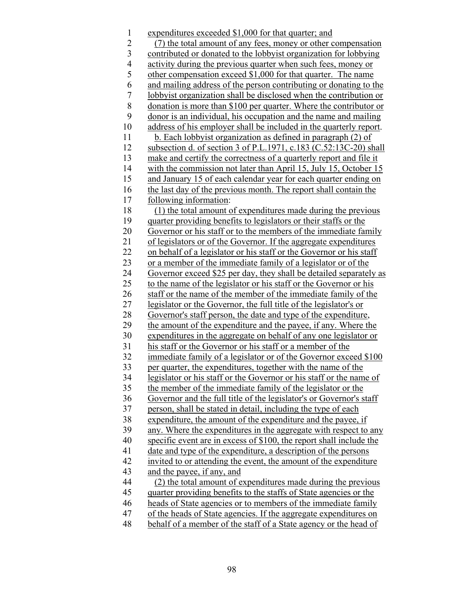1 expenditures exceeded \$1,000 for that quarter; and 2 (7) the total amount of any fees, money or other compensation 3 contributed or donated to the lobbyist organization for lobbying 4 activity during the previous quarter when such fees, money or 5 other compensation exceed \$1,000 for that quarter. The name 6 and mailing address of the person contributing or donating to the 7 lobbyist organization shall be disclosed when the contribution or 8 donation is more than \$100 per quarter. Where the contributor or 9 donor is an individual, his occupation and the name and mailing 10 address of his employer shall be included in the quarterly report. 11 b. Each lobbyist organization as defined in paragraph (2) of 12 subsection d. of section 3 of P.L.1971, c.183 (C.52:13C-20) shall 13 make and certify the correctness of a quarterly report and file it 14 with the commission not later than April 15, July 15, October 15 15 and January 15 of each calendar year for each quarter ending on 16 the last day of the previous month. The report shall contain the 17 following information: 18 (1) the total amount of expenditures made during the previous 19 quarter providing benefits to legislators or their staffs or the 20 Governor or his staff or to the members of the immediate family 21 of legislators or of the Governor. If the aggregate expenditures 22 on behalf of a legislator or his staff or the Governor or his staff 23 or a member of the immediate family of a legislator or of the 24 Governor exceed \$25 per day, they shall be detailed separately as 25 to the name of the legislator or his staff or the Governor or his 26 staff or the name of the member of the immediate family of the 27 legislator or the Governor, the full title of the legislator's or 28 Governor's staff person, the date and type of the expenditure, 29 the amount of the expenditure and the payee, if any. Where the 30 expenditures in the aggregate on behalf of any one legislator or 31 his staff or the Governor or his staff or a member of the 32 immediate family of a legislator or of the Governor exceed \$100 33 per quarter, the expenditures, together with the name of the 34 legislator or his staff or the Governor or his staff or the name of 35 the member of the immediate family of the legislator or the 36 Governor and the full title of the legislator's or Governor's staff 37 person, shall be stated in detail, including the type of each 38 expenditure, the amount of the expenditure and the payee, if 39 any. Where the expenditures in the aggregate with respect to any 40 specific event are in excess of \$100, the report shall include the 41 date and type of the expenditure, a description of the persons 42 invited to or attending the event, the amount of the expenditure 43 and the payee, if any, and 44 (2) the total amount of expenditures made during the previous 45 quarter providing benefits to the staffs of State agencies or the 46 heads of State agencies or to members of the immediate family 47 of the heads of State agencies. If the aggregate expenditures on 48 behalf of a member of the staff of a State agency or the head of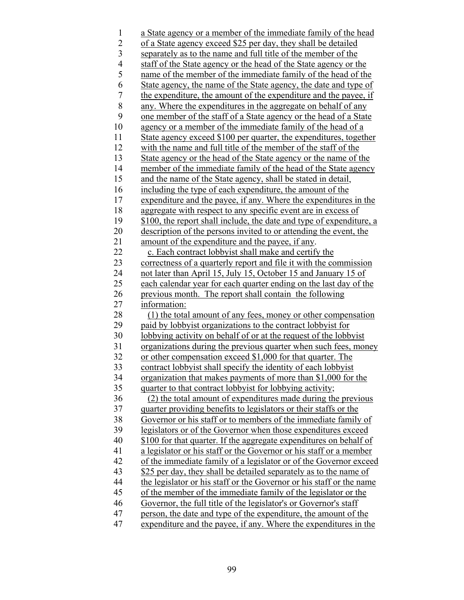1 a State agency or a member of the immediate family of the head 2 of a State agency exceed \$25 per day, they shall be detailed 3 separately as to the name and full title of the member of the 4 staff of the State agency or the head of the State agency or the 5 name of the member of the immediate family of the head of the 6 State agency, the name of the State agency, the date and type of 7 the expenditure, the amount of the expenditure and the payee, if 8 any. Where the expenditures in the aggregate on behalf of any 9 one member of the staff of a State agency or the head of a State 10 agency or a member of the immediate family of the head of a 11 State agency exceed \$100 per quarter, the expenditures, together 12 with the name and full title of the member of the staff of the 13 State agency or the head of the State agency or the name of the 14 member of the immediate family of the head of the State agency 15 and the name of the State agency, shall be stated in detail, 16 including the type of each expenditure, the amount of the 17 expenditure and the payee, if any. Where the expenditures in the 18 aggregate with respect to any specific event are in excess of 19 \$100, the report shall include, the date and type of expenditure, a 20 description of the persons invited to or attending the event, the 21 amount of the expenditure and the payee, if any. 22 c. Each contract lobby is shall make and certify the 23 correctness of a quarterly report and file it with the commission 24 not later than April 15, July 15, October 15 and January 15 of 25 each calendar year for each quarter ending on the last day of the 26 previous month. The report shall contain the following 27 information: 28 (1) the total amount of any fees, money or other compensation 29 paid by lobbyist organizations to the contract lobbyist for 30 lobbying activity on behalf of or at the request of the lobbyist 31 organizations during the previous quarter when such fees, money 32 or other compensation exceed \$1,000 for that quarter. The 33 contract lobbyist shall specify the identity of each lobbyist 34 organization that makes payments of more than \$1,000 for the 35 quarter to that contract lobbyist for lobbying activity; 36 (2) the total amount of expenditures made during the previous 37 quarter providing benefits to legislators or their staffs or the 38 Governor or his staff or to members of the immediate family of 39 legislators or of the Governor when those expenditures exceed 40 \$100 for that quarter. If the aggregate expenditures on behalf of 41 a legislator or his staff or the Governor or his staff or a member 42 of the immediate family of a legislator or of the Governor exceed 43 \$25 per day, they shall be detailed separately as to the name of 44 the legislator or his staff or the Governor or his staff or the name 45 of the member of the immediate family of the legislator or the 46 Governor, the full title of the legislator's or Governor's staff 47 person, the date and type of the expenditure, the amount of the 47 expenditure and the payee, if any. Where the expenditures in the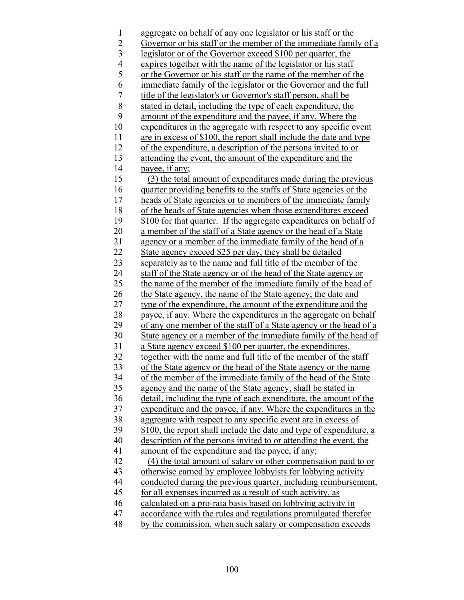1 aggregate on behalf of any one legislator or his staff or the 2 Governor or his staff or the member of the immediate family of a 3 legislator or of the Governor exceed \$100 per quarter, the 4 expires together with the name of the legislator or his staff 5 or the Governor or his staff or the name of the member of the 6 immediate family of the legislator or the Governor and the full 7 title of the legislator's or Governor's staff person, shall be 8 stated in detail, including the type of each expenditure, the 9 amount of the expenditure and the payee, if any. Where the 10 expenditures in the aggregate with respect to any specific event 11 are in excess of \$100, the report shall include the date and type 12 of the expenditure, a description of the persons invited to or 13 attending the event, the amount of the expenditure and the 14 payee, if any; 15 (3) the total amount of expenditures made during the previous 16 quarter providing benefits to the staffs of State agencies or the 17 heads of State agencies or to members of the immediate family 18 of the heads of State agencies when those expenditures exceed 19 \$100 for that quarter. If the aggregate expenditures on behalf of 20 a member of the staff of a State agency or the head of a State 21 agency or a member of the immediate family of the head of a 22 State agency exceed \$25 per day, they shall be detailed 23 separately as to the name and full title of the member of the 24 staff of the State agency or of the head of the State agency or 25 the name of the member of the immediate family of the head of 26 the State agency, the name of the State agency, the date and 27 type of the expenditure, the amount of the expenditure and the 28 payee, if any. Where the expenditures in the aggregate on behalf 29 of any one member of the staff of a State agency or the head of a 30 State agency or a member of the immediate family of the head of 31 a State agency exceed \$100 per quarter, the expenditures, 32 together with the name and full title of the member of the staff 33 of the State agency or the head of the State agency or the name 34 of the member of the immediate family of the head of the State 35 agency and the name of the State agency, shall be stated in 36 detail, including the type of each expenditure, the amount of the 37 expenditure and the payee, if any. Where the expenditures in the 38 aggregate with respect to any specific event are in excess of 39 \$100, the report shall include the date and type of expenditure, a 40 description of the persons invited to or attending the event, the 41 amount of the expenditure and the payee, if any; 42 (4) the total amount of salary or other compensation paid to or 43 otherwise earned by employee lobbyists for lobbying activity 44 conducted during the previous quarter, including reimbursement, 45 for all expenses incurred as a result of such activity, as 46 calculated on a pro-rata basis based on lobbying activity in 47 accordance with the rules and regulations promulgated therefor 48 by the commission, when such salary or compensation exceeds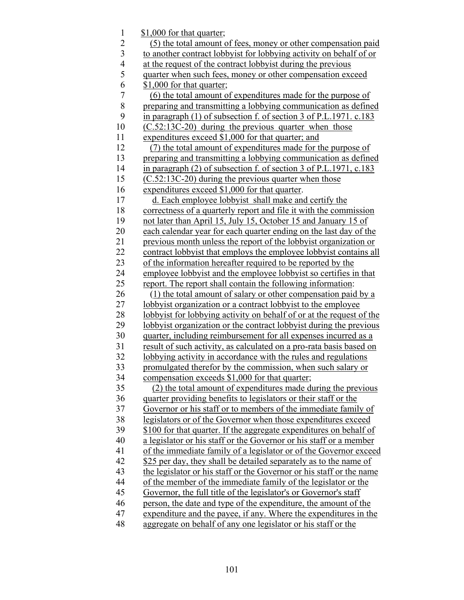1 \$1,000 for that quarter; 2 (5) the total amount of fees, money or other compensation paid 3 to another contract lobbyist for lobbying activity on behalf of or 4 at the request of the contract lobbyist during the previous<br>5 quarter when such fees, money or other compensation exc quarter when such fees, money or other compensation exceed 6 \$1,000 for that quarter; 7 (6) the total amount of expenditures made for the purpose of 8 preparing and transmitting a lobbying communication as defined 9 in paragraph (1) of subsection f. of section 3 of P.L.1971. c.183 10 (C.52:13C-20) during the previous quarter when those 11 expenditures exceed \$1,000 for that quarter; and 12 (7) the total amount of expenditures made for the purpose of 13 preparing and transmitting a lobbying communication as defined 14 in paragraph (2) of subsection f. of section 3 of P.L.1971, c.183 15 (C.52:13C-20) during the previous quarter when those 16 expenditures exceed \$1,000 for that quarter. 17 d. Each employee lobbyist shall make and certify the 18 correctness of a quarterly report and file it with the commission 19 not later than April 15, July 15, October 15 and January 15 of 20 each calendar year for each quarter ending on the last day of the 21 previous month unless the report of the lobbyist organization or 22 contract lobby ist that employs the employee lobby ist contains all 23 of the information hereafter required to be reported by the 24 employee lobbyist and the employee lobbyist so certifies in that 25 report. The report shall contain the following information: 26 (1) the total amount of salary or other compensation paid by a 27 lobbyist organization or a contract lobbyist to the employee 28 lobbyist for lobbying activity on behalf of or at the request of the 29 lobbyist organization or the contract lobbyist during the previous 30 quarter, including reimbursement for all expenses incurred as a 31 result of such activity, as calculated on a pro-rata basis based on 32 lobbying activity in accordance with the rules and regulations 33 promulgated therefor by the commission, when such salary or 34 compensation exceeds \$1,000 for that quarter; 35 (2) the total amount of expenditures made during the previous 36 quarter providing benefits to legislators or their staff or the 37 Governor or his staff or to members of the immediate family of 38 legislators or of the Governor when those expenditures exceed 39 \$100 for that quarter. If the aggregate expenditures on behalf of 40 a legislator or his staff or the Governor or his staff or a member 41 of the immediate family of a legislator or of the Governor exceed \$25 per day, they shall be detailed separately as to the name of 43 the legislator or his staff or the Governor or his staff or the name 44 of the member of the immediate family of the legislator or the 45 Governor, the full title of the legislator's or Governor's staff 46 person, the date and type of the expenditure, the amount of the 47 expenditure and the payee, if any. Where the expenditures in the 48 aggregate on behalf of any one legislator or his staff or the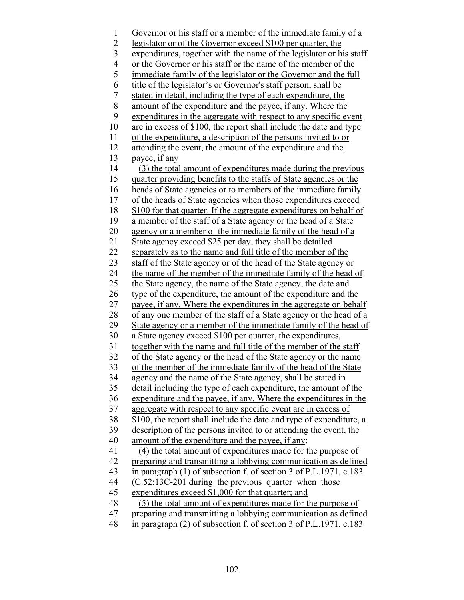1 Governor or his staff or a member of the immediate family of a 2 legislator or of the Governor exceed \$100 per quarter, the 3 expenditures, together with the name of the legislator or his staff 4 or the Governor or his staff or the name of the member of the 5 immediate family of the legislator or the Governor and the full 6 title of the legislator's or Governor's staff person, shall be 7 stated in detail, including the type of each expenditure, the 8 amount of the expenditure and the payee, if any. Where the 9 expenditures in the aggregate with respect to any specific event 10 are in excess of \$100, the report shall include the date and type 11 of the expenditure, a description of the persons invited to or 12 attending the event, the amount of the expenditure and the 13 payee, if any 14 (3) the total amount of expenditures made during the previous 15 quarter providing benefits to the staffs of State agencies or the 16 heads of State agencies or to members of the immediate family 17 of the heads of State agencies when those expenditures exceed 18 \$100 for that quarter. If the aggregate expenditures on behalf of 19 a member of the staff of a State agency or the head of a State 20 agency or a member of the immediate family of the head of a 21 State agency exceed \$25 per day, they shall be detailed 22 separately as to the name and full title of the member of the 23 staff of the State agency or of the head of the State agency or 24 the name of the member of the immediate family of the head of 25 the State agency, the name of the State agency, the date and 26 type of the expenditure, the amount of the expenditure and the 27 payee, if any. Where the expenditures in the aggregate on behalf 28 of any one member of the staff of a State agency or the head of a 29 State agency or a member of the immediate family of the head of 30 a State agency exceed \$100 per quarter, the expenditures, 31 together with the name and full title of the member of the staff 32 of the State agency or the head of the State agency or the name 33 of the member of the immediate family of the head of the State 34 agency and the name of the State agency, shall be stated in 35 detail including the type of each expenditure, the amount of the 36 expenditure and the payee, if any. Where the expenditures in the 37 aggregate with respect to any specific event are in excess of 38 \$100, the report shall include the date and type of expenditure, a 39 description of the persons invited to or attending the event, the 40 amount of the expenditure and the payee, if any; 41 (4) the total amount of expenditures made for the purpose of 42 preparing and transmitting a lobbying communication as defined 43 in paragraph (1) of subsection f. of section 3 of P.L.1971, c.183 44 (C.52:13C-201 during the previous quarter when those 45 expenditures exceed \$1,000 for that quarter; and 48 (5) the total amount of expenditures made for the purpose of 47 preparing and transmitting a lobbying communication as defined 48 in paragraph (2) of subsection f. of section 3 of P.L.1971, c.183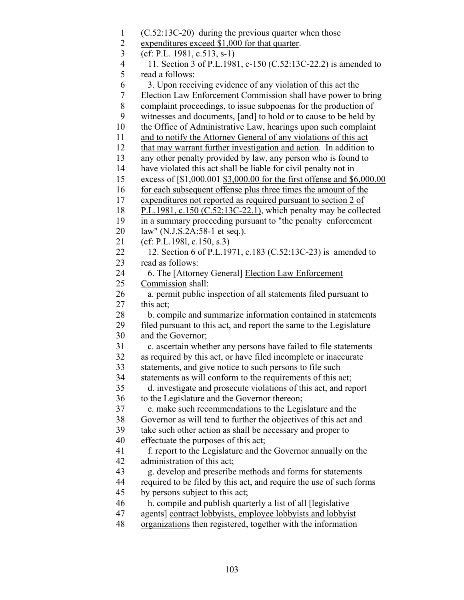- 1 (C.52:13C-20) during the previous quarter when those
- 2 expenditures exceed \$1,000 for that quarter.
- 3 (cf: P.L. 1981, c.513, s-1)

 4 11. Section 3 of P.L.1981, c-150 (C.52:13C-22.2) is amended to 5 read a follows:

- 6 3. Upon receiving evidence of any violation of this act the
- 7 Election Law Enforcement Commission shall have power to bring
- 8 complaint proceedings, to issue subpoenas for the production of
- 9 witnesses and documents, [and] to hold or to cause to be held by
- 10 the Office of Administrative Law, hearings upon such complaint
- 11 and to notify the Attorney General of any violations of this act
- 12 that may warrant further investigation and action. In addition to
- 13 any other penalty provided by law, any person who is found to
- 14 have violated this act shall be liable for civil penalty not in
- 15 excess of [\$1,000.001 \$3,000.00 for the first offense and \$6,000.00
- 16 for each subsequent offense plus three times the amount of the
- 17 expenditures not reported as required pursuant to section 2 of
- 18 P.L.1981, c.150 (C.52:13C-22.1), which penalty may be collected
- 19 in a summary proceeding pursuant to "the penalty enforcement
- 20 law" (N.J.S.2A:58-1 et seq.).
- 21 (cf: P.L.198l, c.150, s.3)
- 22 12. Section 6 of P.L.1971, c.183 (C.52:13C-23) is amended to 23 read as follows:
- 24 6. The [Attorney General] Election Law Enforcement 25 Commission shall:
- 26 a. permit public inspection of all statements filed pursuant to 27 this act;
- 28 b. compile and summarize information contained in statements 29 filed pursuant to this act, and report the same to the Legislature 30 and the Governor;
- 31 c. ascertain whether any persons have failed to file statements
- 32 as required by this act, or have filed incomplete or inaccurate
- 33 statements, and give notice to such persons to file such
- 34 statements as will conform to the requirements of this act;
- 35 d. investigate and prosecute violations of this act, and report 36 to the Legislature and the Governor thereon;
- 37 e. make such recommendations to the Legislature and the
- 38 Governor as will tend to further the objectives of this act and
- 39 take such other action as shall be necessary and proper to
- 40 effectuate the purposes of this act;
- 41 f. report to the Legislature and the Governor annually on the 42 administration of this act;
- 43 g. develop and prescribe methods and forms for statements
- 44 required to be filed by this act, and require the use of such forms
- 45 by persons subject to this act;
- 46 h. compile and publish quarterly a list of all [legislative
- 47 agents] contract lobbyists, employee lobbyists and lobbyist
- 48 organizations then registered, together with the information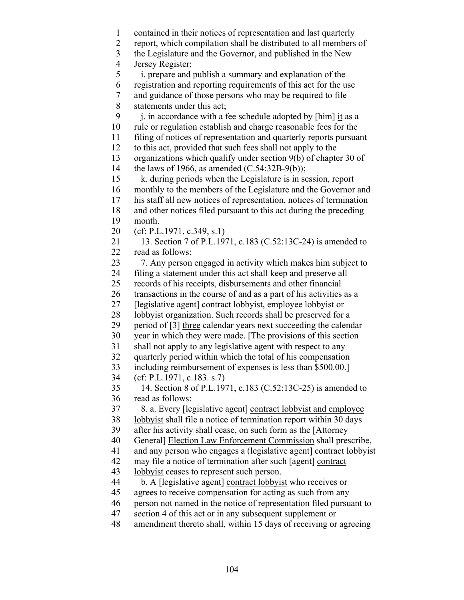1 contained in their notices of representation and last quarterly

2 report, which compilation shall be distributed to all members of

3 the Legislature and the Governor, and published in the New

4 Jersey Register;

5 i. prepare and publish a summary and explanation of the

6 registration and reporting requirements of this act for the use

7 and guidance of those persons who may be required to file

8 statements under this act;

9 i. in accordance with a fee schedule adopted by  $[\text{him}]$  it as a

10 rule or regulation establish and charge reasonable fees for the

11 filing of notices of representation and quarterly reports pursuant

12 to this act, provided that such fees shall not apply to the

 13 organizations which qualify under section 9(b) of chapter 30 of 14 the laws of 1966, as amended (C.54:32B-9(b));

 15 k. during periods when the Legislature is in session, report 16 monthly to the members of the Legislature and the Governor and 17 his staff all new notices of representation, notices of termination 18 and other notices filed pursuant to this act during the preceding

19 month.

20 (cf: P.L.1971, c.349, s.1)

 21 13. Section 7 of P.L.1971, c.183 (C.52:13C-24) is amended to 22 read as follows:

 23 7. Any person engaged in activity which makes him subject to 24 filing a statement under this act shall keep and preserve all

25 records of his receipts, disbursements and other financial

26 transactions in the course of and as a part of his activities as a

27 [legislative agent] contract lobbyist, employee lobbyist or

28 lobbyist organization. Such records shall be preserved for a

29 period of [3] three calendar years next succeeding the calendar

30 year in which they were made. [The provisions of this section

31 shall not apply to any legislative agent with respect to any

32 quarterly period within which the total of his compensation

33 including reimbursement of expenses is less than \$500.00.]

34 (cf: P.L.1971, c.183. s.7)

 35 14. Section 8 of P.L.1971, c.183 (C.52:13C-25) is amended to 36 read as follows:

37 8. a. Every [legislative agent] contract lobbyist and employee

38 lobbyist shall file a notice of termination report within 30 days

39 after his activity shall cease, on such form as the [Attorney

40 General] Election Law Enforcement Commission shall prescribe,

41 and any person who engages a (legislative agent] contract lobbyist

42 may file a notice of termination after such [agent] contract

43 lobbyist ceases to represent such person.

44 b. A [legislative agent] contract lobbyist who receives or

45 agrees to receive compensation for acting as such from any

46 person not named in the notice of representation filed pursuant to

47 section 4 of this act or in any subsequent supplement or

48 amendment thereto shall, within 15 days of receiving or agreeing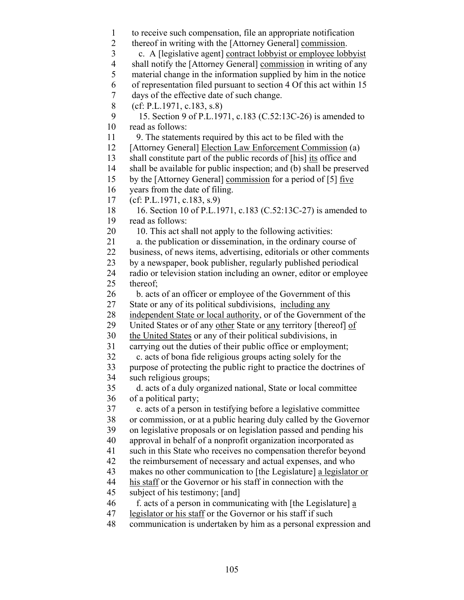1 to receive such compensation, file an appropriate notification 2 thereof in writing with the [Attorney General] commission. 3 c. A [legislative agent] contract lobbyist or employee lobbyist 4 shall notify the [Attorney General] commission in writing of any 5 material change in the information supplied by him in the notice 6 of representation filed pursuant to section 4 Of this act within 15 7 days of the effective date of such change. 8 (cf: P.L.1971, c.183, s.8) 9 15. Section 9 of P.L.1971, c.183 (C.52:13C-26) is amended to 10 read as follows: 11 9. The statements required by this act to be filed with the 12 [Attorney General] Election Law Enforcement Commission (a) 13 shall constitute part of the public records of [his] its office and 14 shall be available for public inspection; and (b) shall be preserved 15 by the [Attorney General] commission for a period of [5] five 16 years from the date of filing. 17 (cf: P.L.1971, c.183, s.9) 18 16. Section 10 of P.L.1971, c.183 (C.52:13C-27) is amended to 19 read as follows: 20 10. This act shall not apply to the following activities: 21 a. the publication or dissemination, in the ordinary course of 22 business, of news items, advertising, editorials or other comments 23 by a newspaper, book publisher, regularly published periodical 24 radio or television station including an owner, editor or employee 25 thereof; 26 b. acts of an officer or employee of the Government of this 27 State or any of its political subdivisions, including any 28 independent State or local authority, or of the Government of the 29 United States or of any other State or any territory [thereof] of 30 the United States or any of their political subdivisions, in 31 carrying out the duties of their public office or employment; 32 c. acts of bona fide religious groups acting solely for the 33 purpose of protecting the public right to practice the doctrines of 34 such religious groups; 35 d. acts of a duly organized national, State or local committee 36 of a political party; 37 e. acts of a person in testifying before a legislative committee 38 or commission, or at a public hearing duly called by the Governor 39 on legislative proposals or on legislation passed and pending his 40 approval in behalf of a nonprofit organization incorporated as 41 such in this State who receives no compensation therefor beyond 42 the reimbursement of necessary and actual expenses, and who 43 makes no other communication to [the Legislature] a legislator or 44 his staff or the Governor or his staff in connection with the 45 subject of his testimony; [and] 46 f. acts of a person in communicating with [the Legislature] a 47 legislator or his staff or the Governor or his staff if such 48 communication is undertaken by him as a personal expression and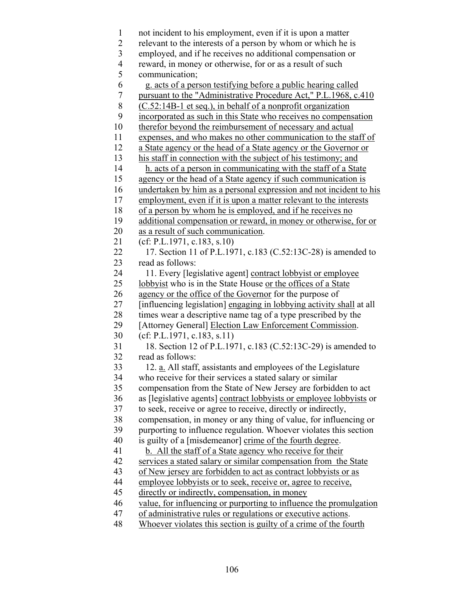1 not incident to his employment, even if it is upon a matter 2 relevant to the interests of a person by whom or which he is 3 employed, and if he receives no additional compensation or 4 reward, in money or otherwise, for or as a result of such 5 communication; 6 g. acts of a person testifying before a public hearing called 7 pursuant to the "Administrative Procedure Act," P.L.1968, c.410 8 (C.52:14B-1 et seq.), in behalf of a nonprofit organization 9 incorporated as such in this State who receives no compensation 10 therefor beyond the reimbursement of necessary and actual 11 expenses, and who makes no other communication to the staff of 12 a State agency or the head of a State agency or the Governor or 13 his staff in connection with the subject of his testimony; and 14 h. acts of a person in communicating with the staff of a State 15 agency or the head of a State agency if such communication is 16 undertaken by him as a personal expression and not incident to his 17 employment, even if it is upon a matter relevant to the interests 18 of a person by whom he is employed, and if he receives no 19 additional compensation or reward, in money or otherwise, for or 20 as a result of such communication. 21 (cf: P.L.1971, c.183, s.10) 22 17. Section 11 of P.L.1971, c.183 (C.52:13C-28) is amended to 23 read as follows: 24 11. Every [legislative agent] contract lobbyist or employee 25 lobbyist who is in the State House or the offices of a State 26 agency or the office of the Governor for the purpose of 27 [influencing legislation] engaging in lobbying activity shall at all 28 times wear a descriptive name tag of a type prescribed by the 29 [Attorney General] Election Law Enforcement Commission. 30 (cf: P.L.1971, c.183, s.11) 31 18. Section 12 of P.L.1971, c.183 (C.52:13C-29) is amended to 32 read as follows: 33 12. a. All staff, assistants and employees of the Legislature 34 who receive for their services a stated salary or similar 35 compensation from the State of New Jersey are forbidden to act 36 as [legislative agents] contract lobbyists or employee lobbyists or 37 to seek, receive or agree to receive, directly or indirectly, 38 compensation, in money or any thing of value, for influencing or 39 purporting to influence regulation. Whoever violates this section 40 is guilty of a [misdemeanor] crime of the fourth degree. 41 b. All the staff of a State agency who receive for their 42 services a stated salary or similar compensation from the State 43 of New jersey are forbidden to act as contract lobbyists or as 44 employee lobbyists or to seek, receive or, agree to receive, 45 directly or indirectly, compensation, in money 46 value, for influencing or purporting to influence the promulgation 47 of administrative rules or regulations or executive actions. 48 Whoever violates this section is guilty of a crime of the fourth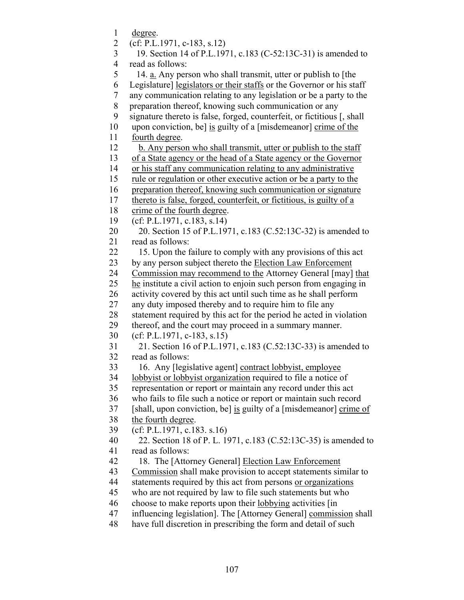1 degree. 2 (cf: P.L.1971, c-183, s.12) 3 19. Section 14 of P.L.1971, c.183 (C-52:13C-31) is amended to 4 read as follows: 5 14. a. Any person who shall transmit, utter or publish to [the 6 Legislature] legislators or their staffs or the Governor or his staff 7 any communication relating to any legislation or be a party to the 8 preparation thereof, knowing such communication or any 9 signature thereto is false, forged, counterfeit, or fictitious [, shall 10 upon conviction, be] is guilty of a [misdemeanor] crime of the 11 fourth degree. 12 b. Any person who shall transmit, utter or publish to the staff 13 of a State agency or the head of a State agency or the Governor 14 or his staff any communication relating to any administrative 15 rule or regulation or other executive action or be a party to the 16 preparation thereof, knowing such communication or signature 17 thereto is false, forged, counterfeit, or fictitious, is guilty of a 18 crime of the fourth degree. 19 (cf: P.L.1971, c.183, s.14) 20 20. Section 15 of P.L.1971, c.183 (C.52:13C-32) is amended to 21 read as follows: 22 15. Upon the failure to comply with any provisions of this act 23 by any person subject thereto the Election Law Enforcement 24 Commission may recommend to the Attorney General [may] that 25 he institute a civil action to enjoin such person from engaging in 26 activity covered by this act until such time as he shall perform 27 any duty imposed thereby and to require him to file any 28 statement required by this act for the period he acted in violation 29 thereof, and the court may proceed in a summary manner. 30 (cf: P.L.1971, c-183, s.15) 31 21. Section 16 of P.L.1971, c.183 (C.52:13C-33) is amended to 32 read as follows: 33 16. Any [legislative agent] contract lobbyist, employee 34 lobbyist or lobbyist organization required to file a notice of 35 representation or report or maintain any record under this act 36 who fails to file such a notice or report or maintain such record 37 [shall, upon conviction, be] is guilty of a [misdemeanor] crime of 38 the fourth degree. 39 (cf: P.L.1971, c.183. s.16) 40 22. Section 18 of P. L. 1971, c.183 (C.52:13C-35) is amended to 41 read as follows: 42 18. The [Attorney General] Election Law Enforcement 43 Commission shall make provision to accept statements similar to 44 statements required by this act from persons or organizations 45 who are not required by law to file such statements but who 46 choose to make reports upon their lobbying activities [in 47 influencing legislation]. The [Attorney General] commission shall 48 have full discretion in prescribing the form and detail of such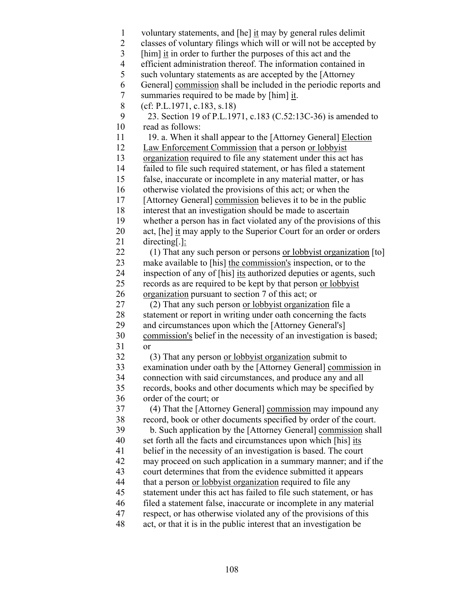- 1 voluntary statements, and [he] it may by general rules delimit
- 2 classes of voluntary filings which will or will not be accepted by<br>  $\int$  [him] <u>it</u> in order to further the purposes of this act and the
- [him] it in order to further the purposes of this act and the
- 4 efficient administration thereof. The information contained in
- 5 such voluntary statements as are accepted by the [Attorney

6 General] commission shall be included in the periodic reports and

- 7 \nsummaries required to be made by [him] <math>\underline{it}</math>. \n8 (cf: P.L.1971, c.183, s.18)
- 8 (cf: P.L.1971, c.183, s.18)

- 11 19. a. When it shall appear to the [Attorney General] Election
- 12 Law Enforcement Commission that a person or lobbyist
- 13 organization required to file any statement under this act has
- 14 failed to file such required statement, or has filed a statement
- 15 false, inaccurate or incomplete in any material matter, or has
- 16 otherwise violated the provisions of this act; or when the
- 17 [Attorney General] commission believes it to be in the public
- 18 interest that an investigation should be made to ascertain
- 19 whether a person has in fact violated any of the provisions of this
- 20 act, [he] it may apply to the Superior Court for an order or orders 21 directing[.]:
- 22 (1) That any such person or persons or lobbyist organization [to]
- 23 make available to [his] the commission's inspection, or to the
- 24 inspection of any of [his] its authorized deputies or agents, such 25 records as are required to be kept by that person or lobbyist
- 26 organization pursuant to section 7 of this act; or
- 27 (2) That any such person or lobbyist organization file a 28 statement or report in writing under oath concerning the facts 29 and circumstances upon which the [Attorney General's]
- 30 commission's belief in the necessity of an investigation is based; 31 or
- 32 (3) That any person or lobbyist organization submit to
- 33 examination under oath by the [Attorney General] commission in 34 connection with said circumstances, and produce any and all 35 records, books and other documents which may be specified by
- 36 order of the court; or
- 37 (4) That the [Attorney General] commission may impound any 38 record, book or other documents specified by order of the court.
- 39 b. Such application by the [Attorney General] commission shall
- 40 set forth all the facts and circumstances upon which [his] its
- 41 belief in the necessity of an investigation is based. The court
- 42 may proceed on such application in a summary manner; and if the
- 43 court determines that from the evidence submitted it appears 44 that a person or lobbyist organization required to file any
- 45 statement under this act has failed to file such statement, or has
- 46 filed a statement false, inaccurate or incomplete in any material
- 47 respect, or has otherwise violated any of the provisions of this
- 48 act, or that it is in the public interest that an investigation be

 <sup>9 23.</sup> Section 19 of P.L.1971, c.183 (C.52:13C-36) is amended to 10 read as follows: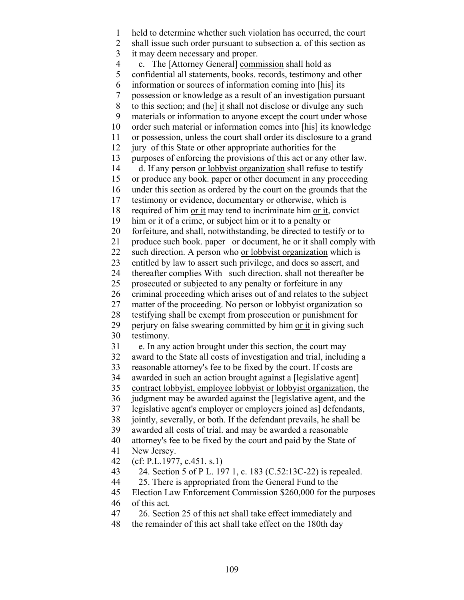1 held to determine whether such violation has occurred, the court 2 shall issue such order pursuant to subsection a. of this section as 3 it may deem necessary and proper. 4 c. The [Attorney General] commission shall hold as 5 confidential all statements, books. records, testimony and other 6 information or sources of information coming into [his] its 7 possession or knowledge as a result of an investigation pursuant 8 to this section; and (he] it shall not disclose or divulge any such 9 materials or information to anyone except the court under whose 10 order such material or information comes into [his] its knowledge 11 or possession, unless the court shall order its disclosure to a grand 12 jury of this State or other appropriate authorities for the 13 purposes of enforcing the provisions of this act or any other law. 14 d. If any person or lobbyist organization shall refuse to testify 15 or produce any book. paper or other document in any proceeding 16 under this section as ordered by the court on the grounds that the 17 testimony or evidence, documentary or otherwise, which is 18 required of him or it may tend to incriminate him or it, convict 19 him <u>or it</u> of a crime, or subject him <u>or it</u> to a penalty or 20 forfeiture, and shall, notwithstanding, be directed to testify or to 21 produce such book. paper or document, he or it shall comply with 22 such direction. A person who or lobbyist organization which is 23 entitled by law to assert such privilege, and does so assert, and 24 thereafter complies With such direction. shall not thereafter be 25 prosecuted or subjected to any penalty or forfeiture in any 26 criminal proceeding which arises out of and relates to the subject 27 matter of the proceeding. No person or lobbyist organization so 28 testifying shall be exempt from prosecution or punishment for 29 perjury on false swearing committed by him or it in giving such 30 testimony. 31 e. In any action brought under this section, the court may 32 award to the State all costs of investigation and trial, including a 33 reasonable attorney's fee to be fixed by the court. If costs are 34 awarded in such an action brought against a [legislative agent] 35 contract lobbyist, employee lobbyist or lobbyist organization, the 36 judgment may be awarded against the [legislative agent, and the 37 legislative agent's employer or employers joined as] defendants, 38 jointly, severally, or both. If the defendant prevails, he shall be 39 awarded all costs of trial. and may be awarded a reasonable 40 attorney's fee to be fixed by the court and paid by the State of 41 New Jersey. 42 (cf: P.L.1977, c.451. s.1) 43 24. Section 5 of P L. 197 1, c. 183 (C.52:13C-22) is repealed. 44 25. There is appropriated from the General Fund to the 45 Election Law Enforcement Commission \$260,000 for the purposes 46 of this act. 47 26. Section 25 of this act shall take effect immediately and 48 the remainder of this act shall take effect on the 180th day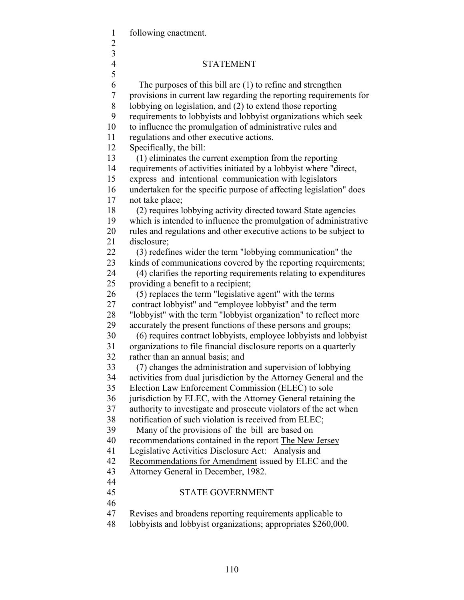1 following enactment.

- 2
- 3

## 4 STATEMENT

 5 6 The purposes of this bill are (1) to refine and strengthen 7 provisions in current law regarding the reporting requirements for 8 lobbying on legislation, and (2) to extend those reporting 9 requirements to lobbyists and lobbyist organizations which seek 10 to influence the promulgation of administrative rules and 11 regulations and other executive actions. 12 Specifically, the bill: 13 (1) eliminates the current exemption from the reporting 14 requirements of activities initiated by a lobbyist where "direct, 15 express and intentional communication with legislators 16 undertaken for the specific purpose of affecting legislation" does 17 not take place; 18 (2) requires lobbying activity directed toward State agencies 19 which is intended to influence the promulgation of administrative 20 rules and regulations and other executive actions to be subject to 21 disclosure; 22 (3) redefines wider the term "lobbying communication" the 23 kinds of communications covered by the reporting requirements; 24 (4) clarifies the reporting requirements relating to expenditures 25 providing a benefit to a recipient; 26 (5) replaces the term "legislative agent" with the terms 27 contract lobbyist" and "employee lobbyist" and the term 28 "lobbyist" with the term "lobbyist organization" to reflect more 29 accurately the present functions of these persons and groups; 30 (6) requires contract lobbyists, employee lobbyists and lobbyist 31 organizations to file financial disclosure reports on a quarterly 32 rather than an annual basis; and 33 (7) changes the administration and supervision of lobbying 34 activities from dual jurisdiction by the Attorney General and the 35 Election Law Enforcement Commission (ELEC) to sole 36 jurisdiction by ELEC, with the Attorney General retaining the 37 authority to investigate and prosecute violators of the act when 38 notification of such violation is received from ELEC; 39 Many of the provisions of the bill are based on 40 recommendations contained in the report The New Jersey 41 Legislative Activities Disclosure Act: Analysis and 42 Recommendations for Amendment issued by ELEC and the 43 Attorney General in December, 1982. 44 45 STATE GOVERNMENT 46 47 Revises and broadens reporting requirements applicable to 48 lobbyists and lobbyist organizations; appropriates \$260,000.